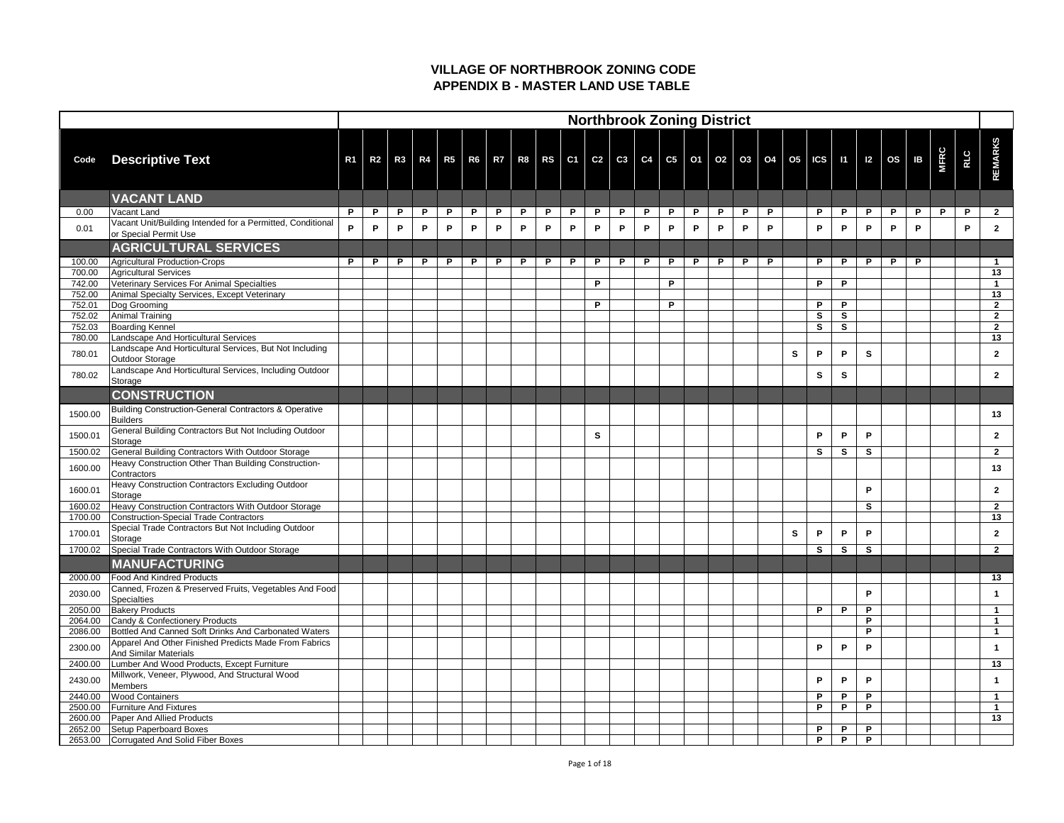|                    |                                                                                                               |                |                |    |   |   |   |              |   |   |   |    |   |   |   | <b>Northbrook Zoning District</b> |   |          |   |    |                                                                                                         |              |              |   |   |             |     |                |
|--------------------|---------------------------------------------------------------------------------------------------------------|----------------|----------------|----|---|---|---|--------------|---|---|---|----|---|---|---|-----------------------------------|---|----------|---|----|---------------------------------------------------------------------------------------------------------|--------------|--------------|---|---|-------------|-----|----------------|
| Code               | <b>Descriptive Text</b>                                                                                       | R <sub>1</sub> | R <sub>2</sub> | R3 |   |   |   |              |   |   |   |    |   |   |   |                                   |   |          |   |    | R4   R5   R6   R7   R8   RS   C1   C2   C3   C4   C5   O1   O2   O3   O4   O5   ICS   I1   I2   OS   IB |              |              |   |   | <b>MFRC</b> | RLC | REMARKS        |
|                    | <b>VACANT LAND</b>                                                                                            |                |                |    |   |   |   |              |   |   |   |    |   |   |   |                                   |   |          |   |    |                                                                                                         |              |              |   |   |             |     |                |
| 0.00               | Vacant Land                                                                                                   | P              | P              | P  | P | P | P | $\mathsf{P}$ | P | P | P | P  | P | P | P | $\mathsf{P}$                      | P | <b>P</b> | P |    | P                                                                                                       | P            | $\mathsf{P}$ | P | P | P           | P   | $\overline{2}$ |
| 0.01               | Vacant Unit/Building Intended for a Permitted, Conditional<br>or Special Permit Use                           | P.             | P              | P  | P | P | P | P            | P | P | P | P  | P | P | P | P                                 | P | P        | P |    | P                                                                                                       | P            | P            | P | P |             | P   | $\overline{2}$ |
|                    | <b>AGRICULTURAL SERVICES</b>                                                                                  |                |                |    |   |   |   |              |   |   |   |    |   |   |   |                                   |   |          |   |    |                                                                                                         |              |              |   |   |             |     |                |
| 100.00             | Agricultural Production-Crops                                                                                 | P              | P              | P  | P | P | P | P            | P | P | P | P. | P | P | P | P                                 | P | P        | P |    | P                                                                                                       | P            | P            | P | P |             |     | $\mathbf 1$    |
| 700.00             | Agricultural Services                                                                                         |                |                |    |   |   |   |              |   |   |   |    |   |   | P |                                   |   |          |   |    | P                                                                                                       | P            |              |   |   |             |     | 13             |
| 742.00<br>752.00   | Veterinary Services For Animal Specialties<br>Animal Specialty Services, Except Veterinary                    |                |                |    |   |   |   |              |   |   |   | P  |   |   |   |                                   |   |          |   |    |                                                                                                         |              |              |   |   |             |     | 13             |
| 752.01             | Dog Grooming                                                                                                  |                |                |    |   |   |   |              |   |   |   | P  |   |   | P |                                   |   |          |   |    | P                                                                                                       | P            |              |   |   |             |     | $\overline{2}$ |
| 752.02             | Animal Training                                                                                               |                |                |    |   |   |   |              |   |   |   |    |   |   |   |                                   |   |          |   |    | $\mathbf{s}$                                                                                            | $\mathbf{s}$ |              |   |   |             |     | $\overline{2}$ |
| 752.03             | <b>Boarding Kennel</b>                                                                                        |                |                |    |   |   |   |              |   |   |   |    |   |   |   |                                   |   |          |   |    | <b>S</b>                                                                                                | S            |              |   |   |             |     | $\overline{2}$ |
| 780.00             | Landscape And Horticultural Services                                                                          |                |                |    |   |   |   |              |   |   |   |    |   |   |   |                                   |   |          |   |    |                                                                                                         |              |              |   |   |             |     | 13             |
| 780.01             | Landscape And Horticultural Services, But Not Including<br>Outdoor Storage                                    |                |                |    |   |   |   |              |   |   |   |    |   |   |   |                                   |   |          |   | S  | P                                                                                                       | P            | $\mathbf{s}$ |   |   |             |     | $\overline{2}$ |
| 780.02             | Landscape And Horticultural Services, Including Outdoor<br>Storage                                            |                |                |    |   |   |   |              |   |   |   |    |   |   |   |                                   |   |          |   |    | <b>S</b>                                                                                                | S            |              |   |   |             |     | $\mathbf{2}$   |
|                    | <b>CONSTRUCTION</b>                                                                                           |                |                |    |   |   |   |              |   |   |   |    |   |   |   |                                   |   |          |   |    |                                                                                                         |              |              |   |   |             |     |                |
| 1500.00            | <b>Building Construction-General Contractors &amp; Operative</b><br><b>Builders</b>                           |                |                |    |   |   |   |              |   |   |   |    |   |   |   |                                   |   |          |   |    |                                                                                                         |              |              |   |   |             |     | 13             |
| 1500.01            | General Building Contractors But Not Including Outdoor<br>Storage                                             |                |                |    |   |   |   |              |   |   |   | S. |   |   |   |                                   |   |          |   |    | P                                                                                                       | P            | P            |   |   |             |     | $\mathbf{2}$   |
| 1500.02            | General Building Contractors With Outdoor Storage                                                             |                |                |    |   |   |   |              |   |   |   |    |   |   |   |                                   |   |          |   |    | $\mathbf{s}$                                                                                            | S            | $\mathbf{s}$ |   |   |             |     | 2 <sup>1</sup> |
| 1600.00            | Heavy Construction Other Than Building Construction-<br>Contractors                                           |                |                |    |   |   |   |              |   |   |   |    |   |   |   |                                   |   |          |   |    |                                                                                                         |              |              |   |   |             |     | 13             |
| 1600.01            | Heavy Construction Contractors Excluding Outdoor<br>Storage                                                   |                |                |    |   |   |   |              |   |   |   |    |   |   |   |                                   |   |          |   |    |                                                                                                         |              | P            |   |   |             |     | $\overline{2}$ |
| 1600.02            | Heavy Construction Contractors With Outdoor Storage                                                           |                |                |    |   |   |   |              |   |   |   |    |   |   |   |                                   |   |          |   |    |                                                                                                         |              | $\mathbf{s}$ |   |   |             |     | $\mathbf{2}$   |
| 1700.00            | Construction-Special Trade Contractors<br>Special Trade Contractors But Not Including Outdoor                 |                |                |    |   |   |   |              |   |   |   |    |   |   |   |                                   |   |          |   |    |                                                                                                         |              |              |   |   |             |     | 13             |
| 1700.01            | Storage                                                                                                       |                |                |    |   |   |   |              |   |   |   |    |   |   |   |                                   |   |          |   | S. | P                                                                                                       | P            | P            |   |   |             |     | $\mathbf{2}$   |
| 1700.02            | Special Trade Contractors With Outdoor Storage                                                                |                |                |    |   |   |   |              |   |   |   |    |   |   |   |                                   |   |          |   |    | <b>S</b>                                                                                                | $\mathbf{s}$ | $\mathbf{s}$ |   |   |             |     | $\mathbf{2}$   |
|                    | <b>MANUFACTURING</b>                                                                                          |                |                |    |   |   |   |              |   |   |   |    |   |   |   |                                   |   |          |   |    |                                                                                                         |              |              |   |   |             |     |                |
| 2000.00            | <b>Food And Kindred Products</b>                                                                              |                |                |    |   |   |   |              |   |   |   |    |   |   |   |                                   |   |          |   |    |                                                                                                         |              |              |   |   |             |     | 13             |
| 2030.00            | Canned, Frozen & Preserved Fruits, Vegetables And Food<br>Specialties                                         |                |                |    |   |   |   |              |   |   |   |    |   |   |   |                                   |   |          |   |    |                                                                                                         |              | P            |   |   |             |     |                |
| 2050.00            | <b>Bakery Products</b>                                                                                        |                |                |    |   |   |   |              |   |   |   |    |   |   |   |                                   |   |          |   |    | P                                                                                                       | P            | P            |   |   |             |     |                |
| 2064.00            | Candy & Confectionery Products                                                                                |                |                |    |   |   |   |              |   |   |   |    |   |   |   |                                   |   |          |   |    |                                                                                                         |              | P            |   |   |             |     |                |
| 2086.00            | Bottled And Canned Soft Drinks And Carbonated Waters<br>Apparel And Other Finished Predicts Made From Fabrics |                |                |    |   |   |   |              |   |   |   |    |   |   |   |                                   |   |          |   |    |                                                                                                         |              | P            |   |   |             |     |                |
| 2300.00            | <b>And Similar Materials</b>                                                                                  |                |                |    |   |   |   |              |   |   |   |    |   |   |   |                                   |   |          |   |    | P                                                                                                       | P            | P            |   |   |             |     |                |
| 2400.00            | Lumber And Wood Products, Except Furniture                                                                    |                |                |    |   |   |   |              |   |   |   |    |   |   |   |                                   |   |          |   |    |                                                                                                         |              |              |   |   |             |     | 13             |
| 2430.00            | Millwork, Veneer, Plywood, And Structural Wood<br><b>Members</b>                                              |                |                |    |   |   |   |              |   |   |   |    |   |   |   |                                   |   |          |   |    | P                                                                                                       | P            | P            |   |   |             |     |                |
| 2440.00            | <b>Wood Containers</b>                                                                                        |                |                |    |   |   |   |              |   |   |   |    |   |   |   |                                   |   |          |   |    | P                                                                                                       | P<br>P       | P<br>D       |   |   |             |     |                |
| 2500.00<br>2600.00 | <b>Furniture And Fixtures</b><br>Paper And Allied Products                                                    |                |                |    |   |   |   |              |   |   |   |    |   |   |   |                                   |   |          |   |    | P                                                                                                       |              |              |   |   |             |     | 13             |
| 2652.00            | <b>Setup Paperboard Boxes</b>                                                                                 |                |                |    |   |   |   |              |   |   |   |    |   |   |   |                                   |   |          |   |    | P                                                                                                       | P            | P            |   |   |             |     |                |
| 2653.00            | Corrugated And Solid Fiber Boxes                                                                              |                |                |    |   |   |   |              |   |   |   |    |   |   |   |                                   |   |          |   |    | P                                                                                                       | P            | P            |   |   |             |     |                |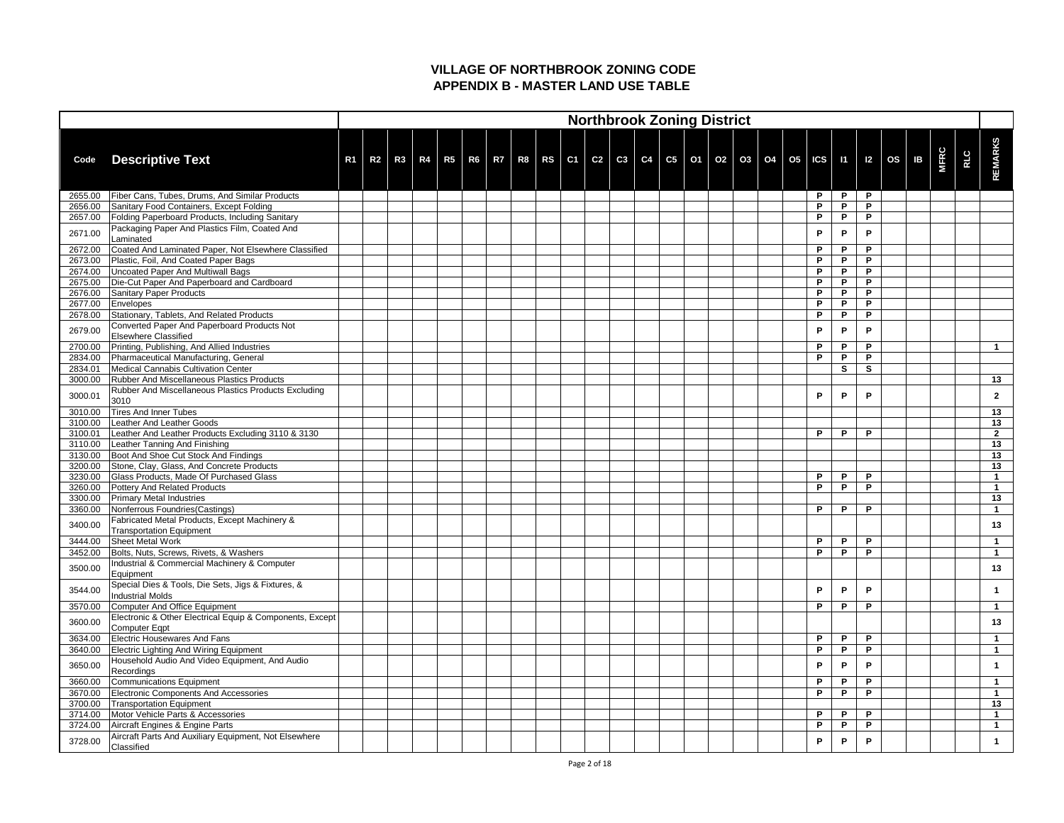|         |                                                                                  |                |                |    |  |  |  |  |  | <b>Northbrook Zoning District</b>            |  |  |                         |              |   |   |              |             |            |                |
|---------|----------------------------------------------------------------------------------|----------------|----------------|----|--|--|--|--|--|----------------------------------------------|--|--|-------------------------|--------------|---|---|--------------|-------------|------------|----------------|
| Code    | <b>Descriptive Text</b>                                                          | R <sub>1</sub> | R <sub>2</sub> | R3 |  |  |  |  |  | R4 R5 R6 R7 R8 RS C1 C2 C3 C4 C5 01 02 03 04 |  |  | 05   ICS   11   12   0S |              |   |   | $\mathbf{B}$ | <b>MFRC</b> | <b>RLC</b> | <b>REMARKS</b> |
| 2655.00 | <b>Fiber Cans, Tubes, Drums, And Similar Products</b>                            |                |                |    |  |  |  |  |  |                                              |  |  |                         | P            | P | P |              |             |            |                |
| 2656.00 | Sanitary Food Containers, Except Folding                                         |                |                |    |  |  |  |  |  |                                              |  |  |                         | P            | P | P |              |             |            |                |
| 2657.00 | <b>Folding Paperboard Products, Including Sanitary</b>                           |                |                |    |  |  |  |  |  |                                              |  |  |                         | P            | P | P |              |             |            |                |
| 2671.00 | Packaging Paper And Plastics Film, Coated And<br>Laminated                       |                |                |    |  |  |  |  |  |                                              |  |  |                         | P            | P | P |              |             |            |                |
| 2672.00 | Coated And Laminated Paper, Not Elsewhere Classified                             |                |                |    |  |  |  |  |  |                                              |  |  |                         | P            | P | P |              |             |            |                |
| 2673.00 | Plastic, Foil, And Coated Paper Bags                                             |                |                |    |  |  |  |  |  |                                              |  |  |                         | $\mathsf{P}$ | P | P |              |             |            |                |
| 2674.00 | Uncoated Paper And Multiwall Bags                                                |                |                |    |  |  |  |  |  |                                              |  |  |                         | P            | P | P |              |             |            |                |
| 2675.00 | Die-Cut Paper And Paperboard and Cardboard                                       |                |                |    |  |  |  |  |  |                                              |  |  |                         | P            | P | P |              |             |            |                |
| 2676.00 | <b>Sanitary Paper Products</b>                                                   |                |                |    |  |  |  |  |  |                                              |  |  |                         | P            | P | P |              |             |            |                |
| 2677.00 | <b>Envelopes</b>                                                                 |                |                |    |  |  |  |  |  |                                              |  |  |                         | P            | P | P |              |             |            |                |
| 2678.00 | Stationary, Tablets, And Related Products                                        |                |                |    |  |  |  |  |  |                                              |  |  |                         | P            | P | P |              |             |            |                |
|         | Converted Paper And Paperboard Products Not                                      |                |                |    |  |  |  |  |  |                                              |  |  |                         |              |   |   |              |             |            |                |
| 2679.00 | <b>Elsewhere Classified</b>                                                      |                |                |    |  |  |  |  |  |                                              |  |  |                         | $\mathsf{P}$ | P | P |              |             |            |                |
| 2700.00 | Printing, Publishing, And Allied Industries                                      |                |                |    |  |  |  |  |  |                                              |  |  |                         | P            | P | P |              |             |            |                |
| 2834.00 | Pharmaceutical Manufacturing, General                                            |                |                |    |  |  |  |  |  |                                              |  |  |                         | P            | P | P |              |             |            |                |
| 2834.01 | Medical Cannabis Cultivation Center                                              |                |                |    |  |  |  |  |  |                                              |  |  |                         |              | S | S |              |             |            |                |
| 3000.00 | <b>Rubber And Miscellaneous Plastics Products</b>                                |                |                |    |  |  |  |  |  |                                              |  |  |                         |              |   |   |              |             |            | 13             |
| 3000.01 | Rubber And Miscellaneous Plastics Products Excluding<br>3010                     |                |                |    |  |  |  |  |  |                                              |  |  |                         | P            | P | P |              |             |            | $\mathbf{2}$   |
| 3010.00 | <b>Tires And Inner Tubes</b>                                                     |                |                |    |  |  |  |  |  |                                              |  |  |                         |              |   |   |              |             |            | 13             |
| 3100.00 | <b>Leather And Leather Goods</b>                                                 |                |                |    |  |  |  |  |  |                                              |  |  |                         |              |   |   |              |             |            | 13             |
| 3100.01 | Leather And Leather Products Excluding 3110 & 3130                               |                |                |    |  |  |  |  |  |                                              |  |  |                         | P            | P | P |              |             |            | $\overline{2}$ |
| 3110.00 | Leather Tanning And Finishing                                                    |                |                |    |  |  |  |  |  |                                              |  |  |                         |              |   |   |              |             |            | 13             |
| 3130.00 | Boot And Shoe Cut Stock And Findings                                             |                |                |    |  |  |  |  |  |                                              |  |  |                         |              |   |   |              |             |            | 13             |
| 3200.00 | Stone, Clay, Glass, And Concrete Products                                        |                |                |    |  |  |  |  |  |                                              |  |  |                         |              |   |   |              |             |            | 13             |
| 3230.00 | <b>Glass Products, Made Of Purchased Glass</b>                                   |                |                |    |  |  |  |  |  |                                              |  |  |                         | P            | P | P |              |             |            |                |
| 3260.00 | <b>Pottery And Related Products</b>                                              |                |                |    |  |  |  |  |  |                                              |  |  |                         | P            | P | P |              |             |            | -1             |
| 3300.00 | <b>Primary Metal Industries</b>                                                  |                |                |    |  |  |  |  |  |                                              |  |  |                         |              |   |   |              |             |            | 13             |
| 3360.00 | Nonferrous Foundries (Castings)                                                  |                |                |    |  |  |  |  |  |                                              |  |  |                         | P            | P | P |              |             |            | $\mathbf 1$    |
| 3400.00 | Fabricated Metal Products, Except Machinery &<br><b>Transportation Equipment</b> |                |                |    |  |  |  |  |  |                                              |  |  |                         |              |   |   |              |             |            | 13             |
| 3444.00 | <b>Sheet Metal Work</b>                                                          |                |                |    |  |  |  |  |  |                                              |  |  |                         | $\mathsf{P}$ | P | P |              |             |            | -1             |
| 3452.00 | Bolts, Nuts, Screws, Rivets, & Washers                                           |                |                |    |  |  |  |  |  |                                              |  |  |                         | $\mathsf{P}$ | P | P |              |             |            | $\mathbf 1$    |
|         | Industrial & Commercial Machinery & Computer                                     |                |                |    |  |  |  |  |  |                                              |  |  |                         |              |   |   |              |             |            |                |
| 3500.00 | Equipment                                                                        |                |                |    |  |  |  |  |  |                                              |  |  |                         |              |   |   |              |             |            | 13             |
| 3544.00 | Special Dies & Tools, Die Sets, Jigs & Fixtures, &<br><b>Industrial Molds</b>    |                |                |    |  |  |  |  |  |                                              |  |  |                         | P            | P | P |              |             |            | -1             |
| 3570.00 | Computer And Office Equipment                                                    |                |                |    |  |  |  |  |  |                                              |  |  |                         | P            | P | P |              |             |            | -1             |
|         | Electronic & Other Electrical Equip & Components, Except                         |                |                |    |  |  |  |  |  |                                              |  |  |                         |              |   |   |              |             |            |                |
| 3600.00 | Computer Eqpt                                                                    |                |                |    |  |  |  |  |  |                                              |  |  |                         |              |   |   |              |             |            | 13             |
| 3634.00 | <b>Electric Housewares And Fans</b>                                              |                |                |    |  |  |  |  |  |                                              |  |  |                         | P            | P | P |              |             |            |                |
| 3640.00 | <b>Electric Lighting And Wiring Equipment</b>                                    |                |                |    |  |  |  |  |  |                                              |  |  |                         | P            | P | P |              |             |            |                |
| 3650.00 | Household Audio And Video Equipment, And Audio<br><b>Recordings</b>              |                |                |    |  |  |  |  |  |                                              |  |  |                         | P            | P | P |              |             |            |                |
| 3660.00 | Communications Equipment                                                         |                |                |    |  |  |  |  |  |                                              |  |  |                         | P            | P | P |              |             |            | $\mathbf 1$    |
| 3670.00 | <b>Electronic Components And Accessories</b>                                     |                |                |    |  |  |  |  |  |                                              |  |  |                         | P            | P | P |              |             |            |                |
| 3700.00 | <b>Transportation Equipment</b>                                                  |                |                |    |  |  |  |  |  |                                              |  |  |                         |              |   |   |              |             |            | 13             |
| 3714.00 | Motor Vehicle Parts & Accessories                                                |                |                |    |  |  |  |  |  |                                              |  |  |                         | P            | P | P |              |             |            |                |
| 3724.00 | Aircraft Engines & Engine Parts                                                  |                |                |    |  |  |  |  |  |                                              |  |  |                         | P            | P | P |              |             |            |                |
| 3728.00 | Aircraft Parts And Auxiliary Equipment, Not Elsewhere<br>Classified              |                |                |    |  |  |  |  |  |                                              |  |  |                         | P            | P | P |              |             |            |                |
|         |                                                                                  |                |                |    |  |  |  |  |  |                                              |  |  |                         |              |   |   |              |             |            |                |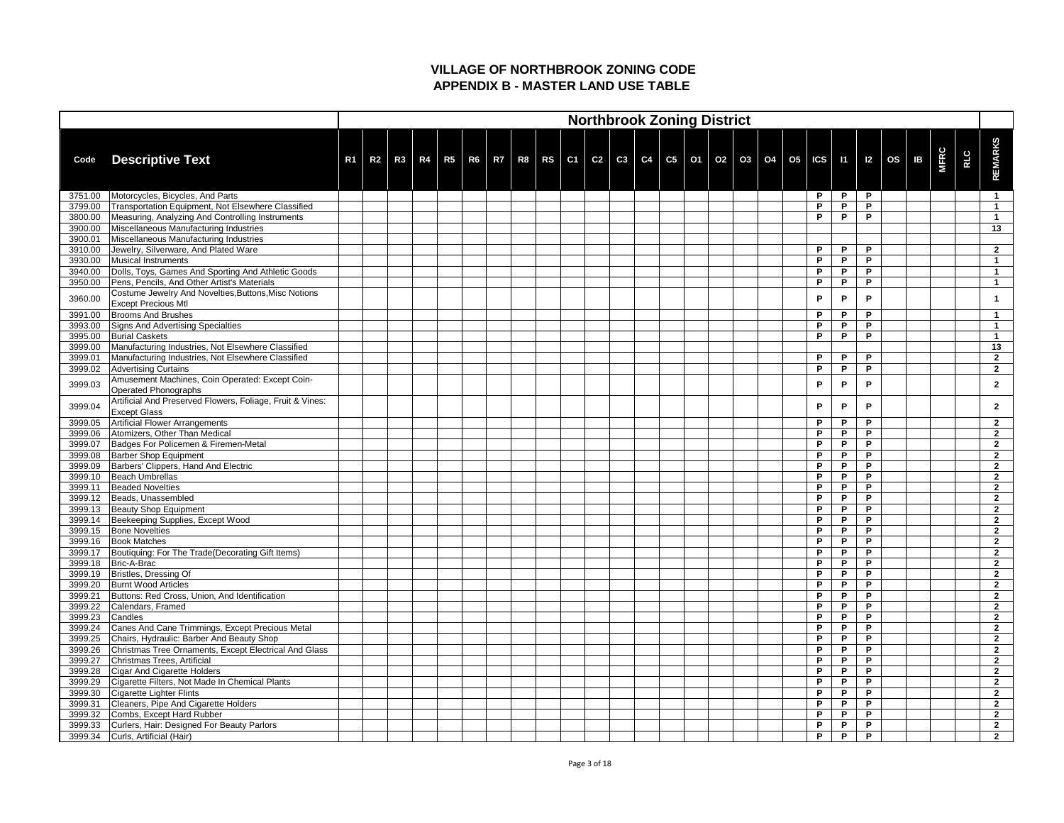|                    |                                                                                  |                |                |  |  |  |  |  |  | <b>Northbrook Zoning District</b>                                                                            |  |  |          |        |        |  |             |            |                                  |
|--------------------|----------------------------------------------------------------------------------|----------------|----------------|--|--|--|--|--|--|--------------------------------------------------------------------------------------------------------------|--|--|----------|--------|--------|--|-------------|------------|----------------------------------|
| Code               | <b>Descriptive Text</b>                                                          | R <sub>1</sub> | R <sub>2</sub> |  |  |  |  |  |  | R3   R4   R5   R6   R7   R8   RS   C1   C2   C3   C4   C5   O1   O2   O3   O4   O5   ICS   I1   I2   OS   IB |  |  |          |        |        |  | <b>MFRC</b> | <b>RLC</b> | <b>REMARKS</b>                   |
| 3751.00            | Motorcycles, Bicycles, And Parts                                                 |                |                |  |  |  |  |  |  |                                                                                                              |  |  | P        | P      | P      |  |             |            | $\mathbf 1$                      |
| 3799.00            | Transportation Equipment, Not Elsewhere Classified                               |                |                |  |  |  |  |  |  |                                                                                                              |  |  | P        | P      | P      |  |             |            |                                  |
| 3800.00            | Measuring, Analyzing And Controlling Instruments                                 |                |                |  |  |  |  |  |  |                                                                                                              |  |  | P        | P      | P      |  |             |            |                                  |
| 3900.00            | Miscellaneous Manufacturing Industries                                           |                |                |  |  |  |  |  |  |                                                                                                              |  |  |          |        |        |  |             |            | 13                               |
| 3900.01            | Miscellaneous Manufacturing Industries                                           |                |                |  |  |  |  |  |  |                                                                                                              |  |  | <b>P</b> | P      | P      |  |             |            |                                  |
| 3910.00<br>3930.00 | Jewelry, Silverware, And Plated Ware<br>Musical Instruments                      |                |                |  |  |  |  |  |  |                                                                                                              |  |  | P        | P      | P      |  |             |            | $\mathbf{2}$                     |
| 3940.00            | Dolls, Toys, Games And Sporting And Athletic Goods                               |                |                |  |  |  |  |  |  |                                                                                                              |  |  | P        | P      | P      |  |             |            |                                  |
| 3950.00            | Pens, Pencils, And Other Artist's Materials                                      |                |                |  |  |  |  |  |  |                                                                                                              |  |  | P        | P      | P      |  |             |            |                                  |
|                    | Costume Jewelry And Novelties, Buttons, Misc Notions                             |                |                |  |  |  |  |  |  |                                                                                                              |  |  |          |        |        |  |             |            |                                  |
| 3960.00            | <b>Except Precious Mtl</b>                                                       |                |                |  |  |  |  |  |  |                                                                                                              |  |  | P        | P      | P      |  |             |            |                                  |
| 3991.00            | <b>Brooms And Brushes</b>                                                        |                |                |  |  |  |  |  |  |                                                                                                              |  |  | P        | P      | P      |  |             |            |                                  |
| 3993.00            | Signs And Advertising Specialties                                                |                |                |  |  |  |  |  |  |                                                                                                              |  |  | P        | P      | P      |  |             |            |                                  |
| 3995.00            | <b>Burial Caskets</b>                                                            |                |                |  |  |  |  |  |  |                                                                                                              |  |  | P        | P      | P      |  |             |            |                                  |
| 3999.00            | Manufacturing Industries, Not Elsewhere Classified                               |                |                |  |  |  |  |  |  |                                                                                                              |  |  |          |        |        |  |             |            | 13                               |
| 3999.01            | Manufacturing Industries, Not Elsewhere Classified                               |                |                |  |  |  |  |  |  |                                                                                                              |  |  | P        | P      | P      |  |             |            | $\mathbf{2}$                     |
| 3999.02            | <b>Advertising Curtains</b>                                                      |                |                |  |  |  |  |  |  |                                                                                                              |  |  | P        | P      | P      |  |             |            | $\overline{2}$                   |
| 3999.03            | Amusement Machines, Coin Operated: Except Coin-<br>Operated Phonographs          |                |                |  |  |  |  |  |  |                                                                                                              |  |  | P        | P      | P      |  |             |            | $\mathbf{2}$                     |
| 3999.04            | Artificial And Preserved Flowers, Foliage, Fruit & Vines:<br><b>Except Glass</b> |                |                |  |  |  |  |  |  |                                                                                                              |  |  | P        | P      | P      |  |             |            | $\mathbf{2}$                     |
| 3999.05            | Artificial Flower Arrangements                                                   |                |                |  |  |  |  |  |  |                                                                                                              |  |  | P        | P      | P      |  |             |            | $\overline{2}$                   |
| 3999.06            | Atomizers, Other Than Medical                                                    |                |                |  |  |  |  |  |  |                                                                                                              |  |  | P        | P      | P      |  |             |            | $\boldsymbol{\mathcal{P}}$       |
| 3999.07            | Badges For Policemen & Firemen-Metal                                             |                |                |  |  |  |  |  |  |                                                                                                              |  |  | P        | P      | P      |  |             |            | $\mathbf 2$                      |
| 3999.08            | <b>Barber Shop Equipment</b>                                                     |                |                |  |  |  |  |  |  |                                                                                                              |  |  | P        | P      | P      |  |             |            | $\overline{2}$                   |
| 3999.09            | Barbers' Clippers, Hand And Electric                                             |                |                |  |  |  |  |  |  |                                                                                                              |  |  | P        | P      | P      |  |             |            | 2                                |
| 3999.10            | Beach Umbrellas                                                                  |                |                |  |  |  |  |  |  |                                                                                                              |  |  | P        | P      | P      |  |             |            | $\mathbf{2}$                     |
| 3999.11            | Beaded Novelties                                                                 |                |                |  |  |  |  |  |  |                                                                                                              |  |  | P        | P      | P      |  |             |            | $\mathbf{2}$                     |
| 3999.12            | Beads, Unassembled                                                               |                |                |  |  |  |  |  |  |                                                                                                              |  |  | P        | P      | P      |  |             |            | $\mathbf{2}$                     |
| 3999.13            | <b>Beauty Shop Equipment</b>                                                     |                |                |  |  |  |  |  |  |                                                                                                              |  |  | P<br>P   | P<br>P | P<br>P |  |             |            | $\mathbf{2}$<br>$\mathbf{2}$     |
| 3999.14<br>3999.15 | Beekeeping Supplies, Except Wood<br><b>Bone Novelties</b>                        |                |                |  |  |  |  |  |  |                                                                                                              |  |  | P        | P      | P      |  |             |            | $\mathbf{2}$                     |
| 3999.16            | <b>Book Matches</b>                                                              |                |                |  |  |  |  |  |  |                                                                                                              |  |  | P        | P      | P      |  |             |            | $\overline{2}$                   |
| 3999.17            | Boutiquing: For The Trade (Decorating Gift Items)                                |                |                |  |  |  |  |  |  |                                                                                                              |  |  | P        | P      | P      |  |             |            | $\overline{2}$                   |
| 3999.18            | Bric-A-Brac                                                                      |                |                |  |  |  |  |  |  |                                                                                                              |  |  | P        | P      | P      |  |             |            | $\mathbf{2}$                     |
| 3999.19            | Bristles, Dressing Of                                                            |                |                |  |  |  |  |  |  |                                                                                                              |  |  | P        | P      | P      |  |             |            | $\overline{2}$                   |
| 3999.20            | <b>Burnt Wood Articles</b>                                                       |                |                |  |  |  |  |  |  |                                                                                                              |  |  | P        | P      | P      |  |             |            | $\mathbf{2}$                     |
| 3999.21            | Buttons: Red Cross, Union, And Identification                                    |                |                |  |  |  |  |  |  |                                                                                                              |  |  | P        | P      | P      |  |             |            | $\mathbf{2}$                     |
| 3999.22            | Calendars, Framed                                                                |                |                |  |  |  |  |  |  |                                                                                                              |  |  | P        | P      | P      |  |             |            | $\mathbf{2}$                     |
| 3999.23            | Candles                                                                          |                |                |  |  |  |  |  |  |                                                                                                              |  |  | P        | P      | P      |  |             |            | $\mathbf{2}$                     |
| 3999.24            | Canes And Cane Trimmings, Except Precious Metal                                  |                |                |  |  |  |  |  |  |                                                                                                              |  |  | P        | P      | P      |  |             |            | $\overline{2}$                   |
| 3999.25            | Chairs, Hydraulic: Barber And Beauty Shop                                        |                |                |  |  |  |  |  |  |                                                                                                              |  |  | P        | P      | P      |  |             |            | $\overline{2}$                   |
| 3999.26            | Christmas Tree Ornaments, Except Electrical And Glass                            |                |                |  |  |  |  |  |  |                                                                                                              |  |  | P        | P      | P      |  |             |            | $\mathbf{2}$                     |
| 3999.27            | Christmas Trees, Artificial                                                      |                |                |  |  |  |  |  |  |                                                                                                              |  |  | P        | P      | P      |  |             |            | $\overline{2}$                   |
| 3999.28            | Cigar And Cigarette Holders                                                      |                |                |  |  |  |  |  |  |                                                                                                              |  |  | P        | P      | P      |  |             |            | $\mathbf{2}$                     |
| 3999.29            | Cigarette Filters, Not Made In Chemical Plants                                   |                |                |  |  |  |  |  |  |                                                                                                              |  |  | P        | P<br>P | P      |  |             |            | $\mathbf{2}$                     |
| 3999.30<br>3999.31 | Cigarette Lighter Flints<br>Cleaners, Pipe And Cigarette Holders                 |                |                |  |  |  |  |  |  |                                                                                                              |  |  | P<br>P   | P      | P<br>P |  |             |            | $\overline{2}$<br>$\overline{2}$ |
| 3999.32            | Combs, Except Hard Rubber                                                        |                |                |  |  |  |  |  |  |                                                                                                              |  |  | P        | P      | P      |  |             |            | $\mathbf{2}$                     |
| 3999.33            | Curlers, Hair: Designed For Beauty Parlors                                       |                |                |  |  |  |  |  |  |                                                                                                              |  |  | P        | P      | P      |  |             |            | $\mathbf{2}$                     |
| 3999.34            | Curls, Artificial (Hair)                                                         |                |                |  |  |  |  |  |  |                                                                                                              |  |  | P        | P      | P      |  |             |            | $2\overline{ }$                  |
|                    |                                                                                  |                |                |  |  |  |  |  |  |                                                                                                              |  |  |          |        |        |  |             |            |                                  |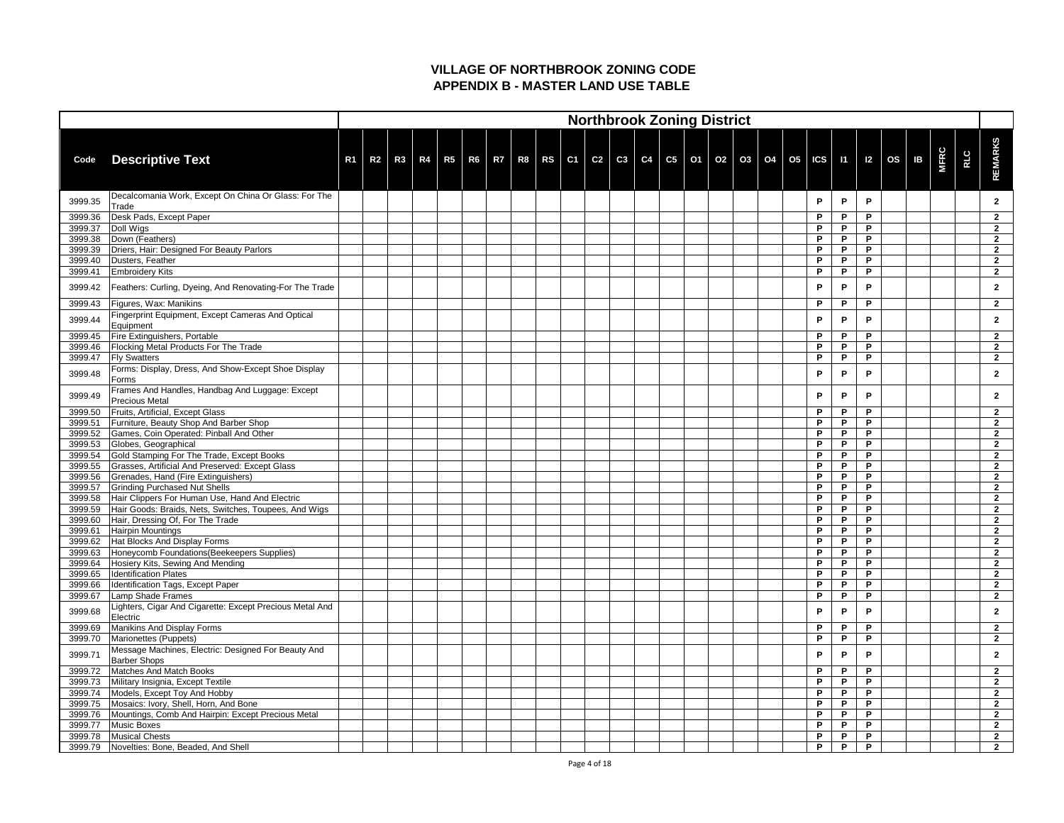|         |                                                                               |                |                |  |  |                                                                                                         |  |  |  | <b>Northbrook Zoning District</b> |  |  |   |   |   |    |             |            |                |
|---------|-------------------------------------------------------------------------------|----------------|----------------|--|--|---------------------------------------------------------------------------------------------------------|--|--|--|-----------------------------------|--|--|---|---|---|----|-------------|------------|----------------|
|         |                                                                               |                |                |  |  |                                                                                                         |  |  |  |                                   |  |  |   |   |   |    |             |            |                |
|         |                                                                               |                |                |  |  |                                                                                                         |  |  |  |                                   |  |  |   |   |   |    |             |            | <b>REMARKS</b> |
| Code    | <b>Descriptive Text</b>                                                       | R <sub>1</sub> | R <sub>2</sub> |  |  | R3   R4   R5   R6   R7   R8   RS   C1   C2   C3   C4   C5   O1   O2   O3   O4   O5   ICS   I1   I2   OS |  |  |  |                                   |  |  |   |   |   | IB | <b>MFRC</b> | <b>RLC</b> |                |
|         |                                                                               |                |                |  |  |                                                                                                         |  |  |  |                                   |  |  |   |   |   |    |             |            |                |
| 3999.35 | Decalcomania Work, Except On China Or Glass: For The<br>Trade                 |                |                |  |  |                                                                                                         |  |  |  |                                   |  |  | P | P | P |    |             |            | $\mathbf{2}$   |
| 3999.36 | Desk Pads, Except Paper                                                       |                |                |  |  |                                                                                                         |  |  |  |                                   |  |  | P | P | P |    |             |            | $\mathbf{2}$   |
| 3999.37 | Doll Wigs                                                                     |                |                |  |  |                                                                                                         |  |  |  |                                   |  |  | P | P | P |    |             |            | $\mathbf{2}$   |
| 3999.38 | Down (Feathers)                                                               |                |                |  |  |                                                                                                         |  |  |  |                                   |  |  | P | P | P |    |             |            | $\overline{2}$ |
| 3999.39 | Driers, Hair: Designed For Beauty Parlors                                     |                |                |  |  |                                                                                                         |  |  |  |                                   |  |  | P | P | P |    |             |            | $\mathbf{2}$   |
| 3999.40 | Dusters, Feather                                                              |                |                |  |  |                                                                                                         |  |  |  |                                   |  |  | P | P | P |    |             |            | $\overline{2}$ |
| 3999.41 | <b>Embroidery Kits</b>                                                        |                |                |  |  |                                                                                                         |  |  |  |                                   |  |  | P | P | P |    |             |            | $\mathbf{2}$   |
| 3999.42 | Feathers: Curling, Dyeing, And Renovating-For The Trade                       |                |                |  |  |                                                                                                         |  |  |  |                                   |  |  | P | P | P |    |             |            | $\mathbf{2}$   |
| 3999.43 | Figures, Wax: Manikins                                                        |                |                |  |  |                                                                                                         |  |  |  |                                   |  |  | P | P | D |    |             |            | $\mathbf{2}$   |
|         | Fingerprint Equipment, Except Cameras And Optical                             |                |                |  |  |                                                                                                         |  |  |  |                                   |  |  |   |   |   |    |             |            |                |
| 3999.44 | Equipment                                                                     |                |                |  |  |                                                                                                         |  |  |  |                                   |  |  | P | P | P |    |             |            | $\mathbf{2}$   |
| 3999.45 | <b>Fire Extinguishers, Portable</b>                                           |                |                |  |  |                                                                                                         |  |  |  |                                   |  |  | P | P | P |    |             |            | $\mathbf{2}$   |
| 3999.46 | <b>Flocking Metal Products For The Trade</b>                                  |                |                |  |  |                                                                                                         |  |  |  |                                   |  |  | P | P | P |    |             |            | $\overline{2}$ |
| 3999.47 | <b>Fly Swatters</b>                                                           |                |                |  |  |                                                                                                         |  |  |  |                                   |  |  | P | P | P |    |             |            | $\overline{2}$ |
| 3999.48 | Forms: Display, Dress, And Show-Except Shoe Display<br>Forms                  |                |                |  |  |                                                                                                         |  |  |  |                                   |  |  | P | P | P |    |             |            | $\mathbf{2}$   |
|         | Frames And Handles, Handbag And Luggage: Except                               |                |                |  |  |                                                                                                         |  |  |  |                                   |  |  |   |   |   |    |             |            |                |
| 3999.49 | <b>Precious Metal</b>                                                         |                |                |  |  |                                                                                                         |  |  |  |                                   |  |  | P | P | P |    |             |            | $\mathbf{2}$   |
| 3999.50 | Fruits, Artificial, Except Glass                                              |                |                |  |  |                                                                                                         |  |  |  |                                   |  |  | P | P | P |    |             |            | $\mathbf{2}$   |
| 3999.51 | Furniture, Beauty Shop And Barber Shop                                        |                |                |  |  |                                                                                                         |  |  |  |                                   |  |  | P | P | P |    |             |            | $\overline{2}$ |
| 3999.52 | Games, Coin Operated: Pinball And Other                                       |                |                |  |  |                                                                                                         |  |  |  |                                   |  |  | P | P | P |    |             |            | $\overline{2}$ |
| 3999.53 | Globes, Geographical                                                          |                |                |  |  |                                                                                                         |  |  |  |                                   |  |  | P | P | P |    |             |            | $\overline{2}$ |
| 3999.54 | Gold Stamping For The Trade, Except Books                                     |                |                |  |  |                                                                                                         |  |  |  |                                   |  |  | P | P | P |    |             |            | $\overline{2}$ |
| 3999.55 | Grasses, Artificial And Preserved: Except Glass                               |                |                |  |  |                                                                                                         |  |  |  |                                   |  |  | P | P | P |    |             |            |                |
| 3999.56 | Grenades, Hand (Fire Extinguishers)                                           |                |                |  |  |                                                                                                         |  |  |  |                                   |  |  | P | P | P |    |             |            | $\overline{2}$ |
| 3999.57 | <b>Grinding Purchased Nut Shells</b>                                          |                |                |  |  |                                                                                                         |  |  |  |                                   |  |  | P | P | P |    |             |            | $\mathbf{2}$   |
| 3999.58 | Hair Clippers For Human Use, Hand And Electric                                |                |                |  |  |                                                                                                         |  |  |  |                                   |  |  | P | P | P |    |             |            | $\mathbf{2}$   |
| 3999.59 | Hair Goods: Braids, Nets, Switches, Toupees, And Wigs                         |                |                |  |  |                                                                                                         |  |  |  |                                   |  |  | P | P | P |    |             |            | $\mathbf{2}$   |
| 3999.60 | Hair, Dressing Of, For The Trade                                              |                |                |  |  |                                                                                                         |  |  |  |                                   |  |  | P | P | P |    |             |            | $\mathbf{2}$   |
| 3999.61 | <b>Hairpin Mountings</b>                                                      |                |                |  |  |                                                                                                         |  |  |  |                                   |  |  | P | P | P |    |             |            | $\mathbf{2}$   |
| 3999.62 | Hat Blocks And Display Forms                                                  |                |                |  |  |                                                                                                         |  |  |  |                                   |  |  | P | P | P |    |             |            | $\overline{2}$ |
| 3999.63 | Honeycomb Foundations (Beekeepers Supplies)                                   |                |                |  |  |                                                                                                         |  |  |  |                                   |  |  | P | P | P |    |             |            | $\overline{2}$ |
| 3999.64 | Hosiery Kits, Sewing And Mending                                              |                |                |  |  |                                                                                                         |  |  |  |                                   |  |  | P | P | P |    |             |            | $\mathbf{2}$   |
| 3999.65 | <b>Identification Plates</b>                                                  |                |                |  |  |                                                                                                         |  |  |  |                                   |  |  | P | P | P |    |             |            | $\overline{2}$ |
| 3999.66 | Identification Tags, Except Paper                                             |                |                |  |  |                                                                                                         |  |  |  |                                   |  |  | P | P | P |    |             |            | $\overline{2}$ |
| 3999.67 | Lamp Shade Frames<br>Lighters, Cigar And Cigarette: Except Precious Metal And |                |                |  |  |                                                                                                         |  |  |  |                                   |  |  | P | P | P |    |             |            | $\overline{2}$ |
| 3999.68 | Electric                                                                      |                |                |  |  |                                                                                                         |  |  |  |                                   |  |  | P | D | P |    |             |            | $\mathbf{2}$   |
| 3999.69 | Manikins And Display Forms                                                    |                |                |  |  |                                                                                                         |  |  |  |                                   |  |  | P | P | P |    |             |            | $\mathbf{2}$   |
| 3999.70 | Marionettes (Puppets)                                                         |                |                |  |  |                                                                                                         |  |  |  |                                   |  |  | P | P | P |    |             |            | $\mathbf{2}$   |
| 3999.71 | Message Machines, Electric: Designed For Beauty And                           |                |                |  |  |                                                                                                         |  |  |  |                                   |  |  | P | P | P |    |             |            | $\mathbf{2}$   |
| 3999.72 | <b>Barber Shops</b><br>Matches And Match Books                                |                |                |  |  |                                                                                                         |  |  |  |                                   |  |  | P | P | P |    |             |            | $\overline{2}$ |
| 3999.73 | Military Insignia, Except Textile                                             |                |                |  |  |                                                                                                         |  |  |  |                                   |  |  | P | P | P |    |             |            | $\overline{2}$ |
| 3999.74 | Models, Except Toy And Hobby                                                  |                |                |  |  |                                                                                                         |  |  |  |                                   |  |  | P | P | P |    |             |            | $\mathbf{2}$   |
| 3999.75 | Mosaics: Ivory, Shell, Horn, And Bone                                         |                |                |  |  |                                                                                                         |  |  |  |                                   |  |  | P | P | P |    |             |            | $\overline{2}$ |
| 3999.76 | Mountings, Comb And Hairpin: Except Precious Metal                            |                |                |  |  |                                                                                                         |  |  |  |                                   |  |  | P | P | P |    |             |            | $\mathbf{2}$   |
| 3999.77 | Music Boxes                                                                   |                |                |  |  |                                                                                                         |  |  |  |                                   |  |  | P | P | P |    |             |            | $\overline{2}$ |
| 3999.78 | <b>Musical Chests</b>                                                         |                |                |  |  |                                                                                                         |  |  |  |                                   |  |  | P | P | P |    |             |            | $\overline{2}$ |
| 3999.79 | Novelties: Bone, Beaded, And Shell                                            |                |                |  |  |                                                                                                         |  |  |  |                                   |  |  | P | P | P |    |             |            | $\overline{2}$ |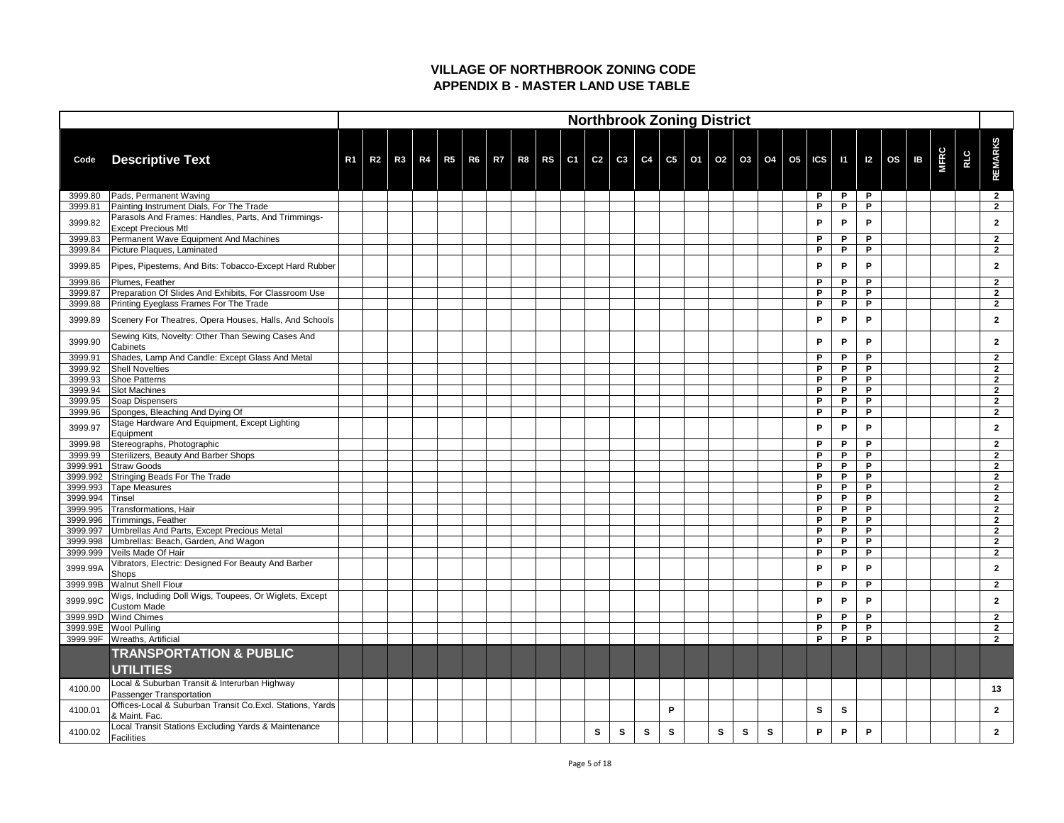|                 |                                                                                      |                |                |    |  |  |  |   |    |          | <b>Northbrook Zoning District</b>            |   |   |   |              |              |                              |  |             |            |                |
|-----------------|--------------------------------------------------------------------------------------|----------------|----------------|----|--|--|--|---|----|----------|----------------------------------------------|---|---|---|--------------|--------------|------------------------------|--|-------------|------------|----------------|
| Code            | <b>Descriptive Text</b>                                                              | R <sub>1</sub> | R <sub>2</sub> | R3 |  |  |  |   |    |          | R4 R5 R6 R7 R8 RS C1 C2 C3 C4 C5 01 02 03 04 |   |   |   |              |              | 05   ICS   11   12   OS   IB |  | <b>MFRC</b> | <b>RLC</b> | <b>REMARKS</b> |
| 3999.80         | Pads, Permanent Waving                                                               |                |                |    |  |  |  |   |    |          |                                              |   |   |   | P            | P            | P                            |  |             |            | $\overline{2}$ |
| 3999.81         | Painting Instrument Dials, For The Trade                                             |                |                |    |  |  |  |   |    |          |                                              |   |   |   | P            | P            | P                            |  |             |            | $\overline{2}$ |
| 3999.82         | Parasols And Frames: Handles, Parts, And Trimmings-<br><b>Except Precious Mtl</b>    |                |                |    |  |  |  |   |    |          |                                              |   |   |   | P            | P            | P                            |  |             |            | $\mathbf{2}$   |
| 3999.83         | Permanent Wave Equipment And Machines                                                |                |                |    |  |  |  |   |    |          |                                              |   |   |   | P            | P            | P                            |  |             |            | $\mathbf{2}$   |
| 3999.84         | Picture Plaques, Laminated                                                           |                |                |    |  |  |  |   |    |          |                                              |   |   |   | P            | P            | P                            |  |             |            | $\overline{2}$ |
| 3999.85         | Pipes, Pipestems, And Bits: Tobacco-Except Hard Rubber                               |                |                |    |  |  |  |   |    |          |                                              |   |   |   | $\mathsf{P}$ | P            | P                            |  |             |            | $\overline{2}$ |
| 3999.86         | Plumes, Feather                                                                      |                |                |    |  |  |  |   |    |          |                                              |   |   |   | P            | P            | P                            |  |             |            | $\overline{2}$ |
| 3999.87         | Preparation Of Slides And Exhibits, For Classroom Use                                |                |                |    |  |  |  |   |    |          |                                              |   |   |   | P            | P            | P                            |  |             |            | $\overline{2}$ |
| 3999.88         | Printing Eyeglass Frames For The Trade                                               |                |                |    |  |  |  |   |    |          |                                              |   |   |   | P            | P            | P                            |  |             |            | $\overline{2}$ |
| 3999.89         | Scenery For Theatres, Opera Houses, Halls, And Schools                               |                |                |    |  |  |  |   |    |          |                                              |   |   |   | P            | P            | P                            |  |             |            | $\overline{2}$ |
| 3999.90         | Sewing Kits, Novelty: Other Than Sewing Cases And<br><b>Cabinets</b>                 |                |                |    |  |  |  |   |    |          |                                              |   |   |   | P            | P            | P                            |  |             |            | $\mathbf{2}$   |
| 3999.91         | Shades, Lamp And Candle: Except Glass And Metal                                      |                |                |    |  |  |  |   |    |          |                                              |   |   |   | P            | P            | P                            |  |             |            | $\overline{2}$ |
| 3999.92         | <b>Shell Novelties</b>                                                               |                |                |    |  |  |  |   |    |          |                                              |   |   |   | P            | P            | P                            |  |             |            | $\overline{2}$ |
| 3999.93         | <b>Shoe Patterns</b>                                                                 |                |                |    |  |  |  |   |    |          |                                              |   |   |   | P            | P            | P                            |  |             |            | $\overline{2}$ |
| 3999.94         | <b>Slot Machines</b>                                                                 |                |                |    |  |  |  |   |    |          |                                              |   |   |   | P            | P            | P                            |  |             |            | $\overline{2}$ |
| 3999.95         | Soap Dispensers                                                                      |                |                |    |  |  |  |   |    |          |                                              |   |   |   | P            | P            | P                            |  |             |            | $\overline{2}$ |
| 3999.96         | Sponges, Bleaching And Dying Of                                                      |                |                |    |  |  |  |   |    |          |                                              |   |   |   | P            | P            | P                            |  |             |            | $\overline{2}$ |
| 3999.97         | Stage Hardware And Equipment, Except Lighting<br>Equipment                           |                |                |    |  |  |  |   |    |          |                                              |   |   |   | P            | P            | P                            |  |             |            | $\mathbf{2}$   |
| 3999.98         | Stereographs, Photographic                                                           |                |                |    |  |  |  |   |    |          |                                              |   |   |   | P            | P            | P                            |  |             |            | $\mathbf{2}$   |
| 3999.99         | Sterilizers, Beauty And Barber Shops                                                 |                |                |    |  |  |  |   |    |          |                                              |   |   |   | P            | P            | P                            |  |             |            | $\overline{2}$ |
|                 | 3999.991 Straw Goods                                                                 |                |                |    |  |  |  |   |    |          |                                              |   |   |   | P            | P            | P                            |  |             |            | 2              |
|                 | 3999.992 Stringing Beads For The Trade                                               |                |                |    |  |  |  |   |    |          |                                              |   |   |   | P            | P            | P                            |  |             |            | $\mathbf{2}$   |
|                 | 3999.993   Tape Measures                                                             |                |                |    |  |  |  |   |    |          |                                              |   |   |   | P            | P            | P                            |  |             |            | $\mathbf{2}$   |
| 3999.994 Tinsel |                                                                                      |                |                |    |  |  |  |   |    |          |                                              |   |   |   | P            | P            | P                            |  |             |            | $\overline{2}$ |
|                 | 3999.995 Transformations, Hair                                                       |                |                |    |  |  |  |   |    |          |                                              |   |   |   | P            | P            | P                            |  |             |            | $\overline{2}$ |
|                 | 3999.996 Trimmings, Feather                                                          |                |                |    |  |  |  |   |    |          |                                              |   |   |   | P            | P            | P                            |  |             |            | $\mathbf{2}$   |
|                 | 3999.997 Umbrellas And Parts, Except Precious Metal                                  |                |                |    |  |  |  |   |    |          |                                              |   |   |   | P            | P            | P                            |  |             |            | $\overline{2}$ |
|                 | 3999.998   Umbrellas: Beach, Garden, And Wagon                                       |                |                |    |  |  |  |   |    |          |                                              |   |   |   | P            | P            | P                            |  |             |            | $\overline{2}$ |
|                 | 3999.999   Veils Made Of Hair<br>Vibrators, Electric: Designed For Beauty And Barber |                |                |    |  |  |  |   |    |          |                                              |   |   |   | P            | P            | P                            |  |             |            | $\overline{2}$ |
| 3999.99A        | Shops                                                                                |                |                |    |  |  |  |   |    |          |                                              |   |   |   | P            | P            | P                            |  |             |            | $\mathbf{2}$   |
|                 | 3999.99B   Walnut Shell Flour                                                        |                |                |    |  |  |  |   |    |          |                                              |   |   |   | $\mathsf{P}$ | P            | P                            |  |             |            | $\mathbf{2}$   |
| 3999.99C        | Wigs, Including Doll Wigs, Toupees, Or Wiglets, Except<br><b>Custom Made</b>         |                |                |    |  |  |  |   |    |          |                                              |   |   |   | P            | P            | P                            |  |             |            | $\mathbf{2}$   |
| 3999.99D        | <b>Wind Chimes</b>                                                                   |                |                |    |  |  |  |   |    |          |                                              |   |   |   | P            | P            | P                            |  |             |            | $\mathbf{2}$   |
|                 | 3999.99E Wool Pulling                                                                |                |                |    |  |  |  |   |    |          |                                              |   |   |   | $\mathsf{P}$ | P            | P                            |  |             |            | $\mathbf{2}$   |
|                 | 3999.99F   Wreaths, Artificial                                                       |                |                |    |  |  |  |   |    |          |                                              |   |   |   | P            | P            | P                            |  |             |            | $\overline{2}$ |
|                 | <b>TRANSPORTATION &amp; PUBLIC</b><br><b>UTILITIES</b>                               |                |                |    |  |  |  |   |    |          |                                              |   |   |   |              |              |                              |  |             |            |                |
| 4100.00         | Local & Suburban Transit & Interurban Highway<br>Passenger Transportation            |                |                |    |  |  |  |   |    |          |                                              |   |   |   |              |              |                              |  |             |            | 13             |
| 4100.01         | Offices-Local & Suburban Transit Co.Excl. Stations, Yards<br>& Maint. Fac.           |                |                |    |  |  |  |   |    |          | P                                            |   |   |   | $\mathbf{s}$ | $\mathbf{s}$ |                              |  |             |            | $\overline{2}$ |
| 4100.02         | Local Transit Stations Excluding Yards & Maintenance<br>Facilities                   |                |                |    |  |  |  | S | S. | <b>S</b> | S                                            | S | S | S | P            | P            | P                            |  |             |            | $\mathbf{2}$   |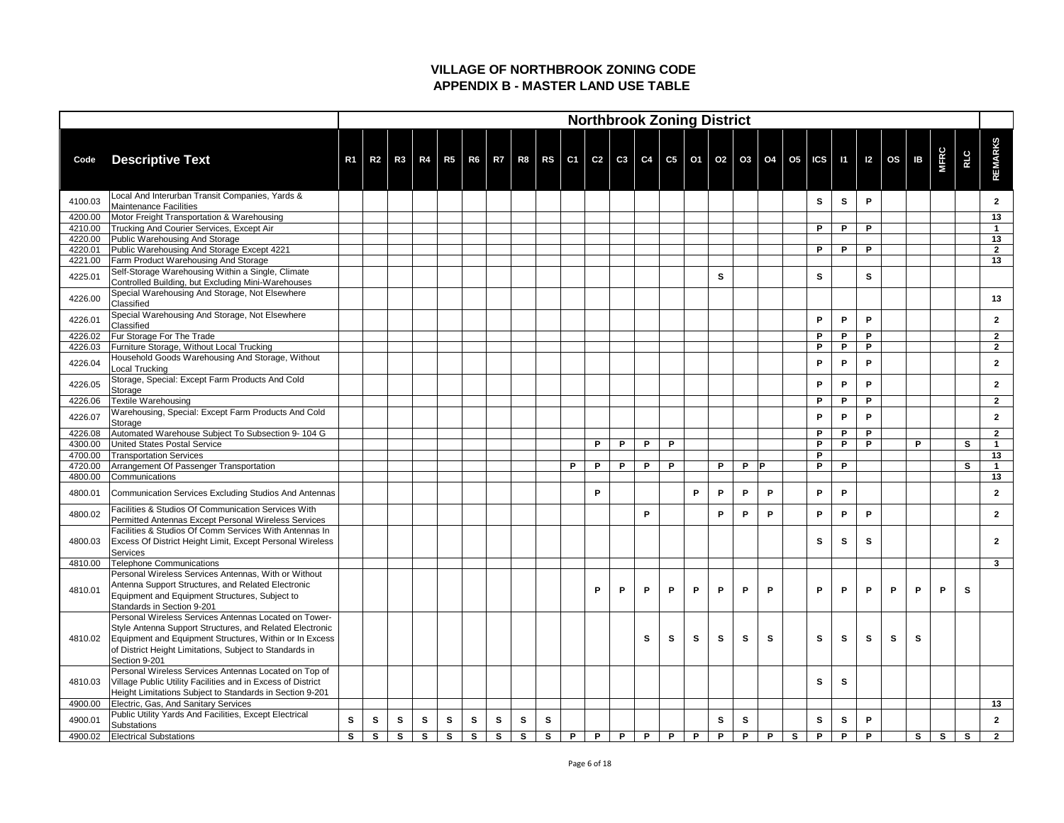| <b>REMARKS</b><br><b>MFRC</b><br><b>RLC</b><br>R3   R4   R5   R6   R7   R8   RS   C1   C2   C3   C4   C5   O1   O2   O3   O4   O5   ICS   I1   I2   OS  <br>IB<br><b>Descriptive Text</b><br>R <sub>2</sub><br>R <sub>1</sub><br>Code<br>Local And Interurban Transit Companies, Yards &<br>4100.03<br>$\mathbf{s}$<br>P<br>S<br>$\mathbf{2}$<br>Maintenance Facilities<br>Motor Freight Transportation & Warehousing<br>13<br>4200.00<br>Trucking And Courier Services, Except Air<br>P<br>P<br>P<br>4210.00<br>Public Warehousing And Storage<br>4220.00<br>13<br>Public Warehousing And Storage Except 4221<br>4220.01<br>P<br>P<br>P<br>$\overline{2}$<br><b>Farm Product Warehousing And Storage</b><br>13<br>4221.00<br>Self-Storage Warehousing Within a Single, Climate<br><b>S</b><br>S<br>4225.01<br><b>S</b><br>Controlled Building, but Excluding Mini-Warehouses<br>Special Warehousing And Storage, Not Elsewhere<br>4226.00<br>13<br>Classified<br>Special Warehousing And Storage, Not Elsewhere<br>P<br>4226.01<br>P<br>P<br>$\overline{2}$<br>Classified<br><b>Fur Storage For The Trade</b><br>4226.02<br>P<br>P<br>P<br>$\mathbf{2}$<br>Furniture Storage, Without Local Trucking<br>P<br>4226.03<br>P<br>P<br>$\overline{2}$<br>Household Goods Warehousing And Storage, Without<br>4226.04<br>P<br>P<br>P<br>$\overline{2}$<br>Local Trucking<br>Storage, Special: Except Farm Products And Cold<br>4226.05<br>P<br>P<br>P<br>$\mathbf{2}$<br>Storage<br>Textile Warehousing<br>4226.06<br>P<br>P<br>P<br>$\mathbf{2}$<br>Warehousing, Special: Except Farm Products And Cold<br>4226.07<br>P<br>P<br>P<br>2<br>Storage<br>Automated Warehouse Subject To Subsection 9-104 G<br>4226.08<br>P<br>P<br>P<br>$\overline{2}$<br>United States Postal Service<br>P<br>P<br>S<br>4300.00<br>P<br>P<br>P<br>P<br>P<br>P<br>P<br>13<br>4700.00<br><b>Transportation Services</b><br>4720.00<br>Arrangement Of Passenger Transportation<br>P<br>P<br>P —<br>P<br>P<br>P<br>P P<br>P<br>P<br>S<br>4800.00<br>13<br>Communications<br>P<br>Communication Services Excluding Studios And Antennas<br>P<br>P<br>P<br>4800.01<br>P<br>P<br>P<br>$\mathbf{2}$<br><b>Facilities &amp; Studios Of Communication Services With</b><br>P<br>P<br>4800.02<br>P<br>P<br>P<br>P<br>P<br>$\mathbf{2}$<br>Permitted Antennas Except Personal Wireless Services<br>Facilities & Studios Of Comm Services With Antennas In<br>$\mathbf{s}$<br><b>Excess Of District Height Limit, Except Personal Wireless</b><br>S<br>S<br>4800.03<br>$\overline{2}$<br>Services<br>Telephone Communications<br>$\mathbf{3}$<br>4810.00<br>Personal Wireless Services Antennas, With or Without<br>Antenna Support Structures, and Related Electronic<br>P<br>P<br>P<br>P<br>P<br>P<br>P<br>P<br>P<br>P<br>P<br>$\mathbf{s}$<br>4810.01<br>P<br>P<br>P<br>Equipment and Equipment Structures, Subject to<br>Standards in Section 9-201<br>Personal Wireless Services Antennas Located on Tower-<br>Style Antenna Support Structures, and Related Electronic<br>Equipment and Equipment Structures, Within or In Excess<br>$\mathbf{s}$<br>$\mathbf{s}$<br>$\mathbf{s}$<br>$\mathbf{s}$<br>$\mathbf{s}$<br>$\mathbf{s}$<br>S<br>S<br>S<br><b>S</b><br>S<br>4810.02<br>of District Height Limitations, Subject to Standards in<br>Section 9-201<br>Personal Wireless Services Antennas Located on Top of<br>Village Public Utility Facilities and in Excess of District<br>$\mathbf{s}$<br>S<br>4810.03<br>Height Limitations Subject to Standards in Section 9-201<br>Electric, Gas, And Sanitary Services<br>4900.00<br>13<br>Public Utility Yards And Facilities, Except Electrical<br>$\mathbf{s}$<br>$\mathbf{s}$<br>$\mathbf{s}$<br>$\mathbf{s}$<br>$\mathbf{s}$<br>$\mathbf{s}$<br>$\mathbf{s}$<br>$\mathsf{P}$<br>4900.01<br>$\mathbf{s}$<br>S<br><b>S</b><br>$\mathbf{s}$<br>S<br>$\mathbf{s}$<br>$\mathbf{2}$ |             |  |  |  |  |  |  |  | <b>Northbrook Zoning District</b> |  |  |  |  |  |  |
|----------------------------------------------------------------------------------------------------------------------------------------------------------------------------------------------------------------------------------------------------------------------------------------------------------------------------------------------------------------------------------------------------------------------------------------------------------------------------------------------------------------------------------------------------------------------------------------------------------------------------------------------------------------------------------------------------------------------------------------------------------------------------------------------------------------------------------------------------------------------------------------------------------------------------------------------------------------------------------------------------------------------------------------------------------------------------------------------------------------------------------------------------------------------------------------------------------------------------------------------------------------------------------------------------------------------------------------------------------------------------------------------------------------------------------------------------------------------------------------------------------------------------------------------------------------------------------------------------------------------------------------------------------------------------------------------------------------------------------------------------------------------------------------------------------------------------------------------------------------------------------------------------------------------------------------------------------------------------------------------------------------------------------------------------------------------------------------------------------------------------------------------------------------------------------------------------------------------------------------------------------------------------------------------------------------------------------------------------------------------------------------------------------------------------------------------------------------------------------------------------------------------------------------------------------------------------------------------------------------------------------------------------------------------------------------------------------------------------------------------------------------------------------------------------------------------------------------------------------------------------------------------------------------------------------------------------------------------------------------------------------------------------------------------------------------------------------------------------------------------------------------------------------------------------------------------------------------------------------------------------------------------------------------------------------------------------------------------------------------------------------------------------------------------------------------------------------------------------------------------------------------------------------------------------------------------------------------------------------------------------------------------------------------------------------------------------------------------------------------------------------------------------------------------------------------------------------------------------------------------------------------------------|-------------|--|--|--|--|--|--|--|-----------------------------------|--|--|--|--|--|--|
|                                                                                                                                                                                                                                                                                                                                                                                                                                                                                                                                                                                                                                                                                                                                                                                                                                                                                                                                                                                                                                                                                                                                                                                                                                                                                                                                                                                                                                                                                                                                                                                                                                                                                                                                                                                                                                                                                                                                                                                                                                                                                                                                                                                                                                                                                                                                                                                                                                                                                                                                                                                                                                                                                                                                                                                                                                                                                                                                                                                                                                                                                                                                                                                                                                                                                                                                                                                                                                                                                                                                                                                                                                                                                                                                                                                                                                                                                                    |             |  |  |  |  |  |  |  |                                   |  |  |  |  |  |  |
|                                                                                                                                                                                                                                                                                                                                                                                                                                                                                                                                                                                                                                                                                                                                                                                                                                                                                                                                                                                                                                                                                                                                                                                                                                                                                                                                                                                                                                                                                                                                                                                                                                                                                                                                                                                                                                                                                                                                                                                                                                                                                                                                                                                                                                                                                                                                                                                                                                                                                                                                                                                                                                                                                                                                                                                                                                                                                                                                                                                                                                                                                                                                                                                                                                                                                                                                                                                                                                                                                                                                                                                                                                                                                                                                                                                                                                                                                                    |             |  |  |  |  |  |  |  |                                   |  |  |  |  |  |  |
|                                                                                                                                                                                                                                                                                                                                                                                                                                                                                                                                                                                                                                                                                                                                                                                                                                                                                                                                                                                                                                                                                                                                                                                                                                                                                                                                                                                                                                                                                                                                                                                                                                                                                                                                                                                                                                                                                                                                                                                                                                                                                                                                                                                                                                                                                                                                                                                                                                                                                                                                                                                                                                                                                                                                                                                                                                                                                                                                                                                                                                                                                                                                                                                                                                                                                                                                                                                                                                                                                                                                                                                                                                                                                                                                                                                                                                                                                                    |             |  |  |  |  |  |  |  |                                   |  |  |  |  |  |  |
|                                                                                                                                                                                                                                                                                                                                                                                                                                                                                                                                                                                                                                                                                                                                                                                                                                                                                                                                                                                                                                                                                                                                                                                                                                                                                                                                                                                                                                                                                                                                                                                                                                                                                                                                                                                                                                                                                                                                                                                                                                                                                                                                                                                                                                                                                                                                                                                                                                                                                                                                                                                                                                                                                                                                                                                                                                                                                                                                                                                                                                                                                                                                                                                                                                                                                                                                                                                                                                                                                                                                                                                                                                                                                                                                                                                                                                                                                                    |             |  |  |  |  |  |  |  |                                   |  |  |  |  |  |  |
|                                                                                                                                                                                                                                                                                                                                                                                                                                                                                                                                                                                                                                                                                                                                                                                                                                                                                                                                                                                                                                                                                                                                                                                                                                                                                                                                                                                                                                                                                                                                                                                                                                                                                                                                                                                                                                                                                                                                                                                                                                                                                                                                                                                                                                                                                                                                                                                                                                                                                                                                                                                                                                                                                                                                                                                                                                                                                                                                                                                                                                                                                                                                                                                                                                                                                                                                                                                                                                                                                                                                                                                                                                                                                                                                                                                                                                                                                                    |             |  |  |  |  |  |  |  |                                   |  |  |  |  |  |  |
|                                                                                                                                                                                                                                                                                                                                                                                                                                                                                                                                                                                                                                                                                                                                                                                                                                                                                                                                                                                                                                                                                                                                                                                                                                                                                                                                                                                                                                                                                                                                                                                                                                                                                                                                                                                                                                                                                                                                                                                                                                                                                                                                                                                                                                                                                                                                                                                                                                                                                                                                                                                                                                                                                                                                                                                                                                                                                                                                                                                                                                                                                                                                                                                                                                                                                                                                                                                                                                                                                                                                                                                                                                                                                                                                                                                                                                                                                                    |             |  |  |  |  |  |  |  |                                   |  |  |  |  |  |  |
|                                                                                                                                                                                                                                                                                                                                                                                                                                                                                                                                                                                                                                                                                                                                                                                                                                                                                                                                                                                                                                                                                                                                                                                                                                                                                                                                                                                                                                                                                                                                                                                                                                                                                                                                                                                                                                                                                                                                                                                                                                                                                                                                                                                                                                                                                                                                                                                                                                                                                                                                                                                                                                                                                                                                                                                                                                                                                                                                                                                                                                                                                                                                                                                                                                                                                                                                                                                                                                                                                                                                                                                                                                                                                                                                                                                                                                                                                                    |             |  |  |  |  |  |  |  |                                   |  |  |  |  |  |  |
|                                                                                                                                                                                                                                                                                                                                                                                                                                                                                                                                                                                                                                                                                                                                                                                                                                                                                                                                                                                                                                                                                                                                                                                                                                                                                                                                                                                                                                                                                                                                                                                                                                                                                                                                                                                                                                                                                                                                                                                                                                                                                                                                                                                                                                                                                                                                                                                                                                                                                                                                                                                                                                                                                                                                                                                                                                                                                                                                                                                                                                                                                                                                                                                                                                                                                                                                                                                                                                                                                                                                                                                                                                                                                                                                                                                                                                                                                                    |             |  |  |  |  |  |  |  |                                   |  |  |  |  |  |  |
|                                                                                                                                                                                                                                                                                                                                                                                                                                                                                                                                                                                                                                                                                                                                                                                                                                                                                                                                                                                                                                                                                                                                                                                                                                                                                                                                                                                                                                                                                                                                                                                                                                                                                                                                                                                                                                                                                                                                                                                                                                                                                                                                                                                                                                                                                                                                                                                                                                                                                                                                                                                                                                                                                                                                                                                                                                                                                                                                                                                                                                                                                                                                                                                                                                                                                                                                                                                                                                                                                                                                                                                                                                                                                                                                                                                                                                                                                                    |             |  |  |  |  |  |  |  |                                   |  |  |  |  |  |  |
|                                                                                                                                                                                                                                                                                                                                                                                                                                                                                                                                                                                                                                                                                                                                                                                                                                                                                                                                                                                                                                                                                                                                                                                                                                                                                                                                                                                                                                                                                                                                                                                                                                                                                                                                                                                                                                                                                                                                                                                                                                                                                                                                                                                                                                                                                                                                                                                                                                                                                                                                                                                                                                                                                                                                                                                                                                                                                                                                                                                                                                                                                                                                                                                                                                                                                                                                                                                                                                                                                                                                                                                                                                                                                                                                                                                                                                                                                                    |             |  |  |  |  |  |  |  |                                   |  |  |  |  |  |  |
|                                                                                                                                                                                                                                                                                                                                                                                                                                                                                                                                                                                                                                                                                                                                                                                                                                                                                                                                                                                                                                                                                                                                                                                                                                                                                                                                                                                                                                                                                                                                                                                                                                                                                                                                                                                                                                                                                                                                                                                                                                                                                                                                                                                                                                                                                                                                                                                                                                                                                                                                                                                                                                                                                                                                                                                                                                                                                                                                                                                                                                                                                                                                                                                                                                                                                                                                                                                                                                                                                                                                                                                                                                                                                                                                                                                                                                                                                                    |             |  |  |  |  |  |  |  |                                   |  |  |  |  |  |  |
|                                                                                                                                                                                                                                                                                                                                                                                                                                                                                                                                                                                                                                                                                                                                                                                                                                                                                                                                                                                                                                                                                                                                                                                                                                                                                                                                                                                                                                                                                                                                                                                                                                                                                                                                                                                                                                                                                                                                                                                                                                                                                                                                                                                                                                                                                                                                                                                                                                                                                                                                                                                                                                                                                                                                                                                                                                                                                                                                                                                                                                                                                                                                                                                                                                                                                                                                                                                                                                                                                                                                                                                                                                                                                                                                                                                                                                                                                                    |             |  |  |  |  |  |  |  |                                   |  |  |  |  |  |  |
|                                                                                                                                                                                                                                                                                                                                                                                                                                                                                                                                                                                                                                                                                                                                                                                                                                                                                                                                                                                                                                                                                                                                                                                                                                                                                                                                                                                                                                                                                                                                                                                                                                                                                                                                                                                                                                                                                                                                                                                                                                                                                                                                                                                                                                                                                                                                                                                                                                                                                                                                                                                                                                                                                                                                                                                                                                                                                                                                                                                                                                                                                                                                                                                                                                                                                                                                                                                                                                                                                                                                                                                                                                                                                                                                                                                                                                                                                                    |             |  |  |  |  |  |  |  |                                   |  |  |  |  |  |  |
|                                                                                                                                                                                                                                                                                                                                                                                                                                                                                                                                                                                                                                                                                                                                                                                                                                                                                                                                                                                                                                                                                                                                                                                                                                                                                                                                                                                                                                                                                                                                                                                                                                                                                                                                                                                                                                                                                                                                                                                                                                                                                                                                                                                                                                                                                                                                                                                                                                                                                                                                                                                                                                                                                                                                                                                                                                                                                                                                                                                                                                                                                                                                                                                                                                                                                                                                                                                                                                                                                                                                                                                                                                                                                                                                                                                                                                                                                                    |             |  |  |  |  |  |  |  |                                   |  |  |  |  |  |  |
|                                                                                                                                                                                                                                                                                                                                                                                                                                                                                                                                                                                                                                                                                                                                                                                                                                                                                                                                                                                                                                                                                                                                                                                                                                                                                                                                                                                                                                                                                                                                                                                                                                                                                                                                                                                                                                                                                                                                                                                                                                                                                                                                                                                                                                                                                                                                                                                                                                                                                                                                                                                                                                                                                                                                                                                                                                                                                                                                                                                                                                                                                                                                                                                                                                                                                                                                                                                                                                                                                                                                                                                                                                                                                                                                                                                                                                                                                                    |             |  |  |  |  |  |  |  |                                   |  |  |  |  |  |  |
|                                                                                                                                                                                                                                                                                                                                                                                                                                                                                                                                                                                                                                                                                                                                                                                                                                                                                                                                                                                                                                                                                                                                                                                                                                                                                                                                                                                                                                                                                                                                                                                                                                                                                                                                                                                                                                                                                                                                                                                                                                                                                                                                                                                                                                                                                                                                                                                                                                                                                                                                                                                                                                                                                                                                                                                                                                                                                                                                                                                                                                                                                                                                                                                                                                                                                                                                                                                                                                                                                                                                                                                                                                                                                                                                                                                                                                                                                                    |             |  |  |  |  |  |  |  |                                   |  |  |  |  |  |  |
|                                                                                                                                                                                                                                                                                                                                                                                                                                                                                                                                                                                                                                                                                                                                                                                                                                                                                                                                                                                                                                                                                                                                                                                                                                                                                                                                                                                                                                                                                                                                                                                                                                                                                                                                                                                                                                                                                                                                                                                                                                                                                                                                                                                                                                                                                                                                                                                                                                                                                                                                                                                                                                                                                                                                                                                                                                                                                                                                                                                                                                                                                                                                                                                                                                                                                                                                                                                                                                                                                                                                                                                                                                                                                                                                                                                                                                                                                                    |             |  |  |  |  |  |  |  |                                   |  |  |  |  |  |  |
|                                                                                                                                                                                                                                                                                                                                                                                                                                                                                                                                                                                                                                                                                                                                                                                                                                                                                                                                                                                                                                                                                                                                                                                                                                                                                                                                                                                                                                                                                                                                                                                                                                                                                                                                                                                                                                                                                                                                                                                                                                                                                                                                                                                                                                                                                                                                                                                                                                                                                                                                                                                                                                                                                                                                                                                                                                                                                                                                                                                                                                                                                                                                                                                                                                                                                                                                                                                                                                                                                                                                                                                                                                                                                                                                                                                                                                                                                                    |             |  |  |  |  |  |  |  |                                   |  |  |  |  |  |  |
|                                                                                                                                                                                                                                                                                                                                                                                                                                                                                                                                                                                                                                                                                                                                                                                                                                                                                                                                                                                                                                                                                                                                                                                                                                                                                                                                                                                                                                                                                                                                                                                                                                                                                                                                                                                                                                                                                                                                                                                                                                                                                                                                                                                                                                                                                                                                                                                                                                                                                                                                                                                                                                                                                                                                                                                                                                                                                                                                                                                                                                                                                                                                                                                                                                                                                                                                                                                                                                                                                                                                                                                                                                                                                                                                                                                                                                                                                                    |             |  |  |  |  |  |  |  |                                   |  |  |  |  |  |  |
|                                                                                                                                                                                                                                                                                                                                                                                                                                                                                                                                                                                                                                                                                                                                                                                                                                                                                                                                                                                                                                                                                                                                                                                                                                                                                                                                                                                                                                                                                                                                                                                                                                                                                                                                                                                                                                                                                                                                                                                                                                                                                                                                                                                                                                                                                                                                                                                                                                                                                                                                                                                                                                                                                                                                                                                                                                                                                                                                                                                                                                                                                                                                                                                                                                                                                                                                                                                                                                                                                                                                                                                                                                                                                                                                                                                                                                                                                                    |             |  |  |  |  |  |  |  |                                   |  |  |  |  |  |  |
|                                                                                                                                                                                                                                                                                                                                                                                                                                                                                                                                                                                                                                                                                                                                                                                                                                                                                                                                                                                                                                                                                                                                                                                                                                                                                                                                                                                                                                                                                                                                                                                                                                                                                                                                                                                                                                                                                                                                                                                                                                                                                                                                                                                                                                                                                                                                                                                                                                                                                                                                                                                                                                                                                                                                                                                                                                                                                                                                                                                                                                                                                                                                                                                                                                                                                                                                                                                                                                                                                                                                                                                                                                                                                                                                                                                                                                                                                                    |             |  |  |  |  |  |  |  |                                   |  |  |  |  |  |  |
|                                                                                                                                                                                                                                                                                                                                                                                                                                                                                                                                                                                                                                                                                                                                                                                                                                                                                                                                                                                                                                                                                                                                                                                                                                                                                                                                                                                                                                                                                                                                                                                                                                                                                                                                                                                                                                                                                                                                                                                                                                                                                                                                                                                                                                                                                                                                                                                                                                                                                                                                                                                                                                                                                                                                                                                                                                                                                                                                                                                                                                                                                                                                                                                                                                                                                                                                                                                                                                                                                                                                                                                                                                                                                                                                                                                                                                                                                                    |             |  |  |  |  |  |  |  |                                   |  |  |  |  |  |  |
|                                                                                                                                                                                                                                                                                                                                                                                                                                                                                                                                                                                                                                                                                                                                                                                                                                                                                                                                                                                                                                                                                                                                                                                                                                                                                                                                                                                                                                                                                                                                                                                                                                                                                                                                                                                                                                                                                                                                                                                                                                                                                                                                                                                                                                                                                                                                                                                                                                                                                                                                                                                                                                                                                                                                                                                                                                                                                                                                                                                                                                                                                                                                                                                                                                                                                                                                                                                                                                                                                                                                                                                                                                                                                                                                                                                                                                                                                                    |             |  |  |  |  |  |  |  |                                   |  |  |  |  |  |  |
|                                                                                                                                                                                                                                                                                                                                                                                                                                                                                                                                                                                                                                                                                                                                                                                                                                                                                                                                                                                                                                                                                                                                                                                                                                                                                                                                                                                                                                                                                                                                                                                                                                                                                                                                                                                                                                                                                                                                                                                                                                                                                                                                                                                                                                                                                                                                                                                                                                                                                                                                                                                                                                                                                                                                                                                                                                                                                                                                                                                                                                                                                                                                                                                                                                                                                                                                                                                                                                                                                                                                                                                                                                                                                                                                                                                                                                                                                                    |             |  |  |  |  |  |  |  |                                   |  |  |  |  |  |  |
|                                                                                                                                                                                                                                                                                                                                                                                                                                                                                                                                                                                                                                                                                                                                                                                                                                                                                                                                                                                                                                                                                                                                                                                                                                                                                                                                                                                                                                                                                                                                                                                                                                                                                                                                                                                                                                                                                                                                                                                                                                                                                                                                                                                                                                                                                                                                                                                                                                                                                                                                                                                                                                                                                                                                                                                                                                                                                                                                                                                                                                                                                                                                                                                                                                                                                                                                                                                                                                                                                                                                                                                                                                                                                                                                                                                                                                                                                                    |             |  |  |  |  |  |  |  |                                   |  |  |  |  |  |  |
|                                                                                                                                                                                                                                                                                                                                                                                                                                                                                                                                                                                                                                                                                                                                                                                                                                                                                                                                                                                                                                                                                                                                                                                                                                                                                                                                                                                                                                                                                                                                                                                                                                                                                                                                                                                                                                                                                                                                                                                                                                                                                                                                                                                                                                                                                                                                                                                                                                                                                                                                                                                                                                                                                                                                                                                                                                                                                                                                                                                                                                                                                                                                                                                                                                                                                                                                                                                                                                                                                                                                                                                                                                                                                                                                                                                                                                                                                                    |             |  |  |  |  |  |  |  |                                   |  |  |  |  |  |  |
|                                                                                                                                                                                                                                                                                                                                                                                                                                                                                                                                                                                                                                                                                                                                                                                                                                                                                                                                                                                                                                                                                                                                                                                                                                                                                                                                                                                                                                                                                                                                                                                                                                                                                                                                                                                                                                                                                                                                                                                                                                                                                                                                                                                                                                                                                                                                                                                                                                                                                                                                                                                                                                                                                                                                                                                                                                                                                                                                                                                                                                                                                                                                                                                                                                                                                                                                                                                                                                                                                                                                                                                                                                                                                                                                                                                                                                                                                                    |             |  |  |  |  |  |  |  |                                   |  |  |  |  |  |  |
|                                                                                                                                                                                                                                                                                                                                                                                                                                                                                                                                                                                                                                                                                                                                                                                                                                                                                                                                                                                                                                                                                                                                                                                                                                                                                                                                                                                                                                                                                                                                                                                                                                                                                                                                                                                                                                                                                                                                                                                                                                                                                                                                                                                                                                                                                                                                                                                                                                                                                                                                                                                                                                                                                                                                                                                                                                                                                                                                                                                                                                                                                                                                                                                                                                                                                                                                                                                                                                                                                                                                                                                                                                                                                                                                                                                                                                                                                                    |             |  |  |  |  |  |  |  |                                   |  |  |  |  |  |  |
|                                                                                                                                                                                                                                                                                                                                                                                                                                                                                                                                                                                                                                                                                                                                                                                                                                                                                                                                                                                                                                                                                                                                                                                                                                                                                                                                                                                                                                                                                                                                                                                                                                                                                                                                                                                                                                                                                                                                                                                                                                                                                                                                                                                                                                                                                                                                                                                                                                                                                                                                                                                                                                                                                                                                                                                                                                                                                                                                                                                                                                                                                                                                                                                                                                                                                                                                                                                                                                                                                                                                                                                                                                                                                                                                                                                                                                                                                                    |             |  |  |  |  |  |  |  |                                   |  |  |  |  |  |  |
|                                                                                                                                                                                                                                                                                                                                                                                                                                                                                                                                                                                                                                                                                                                                                                                                                                                                                                                                                                                                                                                                                                                                                                                                                                                                                                                                                                                                                                                                                                                                                                                                                                                                                                                                                                                                                                                                                                                                                                                                                                                                                                                                                                                                                                                                                                                                                                                                                                                                                                                                                                                                                                                                                                                                                                                                                                                                                                                                                                                                                                                                                                                                                                                                                                                                                                                                                                                                                                                                                                                                                                                                                                                                                                                                                                                                                                                                                                    |             |  |  |  |  |  |  |  |                                   |  |  |  |  |  |  |
|                                                                                                                                                                                                                                                                                                                                                                                                                                                                                                                                                                                                                                                                                                                                                                                                                                                                                                                                                                                                                                                                                                                                                                                                                                                                                                                                                                                                                                                                                                                                                                                                                                                                                                                                                                                                                                                                                                                                                                                                                                                                                                                                                                                                                                                                                                                                                                                                                                                                                                                                                                                                                                                                                                                                                                                                                                                                                                                                                                                                                                                                                                                                                                                                                                                                                                                                                                                                                                                                                                                                                                                                                                                                                                                                                                                                                                                                                                    |             |  |  |  |  |  |  |  |                                   |  |  |  |  |  |  |
|                                                                                                                                                                                                                                                                                                                                                                                                                                                                                                                                                                                                                                                                                                                                                                                                                                                                                                                                                                                                                                                                                                                                                                                                                                                                                                                                                                                                                                                                                                                                                                                                                                                                                                                                                                                                                                                                                                                                                                                                                                                                                                                                                                                                                                                                                                                                                                                                                                                                                                                                                                                                                                                                                                                                                                                                                                                                                                                                                                                                                                                                                                                                                                                                                                                                                                                                                                                                                                                                                                                                                                                                                                                                                                                                                                                                                                                                                                    |             |  |  |  |  |  |  |  |                                   |  |  |  |  |  |  |
|                                                                                                                                                                                                                                                                                                                                                                                                                                                                                                                                                                                                                                                                                                                                                                                                                                                                                                                                                                                                                                                                                                                                                                                                                                                                                                                                                                                                                                                                                                                                                                                                                                                                                                                                                                                                                                                                                                                                                                                                                                                                                                                                                                                                                                                                                                                                                                                                                                                                                                                                                                                                                                                                                                                                                                                                                                                                                                                                                                                                                                                                                                                                                                                                                                                                                                                                                                                                                                                                                                                                                                                                                                                                                                                                                                                                                                                                                                    |             |  |  |  |  |  |  |  |                                   |  |  |  |  |  |  |
|                                                                                                                                                                                                                                                                                                                                                                                                                                                                                                                                                                                                                                                                                                                                                                                                                                                                                                                                                                                                                                                                                                                                                                                                                                                                                                                                                                                                                                                                                                                                                                                                                                                                                                                                                                                                                                                                                                                                                                                                                                                                                                                                                                                                                                                                                                                                                                                                                                                                                                                                                                                                                                                                                                                                                                                                                                                                                                                                                                                                                                                                                                                                                                                                                                                                                                                                                                                                                                                                                                                                                                                                                                                                                                                                                                                                                                                                                                    |             |  |  |  |  |  |  |  |                                   |  |  |  |  |  |  |
|                                                                                                                                                                                                                                                                                                                                                                                                                                                                                                                                                                                                                                                                                                                                                                                                                                                                                                                                                                                                                                                                                                                                                                                                                                                                                                                                                                                                                                                                                                                                                                                                                                                                                                                                                                                                                                                                                                                                                                                                                                                                                                                                                                                                                                                                                                                                                                                                                                                                                                                                                                                                                                                                                                                                                                                                                                                                                                                                                                                                                                                                                                                                                                                                                                                                                                                                                                                                                                                                                                                                                                                                                                                                                                                                                                                                                                                                                                    |             |  |  |  |  |  |  |  |                                   |  |  |  |  |  |  |
|                                                                                                                                                                                                                                                                                                                                                                                                                                                                                                                                                                                                                                                                                                                                                                                                                                                                                                                                                                                                                                                                                                                                                                                                                                                                                                                                                                                                                                                                                                                                                                                                                                                                                                                                                                                                                                                                                                                                                                                                                                                                                                                                                                                                                                                                                                                                                                                                                                                                                                                                                                                                                                                                                                                                                                                                                                                                                                                                                                                                                                                                                                                                                                                                                                                                                                                                                                                                                                                                                                                                                                                                                                                                                                                                                                                                                                                                                                    |             |  |  |  |  |  |  |  |                                   |  |  |  |  |  |  |
|                                                                                                                                                                                                                                                                                                                                                                                                                                                                                                                                                                                                                                                                                                                                                                                                                                                                                                                                                                                                                                                                                                                                                                                                                                                                                                                                                                                                                                                                                                                                                                                                                                                                                                                                                                                                                                                                                                                                                                                                                                                                                                                                                                                                                                                                                                                                                                                                                                                                                                                                                                                                                                                                                                                                                                                                                                                                                                                                                                                                                                                                                                                                                                                                                                                                                                                                                                                                                                                                                                                                                                                                                                                                                                                                                                                                                                                                                                    |             |  |  |  |  |  |  |  |                                   |  |  |  |  |  |  |
|                                                                                                                                                                                                                                                                                                                                                                                                                                                                                                                                                                                                                                                                                                                                                                                                                                                                                                                                                                                                                                                                                                                                                                                                                                                                                                                                                                                                                                                                                                                                                                                                                                                                                                                                                                                                                                                                                                                                                                                                                                                                                                                                                                                                                                                                                                                                                                                                                                                                                                                                                                                                                                                                                                                                                                                                                                                                                                                                                                                                                                                                                                                                                                                                                                                                                                                                                                                                                                                                                                                                                                                                                                                                                                                                                                                                                                                                                                    |             |  |  |  |  |  |  |  |                                   |  |  |  |  |  |  |
|                                                                                                                                                                                                                                                                                                                                                                                                                                                                                                                                                                                                                                                                                                                                                                                                                                                                                                                                                                                                                                                                                                                                                                                                                                                                                                                                                                                                                                                                                                                                                                                                                                                                                                                                                                                                                                                                                                                                                                                                                                                                                                                                                                                                                                                                                                                                                                                                                                                                                                                                                                                                                                                                                                                                                                                                                                                                                                                                                                                                                                                                                                                                                                                                                                                                                                                                                                                                                                                                                                                                                                                                                                                                                                                                                                                                                                                                                                    |             |  |  |  |  |  |  |  |                                   |  |  |  |  |  |  |
|                                                                                                                                                                                                                                                                                                                                                                                                                                                                                                                                                                                                                                                                                                                                                                                                                                                                                                                                                                                                                                                                                                                                                                                                                                                                                                                                                                                                                                                                                                                                                                                                                                                                                                                                                                                                                                                                                                                                                                                                                                                                                                                                                                                                                                                                                                                                                                                                                                                                                                                                                                                                                                                                                                                                                                                                                                                                                                                                                                                                                                                                                                                                                                                                                                                                                                                                                                                                                                                                                                                                                                                                                                                                                                                                                                                                                                                                                                    |             |  |  |  |  |  |  |  |                                   |  |  |  |  |  |  |
|                                                                                                                                                                                                                                                                                                                                                                                                                                                                                                                                                                                                                                                                                                                                                                                                                                                                                                                                                                                                                                                                                                                                                                                                                                                                                                                                                                                                                                                                                                                                                                                                                                                                                                                                                                                                                                                                                                                                                                                                                                                                                                                                                                                                                                                                                                                                                                                                                                                                                                                                                                                                                                                                                                                                                                                                                                                                                                                                                                                                                                                                                                                                                                                                                                                                                                                                                                                                                                                                                                                                                                                                                                                                                                                                                                                                                                                                                                    |             |  |  |  |  |  |  |  |                                   |  |  |  |  |  |  |
|                                                                                                                                                                                                                                                                                                                                                                                                                                                                                                                                                                                                                                                                                                                                                                                                                                                                                                                                                                                                                                                                                                                                                                                                                                                                                                                                                                                                                                                                                                                                                                                                                                                                                                                                                                                                                                                                                                                                                                                                                                                                                                                                                                                                                                                                                                                                                                                                                                                                                                                                                                                                                                                                                                                                                                                                                                                                                                                                                                                                                                                                                                                                                                                                                                                                                                                                                                                                                                                                                                                                                                                                                                                                                                                                                                                                                                                                                                    | Substations |  |  |  |  |  |  |  |                                   |  |  |  |  |  |  |
| $\mathsf{P}$<br>$\mathsf{P}$<br>$\mathsf{P}$<br>$\mathbf{s}$<br>$\mathbf{s}$<br>S<br>$\mathbf{s}$<br>$\mathbf{s}$<br>$\mathbf{s}$<br>S<br>$\mathbf{s}$<br>S<br>$\mathbf{s}$<br>P<br>P<br>$\mathsf{P}$<br>P<br>P<br>P<br>$\mathbf{s}$<br>$\mathsf{P}$<br>P<br>P<br>$\mathbf{s}$<br>S<br>$\overline{2}$<br>4900.02<br><b>Electrical Substations</b>                                                                                                                                                                                                                                                                                                                                                                                                                                                                                                                                                                                                                                                                                                                                                                                                                                                                                                                                                                                                                                                                                                                                                                                                                                                                                                                                                                                                                                                                                                                                                                                                                                                                                                                                                                                                                                                                                                                                                                                                                                                                                                                                                                                                                                                                                                                                                                                                                                                                                                                                                                                                                                                                                                                                                                                                                                                                                                                                                                                                                                                                                                                                                                                                                                                                                                                                                                                                                                                                                                                                                  |             |  |  |  |  |  |  |  |                                   |  |  |  |  |  |  |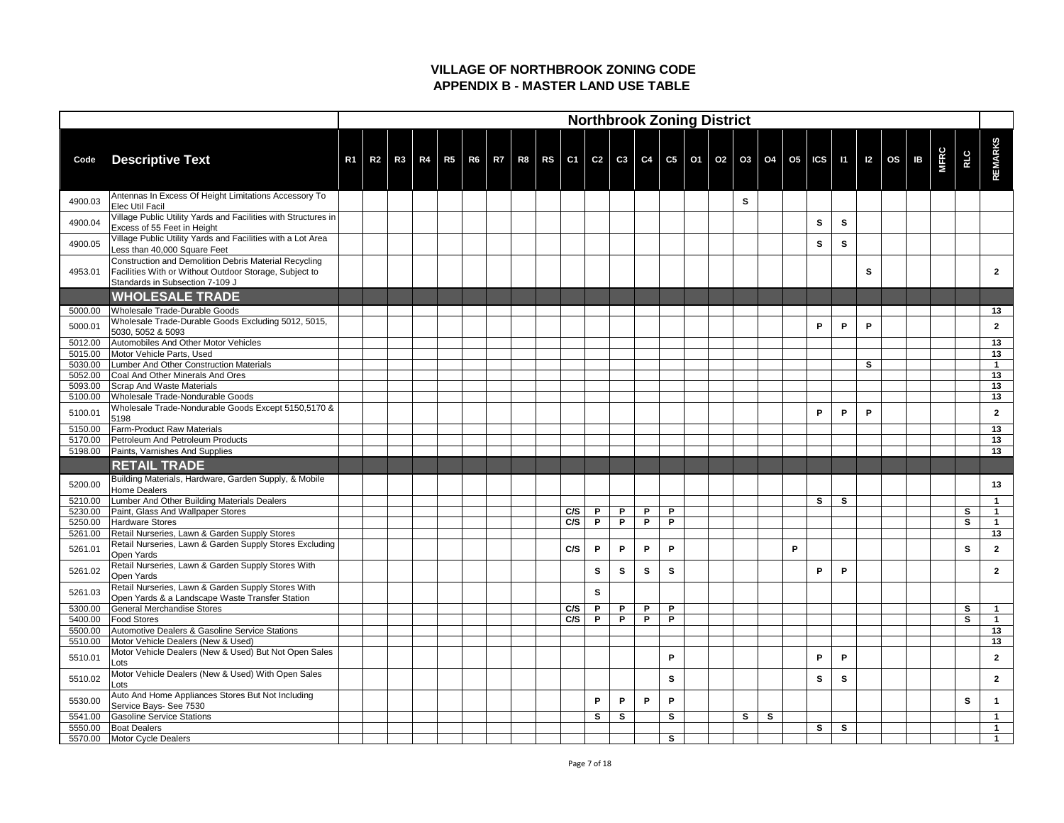|                    |                                                                                                                                                    |                |                |    |  |  |  |     |   |   |          | <b>Northbrook Zoning District</b>                                                   |  |              |              |   |              |              |   |                     |             |              |                |
|--------------------|----------------------------------------------------------------------------------------------------------------------------------------------------|----------------|----------------|----|--|--|--|-----|---|---|----------|-------------------------------------------------------------------------------------|--|--------------|--------------|---|--------------|--------------|---|---------------------|-------------|--------------|----------------|
| Code               | <b>Descriptive Text</b>                                                                                                                            | R <sub>1</sub> | R <sub>2</sub> | R3 |  |  |  |     |   |   |          | R4   R5   R6   R7   R8   RS   C1   C2   C3   C4   C5   O1   O2   O3   O4   O5   ICS |  |              |              |   |              |              |   | $11$   12   OS   1B | <b>MFRC</b> | <b>RLC</b>   | <b>REMARKS</b> |
| 4900.03            | Antennas In Excess Of Height Limitations Accessory To<br><b>Elec Util Facil</b>                                                                    |                |                |    |  |  |  |     |   |   |          |                                                                                     |  | $\mathbf{s}$ |              |   |              |              |   |                     |             |              |                |
| 4900.04            | Village Public Utility Yards and Facilities with Structures in<br>Excess of 55 Feet in Height                                                      |                |                |    |  |  |  |     |   |   |          |                                                                                     |  |              |              |   | S            | S            |   |                     |             |              |                |
| 4900.05            | Village Public Utility Yards and Facilities with a Lot Area<br>Less than 40,000 Square Feet                                                        |                |                |    |  |  |  |     |   |   |          |                                                                                     |  |              |              |   | S            | $\mathbf{s}$ |   |                     |             |              |                |
| 4953.01            | Construction and Demolition Debris Material Recycling<br>Facilities With or Without Outdoor Storage, Subject to<br>Standards in Subsection 7-109 J |                |                |    |  |  |  |     |   |   |          |                                                                                     |  |              |              |   |              |              | S |                     |             |              | $\mathbf{2}$   |
|                    | <b>WHOLESALE TRADE</b>                                                                                                                             |                |                |    |  |  |  |     |   |   |          |                                                                                     |  |              |              |   |              |              |   |                     |             |              |                |
| 5000.00            | Wholesale Trade-Durable Goods                                                                                                                      |                |                |    |  |  |  |     |   |   |          |                                                                                     |  |              |              |   |              |              |   |                     |             |              | 13             |
| 5000.01            | Wholesale Trade-Durable Goods Excluding 5012, 5015,<br>5030, 5052 & 5093                                                                           |                |                |    |  |  |  |     |   |   |          |                                                                                     |  |              |              |   | P            | P            | P |                     |             |              | $\mathbf 2$    |
| 5012.00            | Automobiles And Other Motor Vehicles                                                                                                               |                |                |    |  |  |  |     |   |   |          |                                                                                     |  |              |              |   |              |              |   |                     |             |              | 13             |
| 5015.00            | Motor Vehicle Parts, Used                                                                                                                          |                |                |    |  |  |  |     |   |   |          |                                                                                     |  |              |              |   |              |              |   |                     |             |              | 13             |
| 5030.00            | Lumber And Other Construction Materials                                                                                                            |                |                |    |  |  |  |     |   |   |          |                                                                                     |  |              |              |   |              |              | S |                     |             |              |                |
| 5052.00            | Coal And Other Minerals And Ores<br>Scrap And Waste Materials                                                                                      |                |                |    |  |  |  |     |   |   |          |                                                                                     |  |              |              |   |              |              |   |                     |             |              | 13<br>13       |
| 5093.00<br>5100.00 | Wholesale Trade-Nondurable Goods                                                                                                                   |                |                |    |  |  |  |     |   |   |          |                                                                                     |  |              |              |   |              |              |   |                     |             |              | 13             |
| 5100.01            | Wholesale Trade-Nondurable Goods Except 5150,5170 &<br>5198                                                                                        |                |                |    |  |  |  |     |   |   |          |                                                                                     |  |              |              |   | P            | P            | P |                     |             |              | $\mathbf{2}$   |
| 5150.00            | <b>Farm-Product Raw Materials</b>                                                                                                                  |                |                |    |  |  |  |     |   |   |          |                                                                                     |  |              |              |   |              |              |   |                     |             |              | 13             |
| 5170.00            | Petroleum And Petroleum Products                                                                                                                   |                |                |    |  |  |  |     |   |   |          |                                                                                     |  |              |              |   |              |              |   |                     |             |              | 13             |
| 5198.00            | Paints, Varnishes And Supplies                                                                                                                     |                |                |    |  |  |  |     |   |   |          |                                                                                     |  |              |              |   |              |              |   |                     |             |              | 13             |
|                    | <b>RETAIL TRADE</b>                                                                                                                                |                |                |    |  |  |  |     |   |   |          |                                                                                     |  |              |              |   |              |              |   |                     |             |              |                |
| 5200.00            | Building Materials, Hardware, Garden Supply, & Mobile<br>Home Dealers                                                                              |                |                |    |  |  |  |     |   |   |          |                                                                                     |  |              |              |   |              |              |   |                     |             |              | 13             |
| 5210.00            | Lumber And Other Building Materials Dealers                                                                                                        |                |                |    |  |  |  |     |   |   |          |                                                                                     |  |              |              |   | S            | $\mathbf{s}$ |   |                     |             |              |                |
| 5230.00            | Paint, Glass And Wallpaper Stores                                                                                                                  |                |                |    |  |  |  | C/S | P | P | P        | P                                                                                   |  |              |              |   |              |              |   |                     |             | S.           |                |
| 5250.00            | <b>Hardware Stores</b>                                                                                                                             |                |                |    |  |  |  | C/S | P | P | P        | P                                                                                   |  |              |              |   |              |              |   |                     |             | S            |                |
| 5261.00            | Retail Nurseries, Lawn & Garden Supply Stores                                                                                                      |                |                |    |  |  |  |     |   |   |          |                                                                                     |  |              |              |   |              |              |   |                     |             |              | 13             |
| 5261.01            | Retail Nurseries, Lawn & Garden Supply Stores Excluding<br><b>Open Yards</b>                                                                       |                |                |    |  |  |  | C/S | P | P | P        | P                                                                                   |  |              |              | P |              |              |   |                     |             | S            | $\mathbf{2}$   |
| 5261.02            | Retail Nurseries, Lawn & Garden Supply Stores With<br><b>Open Yards</b>                                                                            |                |                |    |  |  |  |     | S | S | <b>S</b> | S                                                                                   |  |              |              |   | P            | P            |   |                     |             |              | $\mathbf{2}$   |
| 5261.03            | Retail Nurseries, Lawn & Garden Supply Stores With<br>Open Yards & a Landscape Waste Transfer Station                                              |                |                |    |  |  |  |     | S |   |          |                                                                                     |  |              |              |   |              |              |   |                     |             |              |                |
| 5300.00            | <b>General Merchandise Stores</b>                                                                                                                  |                |                |    |  |  |  | C/S | P | P | P        | P                                                                                   |  |              |              |   |              |              |   |                     |             | $\mathbf{s}$ |                |
| 5400.00            | <b>Food Stores</b>                                                                                                                                 |                |                |    |  |  |  | C/S | P | P | P        | P                                                                                   |  |              |              |   |              |              |   |                     |             | S            |                |
| 5500.00            | Automotive Dealers & Gasoline Service Stations                                                                                                     |                |                |    |  |  |  |     |   |   |          |                                                                                     |  |              |              |   |              |              |   |                     |             |              | 13             |
| 5510.00            | Motor Vehicle Dealers (New & Used)                                                                                                                 |                |                |    |  |  |  |     |   |   |          |                                                                                     |  |              |              |   |              |              |   |                     |             |              | 13             |
| 5510.01            | Motor Vehicle Dealers (New & Used) But Not Open Sales<br>Lots                                                                                      |                |                |    |  |  |  |     |   |   |          | P                                                                                   |  |              |              |   | Ρ            | P            |   |                     |             |              | $\overline{2}$ |
| 5510.02            | Motor Vehicle Dealers (New & Used) With Open Sales<br>Lots                                                                                         |                |                |    |  |  |  |     |   |   |          | S                                                                                   |  |              |              |   | S            | $\mathbf{s}$ |   |                     |             |              | $\mathbf{2}$   |
| 5530.00            | Auto And Home Appliances Stores But Not Including<br>Service Bays- See 7530                                                                        |                |                |    |  |  |  |     | P | P | P        | P                                                                                   |  |              |              |   |              |              |   |                     |             | S            |                |
| 5541.00            | <b>Gasoline Service Stations</b>                                                                                                                   |                |                |    |  |  |  |     | S | S |          | $\mathbf{s}$                                                                        |  | S            | $\mathbf{s}$ |   |              |              |   |                     |             |              |                |
| 5550.00            | <b>Boat Dealers</b>                                                                                                                                |                |                |    |  |  |  |     |   |   |          |                                                                                     |  |              |              |   | $\mathbf{s}$ | $\mathbf{s}$ |   |                     |             |              |                |
| 5570.00            | Motor Cycle Dealers                                                                                                                                |                |                |    |  |  |  |     |   |   |          | S                                                                                   |  |              |              |   |              |              |   |                     |             |              |                |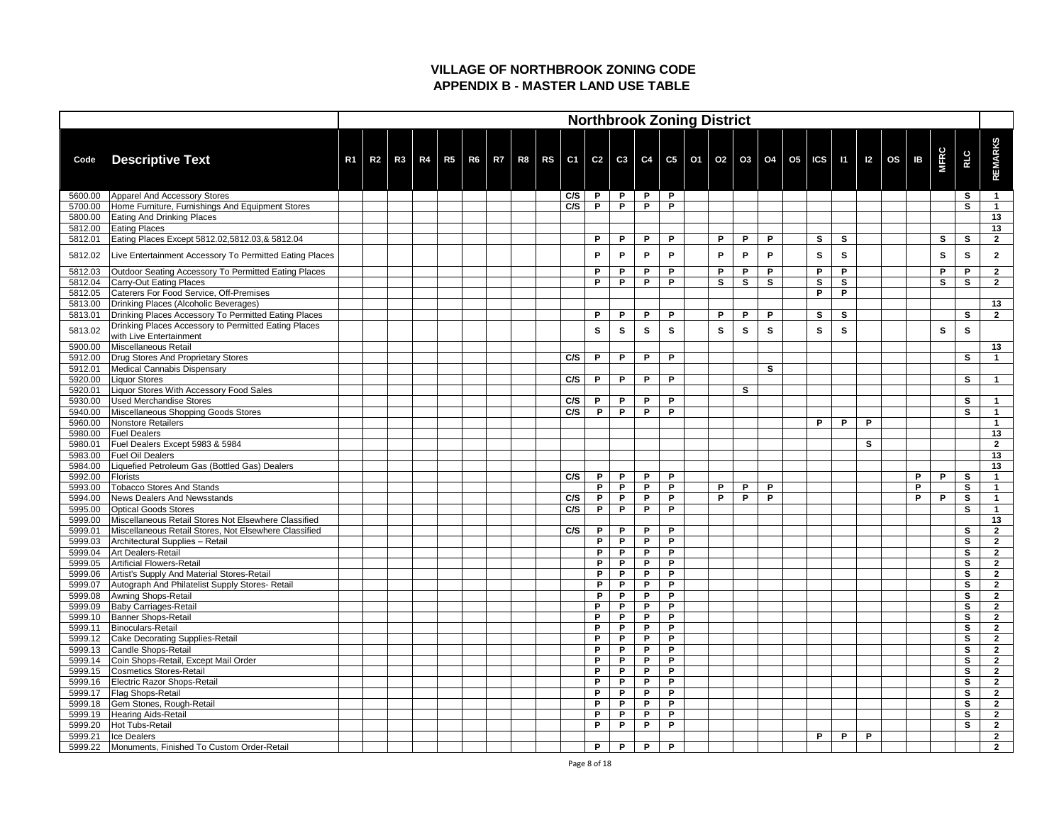|                    |                                                            |                |                |  |  |  |     |              |              |   |              | <b>Northbrook Zoning District</b> |              |    |                                                                                               |              |              |   |           |    |              |              |                                  |
|--------------------|------------------------------------------------------------|----------------|----------------|--|--|--|-----|--------------|--------------|---|--------------|-----------------------------------|--------------|----|-----------------------------------------------------------------------------------------------|--------------|--------------|---|-----------|----|--------------|--------------|----------------------------------|
| Code               | <b>Descriptive Text</b>                                    | R <sub>1</sub> | R <sub>2</sub> |  |  |  |     |              |              |   |              |                                   |              |    | R3   R4   R5   R6   R7   R8   RS   C1   C2   C3   C4   C5   O1   O2   O3   O4   O5   ICS   I1 |              |              |   | $ 12 $ OS | IB | <b>MFRC</b>  | <b>REC</b>   | <b>REMARKS</b>                   |
| 5600.00            | Apparel And Accessory Stores                               |                |                |  |  |  | C/S | P            | $\mathsf{P}$ | P | P            |                                   |              |    |                                                                                               |              |              |   |           |    |              | S            | $\mathbf 1$                      |
| 5700.00            | Home Furniture, Furnishings And Equipment Stores           |                |                |  |  |  | C/S | P            | P            | P | P            |                                   |              |    |                                                                                               |              |              |   |           |    |              | S            |                                  |
| 5800.00            | <b>Eating And Drinking Places</b>                          |                |                |  |  |  |     |              |              |   |              |                                   |              |    |                                                                                               |              |              |   |           |    |              |              | 13                               |
| 5812.00            | <b>Eating Places</b>                                       |                |                |  |  |  |     |              |              |   |              |                                   |              |    |                                                                                               |              |              |   |           |    |              |              | 13                               |
| 5812.01            | Eating Places Except 5812.02,5812.03,& 5812.04             |                |                |  |  |  |     | P            | P            | P | P            |                                   | P            | P  | P                                                                                             | <b>S</b>     | S            |   |           |    | $\mathbf{s}$ | S            | $\overline{2}$                   |
| 5812.02            | Live Entertainment Accessory To Permitted Eating Places    |                |                |  |  |  |     | P            | P            | P | P            |                                   | P            | P  | P                                                                                             | <b>S</b>     | S            |   |           |    | S            | S            | $\mathbf{2}$                     |
| 5812.03            | Outdoor Seating Accessory To Permitted Eating Places       |                |                |  |  |  |     | P            | P            | P | P            |                                   | P            | P  | P                                                                                             | P            | P            |   |           |    | P            | P            | $\mathbf{2}$                     |
| 5812.04            | Carry-Out Eating Places                                    |                |                |  |  |  |     | P            | P            | P | P            |                                   | $\mathbf{s}$ | S  | S                                                                                             | <b>S</b>     | $\mathbf{s}$ |   |           |    | $\mathbf{s}$ | S            | $\overline{2}$                   |
| 5812.05            | Caterers For Food Service, Off-Premises                    |                |                |  |  |  |     |              |              |   |              |                                   |              |    |                                                                                               | P            | P            |   |           |    |              |              |                                  |
| 5813.00            | Drinking Places (Alcoholic Beverages)                      |                |                |  |  |  |     |              |              |   |              |                                   |              |    |                                                                                               |              |              |   |           |    |              |              | 13                               |
| 5813.01            | Drinking Places Accessory To Permitted Eating Places       |                |                |  |  |  |     | P            | P            | P | P            |                                   | P            | P  | P                                                                                             | $\mathbf{s}$ | S            |   |           |    |              | S            | $\overline{2}$                   |
| 5813.02            | Drinking Places Accessory to Permitted Eating Places       |                |                |  |  |  |     | S.           | S            | S | S            |                                   | S            | S. | S                                                                                             | <b>S</b>     | S            |   |           |    | S            | S            |                                  |
|                    | with Live Entertainment                                    |                |                |  |  |  |     |              |              |   |              |                                   |              |    |                                                                                               |              |              |   |           |    |              |              |                                  |
| 5900.00            | Miscellaneous Retail                                       |                |                |  |  |  |     |              |              |   |              |                                   |              |    |                                                                                               |              |              |   |           |    |              |              | 13                               |
| 5912.00            | Drug Stores And Proprietary Stores                         |                |                |  |  |  | C/S | P            | P            | P | P            |                                   |              |    |                                                                                               |              |              |   |           |    |              | S            |                                  |
| 5912.01            | Medical Cannabis Dispensary                                |                |                |  |  |  |     |              |              |   |              |                                   |              |    | S                                                                                             |              |              |   |           |    |              |              |                                  |
| 5920.00            | Liquor Stores                                              |                |                |  |  |  | C/S | P            | P            | P | P            |                                   |              |    |                                                                                               |              |              |   |           |    |              | S            |                                  |
| 5920.01            | Liquor Stores With Accessory Food Sales                    |                |                |  |  |  |     |              |              |   |              |                                   |              | S  |                                                                                               |              |              |   |           |    |              |              |                                  |
| 5930.00            | <b>Used Merchandise Stores</b>                             |                |                |  |  |  | C/S | P            | P            | P | P            |                                   |              |    |                                                                                               |              |              |   |           |    |              | S            |                                  |
| 5940.00            | Miscellaneous Shopping Goods Stores                        |                |                |  |  |  | C/S | P            | P            | P | P            |                                   |              |    |                                                                                               |              |              |   |           |    |              | S            |                                  |
| 5960.00            | Nonstore Retailers                                         |                |                |  |  |  |     |              |              |   |              |                                   |              |    |                                                                                               | P            | P            | P |           |    |              |              |                                  |
| 5980.00            | <b>Fuel Dealers</b>                                        |                |                |  |  |  |     |              |              |   |              |                                   |              |    |                                                                                               |              |              |   |           |    |              |              | 13                               |
| 5980.01            | Fuel Dealers Except 5983 & 5984<br><b>Fuel Oil Dealers</b> |                |                |  |  |  |     |              |              |   |              |                                   |              |    |                                                                                               |              |              | S |           |    |              |              | $\overline{2}$<br>13             |
| 5983.00            |                                                            |                |                |  |  |  |     |              |              |   |              |                                   |              |    |                                                                                               |              |              |   |           |    |              |              |                                  |
| 5984.00<br>5992.00 | Liquefied Petroleum Gas (Bottled Gas) Dealers<br>Florists  |                |                |  |  |  | C/S | $\mathsf{P}$ | P            | P | $\mathsf{P}$ |                                   |              |    |                                                                                               |              |              |   |           | P  | P            | $\mathbf{s}$ | 13                               |
| 5993.00            | <b>Tobacco Stores And Stands</b>                           |                |                |  |  |  |     | P.           | P            | P | P            |                                   | P            | P  | P                                                                                             |              |              |   |           | P  |              | S            |                                  |
| 5994.00            | News Dealers And Newsstands                                |                |                |  |  |  | C/S | P            | P            | P | P            |                                   | P            | P  | P                                                                                             |              |              |   |           | P  | P            | S            |                                  |
| 5995.00            | <b>Optical Goods Stores</b>                                |                |                |  |  |  | C/S | P            | P            | P | P            |                                   |              |    |                                                                                               |              |              |   |           |    |              | S            |                                  |
| 5999.00            | Miscellaneous Retail Stores Not Elsewhere Classified       |                |                |  |  |  |     |              |              |   |              |                                   |              |    |                                                                                               |              |              |   |           |    |              |              | 13                               |
| 5999.01            | Miscellaneous Retail Stores, Not Elsewhere Classified      |                |                |  |  |  | C/S | P            | P            | P | P            |                                   |              |    |                                                                                               |              |              |   |           |    |              | S            | $\mathbf{2}$                     |
| 5999.03            | Architectural Supplies - Retail                            |                |                |  |  |  |     | P            | P            | P | P            |                                   |              |    |                                                                                               |              |              |   |           |    |              | S            | $\mathbf{2}$                     |
| 5999.04            | Art Dealers-Retail                                         |                |                |  |  |  |     | P            | P            | P | P            |                                   |              |    |                                                                                               |              |              |   |           |    |              | S            | $\mathbf{2}$                     |
| 5999.05            | Artificial Flowers-Retail                                  |                |                |  |  |  |     | P            | P            | P | P            |                                   |              |    |                                                                                               |              |              |   |           |    |              | $\mathbf{s}$ | $\mathbf{2}$                     |
| 5999.06            | Artist's Supply And Material Stores-Retail                 |                |                |  |  |  |     | P            | P            | P | P            |                                   |              |    |                                                                                               |              |              |   |           |    |              | S            | $2^{\circ}$                      |
| 5999.07            | Autograph And Philatelist Supply Stores- Retail            |                |                |  |  |  |     | P            | P            | P | P            |                                   |              |    |                                                                                               |              |              |   |           |    |              | S            | $2^{\circ}$                      |
| 5999.08            | Awning Shops-Retail                                        |                |                |  |  |  |     | P            | P            | P | P            |                                   |              |    |                                                                                               |              |              |   |           |    |              | S            | $2^{\circ}$                      |
| 5999.09            | <b>Baby Carriages-Retail</b>                               |                |                |  |  |  |     | P.           | P            | P | P            |                                   |              |    |                                                                                               |              |              |   |           |    |              | S            | $\overline{2}$                   |
| 5999.10            | <b>Banner Shops-Retail</b>                                 |                |                |  |  |  |     | P            | P            | P | P            |                                   |              |    |                                                                                               |              |              |   |           |    |              | S            | $\overline{2}$                   |
| 5999.11            | Binoculars-Retail                                          |                |                |  |  |  |     | P            | P            | P | P            |                                   |              |    |                                                                                               |              |              |   |           |    |              | S            | $\overline{2}$                   |
| 5999.12            | <b>Cake Decorating Supplies-Retail</b>                     |                |                |  |  |  |     | P            | P            | P | P            |                                   |              |    |                                                                                               |              |              |   |           |    |              | S            | $\mathbf{2}$                     |
| 5999.13            | Candle Shops-Retail                                        |                |                |  |  |  |     | P            | P            | P | P            |                                   |              |    |                                                                                               |              |              |   |           |    |              | S            | $\mathbf{2}$                     |
| 5999.14            | Coin Shops-Retail, Except Mail Order                       |                |                |  |  |  |     | P            | P            | P | P            |                                   |              |    |                                                                                               |              |              |   |           |    |              | S            | $\mathbf{2}$                     |
| 5999.15            | <b>Cosmetics Stores-Retail</b>                             |                |                |  |  |  |     | P            | P            | P | P            |                                   |              |    |                                                                                               |              |              |   |           |    |              | S            | $2^{\circ}$                      |
| 5999.16            | Electric Razor Shops-Retail                                |                |                |  |  |  |     | P            | P            | P | P            |                                   |              |    |                                                                                               |              |              |   |           |    |              | $\mathbf{s}$ | $\mathbf{2}$                     |
| 5999.17            | <b>Flag Shops-Retail</b>                                   |                |                |  |  |  |     | P            | P            | P | P            |                                   |              |    |                                                                                               |              |              |   |           |    |              | S            | $2^{\circ}$                      |
| 5999.18            | Gem Stones, Rough-Retail                                   |                |                |  |  |  |     | P            | P            | P | P            |                                   |              |    |                                                                                               |              |              |   |           |    |              | S            | $\mathbf{2}$                     |
| 5999.19            | Hearing Aids-Retail                                        |                |                |  |  |  |     | P            | P            | P | P            |                                   |              |    |                                                                                               |              |              |   |           |    |              | S            | $2^{\circ}$                      |
| 5999.20            | Hot Tubs-Retail                                            |                |                |  |  |  |     | P            | P            | P | P            |                                   |              |    |                                                                                               |              |              |   |           |    |              | S            | $\overline{2}$                   |
| 5999.21            | Ice Dealers                                                |                |                |  |  |  |     |              |              |   |              |                                   |              |    |                                                                                               | P            | P            | P |           |    |              |              | $\overline{2}$<br>$\overline{2}$ |
| 5999.22            | Monuments, Finished To Custom Order-Retail                 |                |                |  |  |  |     | P.           | $\mathsf{P}$ | P | P            |                                   |              |    |                                                                                               |              |              |   |           |    |              |              |                                  |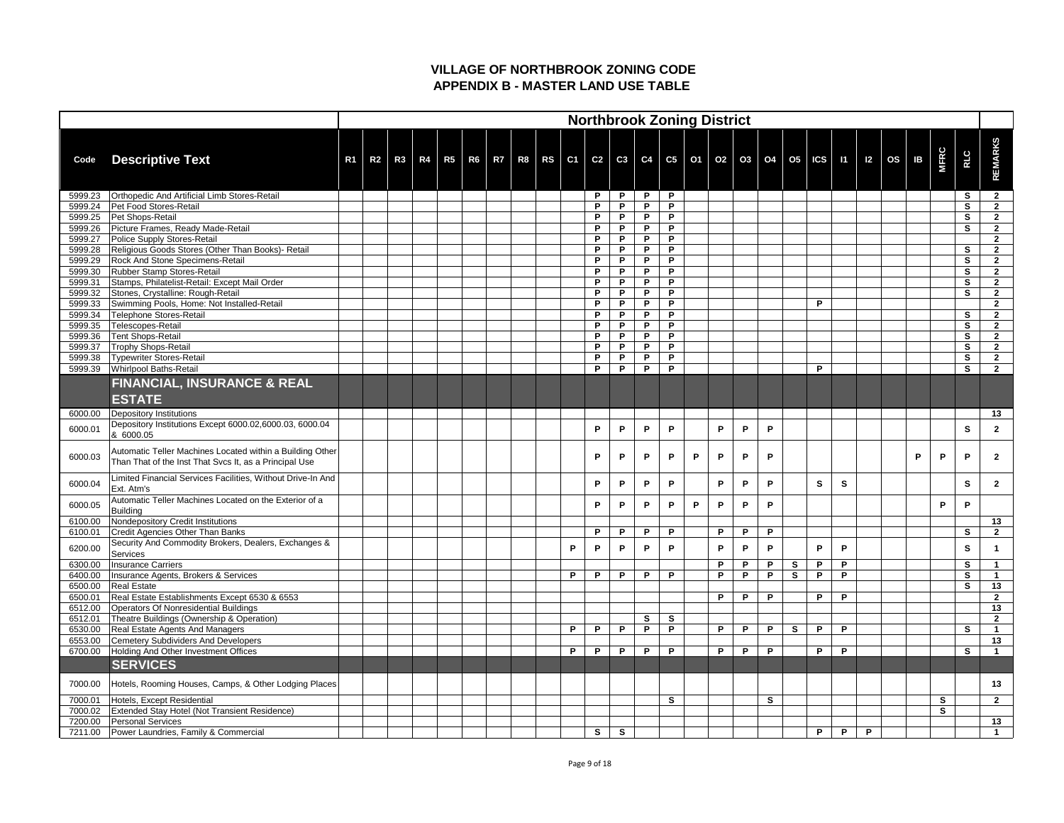|                    |                                                                                                                     |                |                |    |                                  |  |  |   |        |              |        |              | <b>Northbrook Zoning District</b>                |        |        |              |                              |              |              |              |                     |   |              |            |                                  |
|--------------------|---------------------------------------------------------------------------------------------------------------------|----------------|----------------|----|----------------------------------|--|--|---|--------|--------------|--------|--------------|--------------------------------------------------|--------|--------|--------------|------------------------------|--------------|--------------|--------------|---------------------|---|--------------|------------|----------------------------------|
| Code               | <b>Descriptive Text</b>                                                                                             | R <sub>1</sub> | R <sub>2</sub> | R3 | R4   R5   R6   R7   R8   RS   C1 |  |  |   |        |              |        |              | C2   C3   C4   C5   O1   O2   O3   O4   O5   ICS |        |        |              |                              |              |              |              | $11$   12   OS   1B |   | <b>MFRC</b>  | <b>RLC</b> | <b>REMARKS</b>                   |
| 5999.23            | Orthopedic And Artificial Limb Stores-Retail                                                                        |                |                |    |                                  |  |  |   | P.     | P            | P      | P            |                                                  |        |        |              |                              |              |              |              |                     |   |              | S          | $\overline{2}$                   |
| 5999.24            | <b>Pet Food Stores-Retail</b>                                                                                       |                |                |    |                                  |  |  |   | P      | P            | P      | P            |                                                  |        |        |              |                              |              |              |              |                     |   |              | S          | $\mathbf{2}$                     |
| 5999.25            | Pet Shops-Retail                                                                                                    |                |                |    |                                  |  |  |   | P      | P            | P.     | P            |                                                  |        |        |              |                              |              |              |              |                     |   |              | S          | $\mathbf{2}$                     |
| 5999.26            | Picture Frames, Ready Made-Retail                                                                                   |                |                |    |                                  |  |  |   | P      | P            | P<br>P | P<br>P       |                                                  |        |        |              |                              |              |              |              |                     |   |              | S          | $\overline{2}$                   |
| 5999.27<br>5999.28 | Police Supply Stores-Retail<br>Religious Goods Stores (Other Than Books)- Retail                                    |                |                |    |                                  |  |  |   | P<br>P | P<br>P       | P      | P            |                                                  |        |        |              |                              |              |              |              |                     |   |              | S          | $\overline{2}$<br>$\overline{2}$ |
| 5999.29            | <b>Rock And Stone Specimens-Retail</b>                                                                              |                |                |    |                                  |  |  |   | P      | P            | P      | P            |                                                  |        |        |              |                              |              |              |              |                     |   |              | S          | $\overline{2}$                   |
| 5999.30            | Rubber Stamp Stores-Retail                                                                                          |                |                |    |                                  |  |  |   | P      | P            | P      | P            |                                                  |        |        |              |                              |              |              |              |                     |   |              | S          | $\overline{2}$                   |
| 5999.31            | Stamps, Philatelist-Retail: Except Mail Order                                                                       |                |                |    |                                  |  |  |   | P      | P            | P      | P            |                                                  |        |        |              |                              |              |              |              |                     |   |              | S          | $\mathbf{2}$                     |
| 5999.32            | Stones, Crystalline: Rough-Retail                                                                                   |                |                |    |                                  |  |  |   | P      | P            | P      | P            |                                                  |        |        |              |                              |              |              |              |                     |   |              | S          | $\overline{2}$                   |
| 5999.33            | Swimming Pools, Home: Not Installed-Retail                                                                          |                |                |    |                                  |  |  |   | P      | P            | P      | P            |                                                  |        |        |              |                              | P            |              |              |                     |   |              |            | $\overline{2}$                   |
| 5999.34            | Telephone Stores-Retail                                                                                             |                |                |    |                                  |  |  |   | P      | P            | P      | P            |                                                  |        |        |              |                              |              |              |              |                     |   |              | S          | $\mathbf{2}$                     |
| 5999.35            | Telescopes-Retail                                                                                                   |                |                |    |                                  |  |  |   | P      | P            | P      | P            |                                                  |        |        |              |                              |              |              |              |                     |   |              | S          | $\mathbf{2}$                     |
| 5999.36            | <b>Tent Shops-Retail</b>                                                                                            |                |                |    |                                  |  |  |   | P.     | P            | P.     | P            |                                                  |        |        |              |                              |              |              |              |                     |   |              | S          | $\mathbf{2}$                     |
| 5999.37            | Trophy Shops-Retail                                                                                                 |                |                |    |                                  |  |  |   | P<br>P | P<br>P       | P<br>P | P<br>P       |                                                  |        |        |              |                              |              |              |              |                     |   |              | S          | $\overline{2}$                   |
| 5999.38<br>5999.39 | <b>Typewriter Stores-Retail</b><br><b>Whirlpool Baths-Retail</b>                                                    |                |                |    |                                  |  |  |   | P.     | P            | P      | P            |                                                  |        |        |              |                              | P            |              |              |                     |   |              | S<br>S     | $\overline{2}$<br>$\overline{2}$ |
|                    | <b>FINANCIAL, INSURANCE &amp; REAL</b><br><b>ESTATE</b>                                                             |                |                |    |                                  |  |  |   |        |              |        |              |                                                  |        |        |              |                              |              |              |              |                     |   |              |            |                                  |
| 6000.00            | Depository Institutions                                                                                             |                |                |    |                                  |  |  |   |        |              |        |              |                                                  |        |        |              |                              |              |              |              |                     |   |              |            | 13                               |
| 6000.01            | Depository Institutions Except 6000.02,6000.03, 6000.04<br>& 6000.05                                                |                |                |    |                                  |  |  |   | P      | P            | P      | P            |                                                  | P      | P      | P            |                              |              |              |              |                     |   |              | S          | $\mathbf{2}$                     |
| 6000.03            | Automatic Teller Machines Located within a Building Other<br>Than That of the Inst That Svcs It, as a Principal Use |                |                |    |                                  |  |  |   | P      | P            | P      | P            | P                                                | P      | P      | P            |                              |              |              |              |                     | P | P            | P          | $\overline{2}$                   |
| 6000.04            | Limited Financial Services Facilities, Without Drive-In And<br>Ext. Atm's                                           |                |                |    |                                  |  |  |   | P      | P            | P      | P            |                                                  | P.     | P      | P            |                              | $\mathbf{s}$ | $\mathbf{s}$ |              |                     |   |              | S          | $\mathbf{2}$                     |
| 6000.05            | Automatic Teller Machines Located on the Exterior of a<br><b>Building</b>                                           |                |                |    |                                  |  |  |   | P      | P            | P      | P            | P                                                | P      | P      | P            |                              |              |              |              |                     |   | P            | P          |                                  |
| 6100.00            | Nondepository Credit Institutions                                                                                   |                |                |    |                                  |  |  |   |        |              |        |              |                                                  |        |        |              |                              |              |              |              |                     |   |              |            | 13                               |
| 6100.01            | <b>Credit Agencies Other Than Banks</b>                                                                             |                |                |    |                                  |  |  |   | P.     | P            | P      | P            |                                                  | P      | P      | P            |                              |              |              |              |                     |   |              | S          | $\overline{2}$                   |
| 6200.00            | Security And Commodity Brokers, Dealers, Exchanges &<br>Services                                                    |                |                |    |                                  |  |  | P | P      | P            | P      | P            |                                                  | P      | P      | P            |                              | P            | P            |              |                     |   |              | S          |                                  |
| 6300.00<br>6400.00 | <b>Insurance Carriers</b><br>Insurance Agents, Brokers & Services                                                   |                |                |    |                                  |  |  | P | P      | P            | P      | P            |                                                  | P<br>P | P<br>P | Þ<br>P       | $\mathbf{s}$<br>$\mathbf{s}$ | P<br>P       | P<br>P       |              |                     |   |              | S<br>S     |                                  |
| 6500.00            | <b>Real Estate</b>                                                                                                  |                |                |    |                                  |  |  |   |        |              |        |              |                                                  |        |        |              |                              |              |              |              |                     |   |              | S          | 13                               |
| 6500.01            | Real Estate Establishments Except 6530 & 6553                                                                       |                |                |    |                                  |  |  |   |        |              |        |              |                                                  | P      | P      | P            |                              | P            | P            |              |                     |   |              |            | $\overline{2}$                   |
| 6512.00            | Operators Of Nonresidential Buildings                                                                               |                |                |    |                                  |  |  |   |        |              |        |              |                                                  |        |        |              |                              |              |              |              |                     |   |              |            | 13                               |
| 6512.01            | Theatre Buildings (Ownership & Operation)                                                                           |                |                |    |                                  |  |  |   |        |              | S      | $\mathbf{s}$ |                                                  |        |        |              |                              |              |              |              |                     |   |              |            | $\mathbf{2}$                     |
| 6530.00            | <b>Real Estate Agents And Managers</b>                                                                              |                |                |    |                                  |  |  | P | P      | P            | P      | P            |                                                  | P      | P      | P            | $\mathbf{s}$                 | P            | P            |              |                     |   |              | S          |                                  |
| 6553.00            | Cemetery Subdividers And Developers                                                                                 |                |                |    |                                  |  |  |   |        |              |        |              |                                                  |        |        |              |                              |              |              |              |                     |   |              |            | 13                               |
| 6700.00            | Holding And Other Investment Offices                                                                                |                |                |    |                                  |  |  | P | P      | P            | P      | P            |                                                  | P      | P      | P            |                              | P            | P            |              |                     |   |              | S          |                                  |
|                    | <b>SERVICES</b>                                                                                                     |                |                |    |                                  |  |  |   |        |              |        |              |                                                  |        |        |              |                              |              |              |              |                     |   |              |            |                                  |
| 7000.00            | Hotels, Rooming Houses, Camps, & Other Lodging Places                                                               |                |                |    |                                  |  |  |   |        |              |        |              |                                                  |        |        |              |                              |              |              |              |                     |   |              |            | 13                               |
| 7000.01            | Hotels, Except Residential                                                                                          |                |                |    |                                  |  |  |   |        |              |        | $\mathbf{s}$ |                                                  |        |        | $\mathbf{s}$ |                              |              |              |              |                     |   | $\mathbf{s}$ |            | $\mathbf{2}$                     |
| 7000.02            | Extended Stay Hotel (Not Transient Residence)<br><b>Personal Services</b>                                           |                |                |    |                                  |  |  |   |        |              |        |              |                                                  |        |        |              |                              |              |              |              |                     |   | $\mathbf{s}$ |            | 13                               |
| 7200.00<br>7211.00 | Power Laundries, Family & Commercial                                                                                |                |                |    |                                  |  |  |   | S      | $\mathbf{s}$ |        |              |                                                  |        |        |              |                              | P            | P            | $\mathsf{P}$ |                     |   |              |            |                                  |
|                    |                                                                                                                     |                |                |    |                                  |  |  |   |        |              |        |              |                                                  |        |        |              |                              |              |              |              |                     |   |              |            |                                  |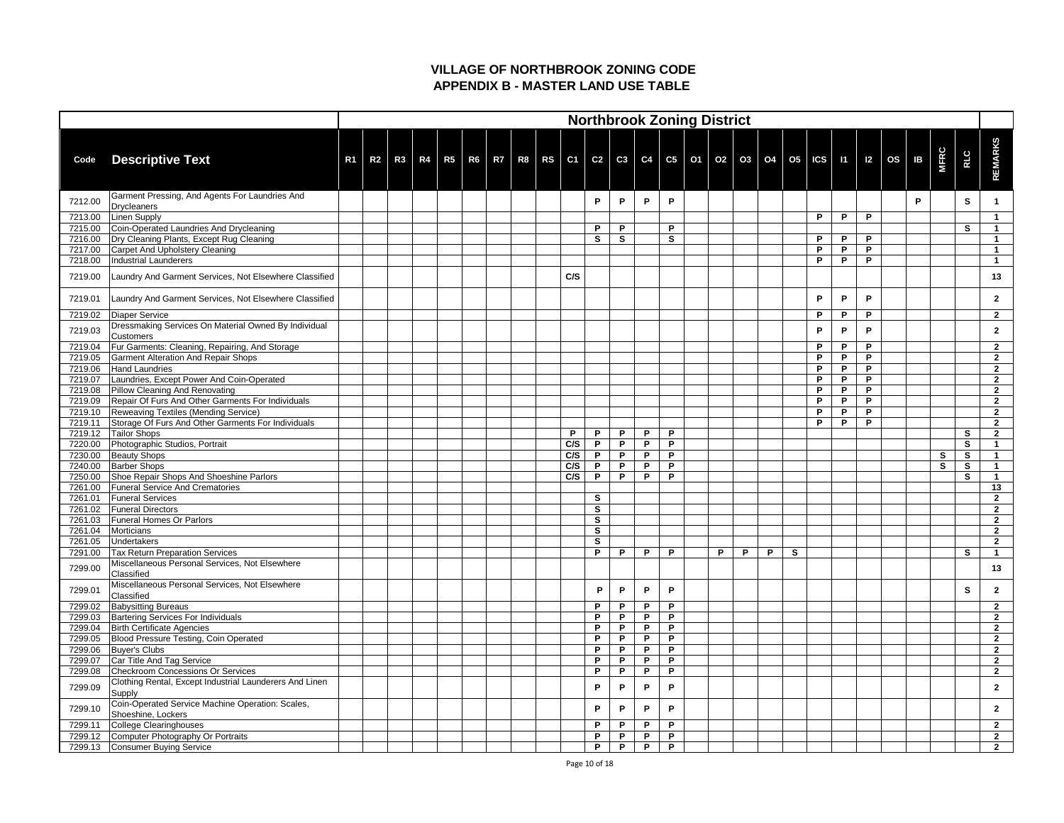|         |                                                                          |                |                |    |  |  |  |     |              |              |              |              | <b>Northbrook Zoning District</b> |   |   |                                                                                                    |              |   |   |   |              |             |              |                      |
|---------|--------------------------------------------------------------------------|----------------|----------------|----|--|--|--|-----|--------------|--------------|--------------|--------------|-----------------------------------|---|---|----------------------------------------------------------------------------------------------------|--------------|---|---|---|--------------|-------------|--------------|----------------------|
| Code    | <b>Descriptive Text</b>                                                  | R <sub>1</sub> | R <sub>2</sub> | R3 |  |  |  |     |              |              |              |              |                                   |   |   | R4   R5   R6   R7   R8   RS   C1   C2   C3   C4   C5   O1   O2   O3   O4   O5   ICS   I1   I2   OS |              |   |   |   | $\mathbf{B}$ | <b>MFRC</b> | <b>RLC</b>   | <b>REMARKS</b>       |
| 7212.00 | Garment Pressing, And Agents For Laundries And<br>Drycleaners            |                |                |    |  |  |  |     | P            | P            | P            | P            |                                   |   |   |                                                                                                    |              |   |   |   | P            |             | S            |                      |
| 7213.00 | <b>Linen Supply</b>                                                      |                |                |    |  |  |  |     |              |              |              |              |                                   |   |   |                                                                                                    |              | P | P | P |              |             |              |                      |
| 7215.00 | Coin-Operated Laundries And Drycleaning                                  |                |                |    |  |  |  |     | P            | P            |              | P            |                                   |   |   |                                                                                                    |              |   |   |   |              |             | $\mathbf{s}$ |                      |
| 7216.00 | Dry Cleaning Plants, Except Rug Cleaning                                 |                |                |    |  |  |  |     | $\mathbf{s}$ | $\mathbf{s}$ |              | $\mathbf{s}$ |                                   |   |   |                                                                                                    |              | P | P | P |              |             |              |                      |
| 7217.00 | Carpet And Upholstery Cleaning                                           |                |                |    |  |  |  |     |              |              |              |              |                                   |   |   |                                                                                                    |              | P | P | P |              |             |              |                      |
| 7218.00 | Industrial Launderers                                                    |                |                |    |  |  |  |     |              |              |              |              |                                   |   |   |                                                                                                    |              | P | P | P |              |             |              |                      |
| 7219.00 | Laundry And Garment Services, Not Elsewhere Classified                   |                |                |    |  |  |  | C/S |              |              |              |              |                                   |   |   |                                                                                                    |              |   |   |   |              |             |              | 13                   |
| 7219.01 | Laundry And Garment Services, Not Elsewhere Classified                   |                |                |    |  |  |  |     |              |              |              |              |                                   |   |   |                                                                                                    |              | P | P | P |              |             |              | $\mathbf{2}$         |
| 7219.02 | Diaper Service                                                           |                |                |    |  |  |  |     |              |              |              |              |                                   |   |   |                                                                                                    |              | P | P | P |              |             |              | $\mathbf{2}$         |
| 7219.03 | Dressmaking Services On Material Owned By Individual<br><b>Customers</b> |                |                |    |  |  |  |     |              |              |              |              |                                   |   |   |                                                                                                    |              | P | P | P |              |             |              | $\mathbf{2}$         |
| 7219.04 | Fur Garments: Cleaning, Repairing, And Storage                           |                |                |    |  |  |  |     |              |              |              |              |                                   |   |   |                                                                                                    |              | P | P | P |              |             |              | $\mathbf{2}$         |
| 7219.05 | <b>Garment Alteration And Repair Shops</b>                               |                |                |    |  |  |  |     |              |              |              |              |                                   |   |   |                                                                                                    |              | P | P | P |              |             |              | $\mathbf{2}$         |
| 7219.06 | Hand Laundries                                                           |                |                |    |  |  |  |     |              |              |              |              |                                   |   |   |                                                                                                    |              | P | P | P |              |             |              | $\overline{2}$       |
| 7219.07 | Laundries, Except Power And Coin-Operated                                |                |                |    |  |  |  |     |              |              |              |              |                                   |   |   |                                                                                                    |              | P | P | P |              |             |              | $\overline{2}$       |
| 7219.08 | Pillow Cleaning And Renovating                                           |                |                |    |  |  |  |     |              |              |              |              |                                   |   |   |                                                                                                    |              | P | P | P |              |             |              | $\mathbf{2}$         |
| 7219.09 | Repair Of Furs And Other Garments For Individuals                        |                |                |    |  |  |  |     |              |              |              |              |                                   |   |   |                                                                                                    |              | P | P | P |              |             |              | $\overline{2}$       |
| 7219.10 | Reweaving Textiles (Mending Service)                                     |                |                |    |  |  |  |     |              |              |              |              |                                   |   |   |                                                                                                    |              | P | P | P |              |             |              | $\mathbf{2}$         |
| 7219.11 | Storage Of Furs And Other Garments For Individuals                       |                |                |    |  |  |  |     |              |              |              |              |                                   |   |   |                                                                                                    |              | P | P | D |              |             |              | $\overline{2}$       |
| 7219.12 | <b>Tailor Shops</b>                                                      |                |                |    |  |  |  | P   | P            | P            | P            | P            |                                   |   |   |                                                                                                    |              |   |   |   |              |             | S            | $\overline{2}$       |
| 7220.00 | Photographic Studios, Portrait                                           |                |                |    |  |  |  | C/S | P.           | P            | P            | P            |                                   |   |   |                                                                                                    |              |   |   |   |              |             | S            |                      |
| 7230.00 | <b>Beauty Shops</b>                                                      |                |                |    |  |  |  | C/S | P            | P            | P            | P            |                                   |   |   |                                                                                                    |              |   |   |   |              | S           | $\mathbf{s}$ |                      |
|         | 7240.00 Barber Shops                                                     |                |                |    |  |  |  | C/S | P            | P.           | P            | P            |                                   |   |   |                                                                                                    |              |   |   |   |              | S           | S            |                      |
| 7250.00 | Shoe Repair Shops And Shoeshine Parlors                                  |                |                |    |  |  |  | C/S | P.           | P.           | P            | P            |                                   |   |   |                                                                                                    |              |   |   |   |              |             | $\mathbf{s}$ |                      |
| 7261.00 | <b>Funeral Service And Crematories</b>                                   |                |                |    |  |  |  |     |              |              |              |              |                                   |   |   |                                                                                                    |              |   |   |   |              |             |              | 13                   |
| 7261.01 | <b>Funeral Services</b>                                                  |                |                |    |  |  |  |     | $\mathbf{s}$ |              |              |              |                                   |   |   |                                                                                                    |              |   |   |   |              |             |              | $\mathbf{2}$         |
| 7261.02 | <b>Funeral Directors</b>                                                 |                |                |    |  |  |  |     | $\mathbf{s}$ |              |              |              |                                   |   |   |                                                                                                    |              |   |   |   |              |             |              | $\mathbf{2}$         |
| 7261.03 | <b>Funeral Homes Or Parlors</b>                                          |                |                |    |  |  |  |     | S            |              |              |              |                                   |   |   |                                                                                                    |              |   |   |   |              |             |              | $\mathbf{2}$         |
| 7261.04 | Morticians                                                               |                |                |    |  |  |  |     | S            |              |              |              |                                   |   |   |                                                                                                    |              |   |   |   |              |             |              | $\mathbf{2}$         |
| 7261.05 | Undertakers                                                              |                |                |    |  |  |  |     | S            |              |              |              |                                   |   |   |                                                                                                    |              |   |   |   |              |             |              | $\mathbf{2}$         |
| 7291.00 | <b>Tax Return Preparation Services</b>                                   |                |                |    |  |  |  |     | P            | P.           | P            | P            |                                   | P | P | P                                                                                                  | $\mathbf{s}$ |   |   |   |              |             | <b>S</b>     | $\blacktriangleleft$ |
| 7299.00 | Miscellaneous Personal Services, Not Elsewhere<br>Classified             |                |                |    |  |  |  |     |              |              |              |              |                                   |   |   |                                                                                                    |              |   |   |   |              |             |              | 13                   |
| 7299.01 | Miscellaneous Personal Services, Not Elsewhere<br>Classified             |                |                |    |  |  |  |     | P            | P            | P            | P            |                                   |   |   |                                                                                                    |              |   |   |   |              |             | S            | $\mathbf{2}$         |
| 7299.02 | <b>Babysitting Bureaus</b>                                               |                |                |    |  |  |  |     | P            | P            | P            | P            |                                   |   |   |                                                                                                    |              |   |   |   |              |             |              | $\mathbf{2}$         |
| 7299.03 | Bartering Services For Individuals                                       |                |                |    |  |  |  |     | P            | P            | P            | P            |                                   |   |   |                                                                                                    |              |   |   |   |              |             |              | $\mathbf{2}$         |
| 7299.04 | <b>Birth Certificate Agencies</b>                                        |                |                |    |  |  |  |     | P            | P            | P            | P            |                                   |   |   |                                                                                                    |              |   |   |   |              |             |              | $\mathbf{2}$         |
| 7299.05 | Blood Pressure Testing, Coin Operated                                    |                |                |    |  |  |  |     | P.           | P            | P            | P            |                                   |   |   |                                                                                                    |              |   |   |   |              |             |              | $\mathbf{2}$         |
| 7299.06 | Buyer's Clubs                                                            |                |                |    |  |  |  |     | P            | P            | P            | P            |                                   |   |   |                                                                                                    |              |   |   |   |              |             |              | $\mathbf{2}$         |
| 7299.07 | Car Title And Tag Service                                                |                |                |    |  |  |  |     | P            | P            | P            | P            |                                   |   |   |                                                                                                    |              |   |   |   |              |             |              | $\mathbf{2}$         |
| 7299.08 | Checkroom Concessions Or Services                                        |                |                |    |  |  |  |     | P            | P            | P            | P            |                                   |   |   |                                                                                                    |              |   |   |   |              |             |              | $\mathbf{2}$         |
| 7299.09 | Clothing Rental, Except Industrial Launderers And Linen<br>Supply        |                |                |    |  |  |  |     | P            | P            | P            | P            |                                   |   |   |                                                                                                    |              |   |   |   |              |             |              | $\mathbf{2}$         |
| 7299.10 | Coin-Operated Service Machine Operation: Scales,<br>Shoeshine, Lockers   |                |                |    |  |  |  |     | P            | P            | P            | P            |                                   |   |   |                                                                                                    |              |   |   |   |              |             |              | $\mathbf{2}$         |
| 7299.11 | College Clearinghouses                                                   |                |                |    |  |  |  |     | P            | P            | P            | P            |                                   |   |   |                                                                                                    |              |   |   |   |              |             |              | $\mathbf{2}$         |
| 7299.12 | Computer Photography Or Portraits                                        |                |                |    |  |  |  |     | P            | P            | P            | P            |                                   |   |   |                                                                                                    |              |   |   |   |              |             |              | $\overline{2}$       |
| 7299.13 | <b>Consumer Buying Service</b>                                           |                |                |    |  |  |  |     | P            | $\mathsf{P}$ | $\mathsf{P}$ | P            |                                   |   |   |                                                                                                    |              |   |   |   |              |             |              | $\overline{2}$       |
|         |                                                                          |                |                |    |  |  |  |     |              |              |              |              |                                   |   |   |                                                                                                    |              |   |   |   |              |             |              |                      |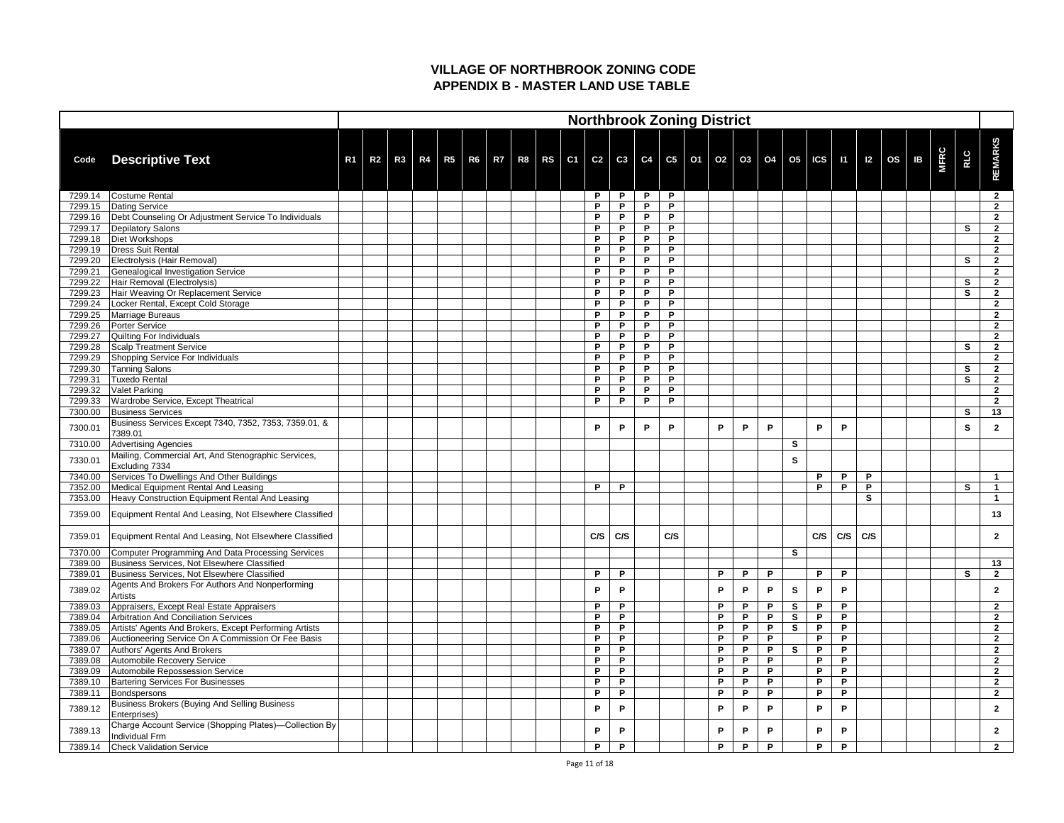|         |                                                                        |                |    |  |  |  |  |        | <b>Northbrook Zoning District</b>                                                                       |        |        |   |   |    |              |              |     |     |    |             |            |                                  |
|---------|------------------------------------------------------------------------|----------------|----|--|--|--|--|--------|---------------------------------------------------------------------------------------------------------|--------|--------|---|---|----|--------------|--------------|-----|-----|----|-------------|------------|----------------------------------|
| Code    | <b>Descriptive Text</b>                                                | R <sub>1</sub> | R2 |  |  |  |  |        | R3   R4   R5   R6   R7   R8   RS   C1   C2   C3   C4   C5   O1   O2   O3   O4   O5   ICS   I1   I2   OS |        |        |   |   |    |              |              |     |     | IB | <b>MFRC</b> | <b>RLC</b> | <b>REMARKS</b>                   |
|         |                                                                        |                |    |  |  |  |  |        |                                                                                                         |        |        |   |   |    |              |              |     |     |    |             |            |                                  |
| 7299.14 | Costume Rental                                                         |                |    |  |  |  |  | P      | P                                                                                                       | P      | P      |   |   |    |              |              |     |     |    |             |            | $\overline{2}$                   |
| 7299.15 | Dating Service                                                         |                |    |  |  |  |  | P.     | P                                                                                                       | P      | P      |   |   |    |              |              |     |     |    |             |            | $\overline{2}$                   |
| 7299.16 | Debt Counseling Or Adjustment Service To Individuals                   |                |    |  |  |  |  | P.     | P                                                                                                       | P      | P      |   |   |    |              |              |     |     |    |             |            | $\overline{2}$                   |
| 7299.17 | Depilatory Salons                                                      |                |    |  |  |  |  | P      | P                                                                                                       | P      | P      |   |   |    |              |              |     |     |    |             | S          | $\overline{2}$                   |
| 7299.18 | <b>Diet Workshops</b>                                                  |                |    |  |  |  |  | P      | P                                                                                                       | P      | P      |   |   |    |              |              |     |     |    |             |            | $\mathbf{2}$                     |
| 7299.19 | Dress Suit Rental                                                      |                |    |  |  |  |  | P      | P                                                                                                       | P      | P      |   |   |    |              |              |     |     |    |             |            | $\overline{2}$                   |
| 7299.20 | Electrolysis (Hair Removal)                                            |                |    |  |  |  |  | P      | P                                                                                                       | P      | P      |   |   |    |              |              |     |     |    |             | S          | $\mathbf{2}$                     |
| 7299.21 | Genealogical Investigation Service                                     |                |    |  |  |  |  | P      | P                                                                                                       | P      | P      |   |   |    |              |              |     |     |    |             |            | $\overline{2}$                   |
| 7299.22 | Hair Removal (Electrolysis)                                            |                |    |  |  |  |  | P      | P                                                                                                       | P      | P      |   |   |    |              |              |     |     |    |             | S          | $\mathbf{2}$                     |
| 7299.23 | Hair Weaving Or Replacement Service                                    |                |    |  |  |  |  | P      | P                                                                                                       | P      | P      |   |   |    |              |              |     |     |    |             | S          | $\overline{2}$                   |
| 7299.24 | Locker Rental, Except Cold Storage                                     |                |    |  |  |  |  | P      | P                                                                                                       | P      | P      |   |   |    |              |              |     |     |    |             |            | $\overline{2}$                   |
| 7299.25 | Marriage Bureaus                                                       |                |    |  |  |  |  | P      | P                                                                                                       | P      | P      |   |   |    |              |              |     |     |    |             |            | $\overline{2}$                   |
| 7299.26 | Porter Service                                                         |                |    |  |  |  |  | P      | P                                                                                                       | P      | P      |   |   |    |              |              |     |     |    |             |            | $\overline{2}$                   |
| 7299.27 | Quilting For Individuals                                               |                |    |  |  |  |  | P      | P                                                                                                       | P      | P      |   |   |    |              |              |     |     |    |             |            | $\overline{2}$                   |
| 7299.28 | <b>Scalp Treatment Service</b>                                         |                |    |  |  |  |  | P      | P                                                                                                       | P      | P      |   |   |    |              |              |     |     |    |             | S          | $\mathbf{2}$                     |
| 7299.29 | Shopping Service For Individuals                                       |                |    |  |  |  |  | P      | P                                                                                                       | P<br>P | P      |   |   |    |              |              |     |     |    |             |            | $\overline{2}$                   |
| 7299.30 | <b>Tanning Salons</b>                                                  |                |    |  |  |  |  | P      | P                                                                                                       | P      | P      |   |   |    |              |              |     |     |    |             | S          | $\mathbf{2}$                     |
| 7299.31 | <b>Tuxedo Rental</b>                                                   |                |    |  |  |  |  | P      | P                                                                                                       | P      | P      |   |   |    |              |              |     |     |    |             | S          | $\overline{2}$                   |
| 7299.32 | <b>Valet Parking</b>                                                   |                |    |  |  |  |  | P<br>P | P<br>P                                                                                                  | P      | P<br>P |   |   |    |              |              |     |     |    |             |            | $\overline{2}$<br>$\overline{2}$ |
| 7299.33 | Wardrobe Service, Except Theatrical                                    |                |    |  |  |  |  |        |                                                                                                         |        |        |   |   |    |              |              |     |     |    |             |            |                                  |
| 7300.00 | <b>Business Services</b>                                               |                |    |  |  |  |  |        |                                                                                                         |        |        |   |   |    |              |              |     |     |    |             | S          | 13                               |
| 7300.01 | Business Services Except 7340, 7352, 7353, 7359.01, &<br>7389.01       |                |    |  |  |  |  | P      | P                                                                                                       | P      | P      | P | P | P  |              | P            | P   |     |    |             | S          | $\overline{2}$                   |
| 7310.00 | <b>Advertising Agencies</b>                                            |                |    |  |  |  |  |        |                                                                                                         |        |        |   |   |    | S            |              |     |     |    |             |            |                                  |
| 7330.01 | Mailing, Commercial Art, And Stenographic Services,                    |                |    |  |  |  |  |        |                                                                                                         |        |        |   |   |    | S            |              |     |     |    |             |            |                                  |
|         | Excluding 7334                                                         |                |    |  |  |  |  |        |                                                                                                         |        |        |   |   |    |              |              |     |     |    |             |            |                                  |
| 7340.00 | Services To Dwellings And Other Buildings                              |                |    |  |  |  |  |        |                                                                                                         |        |        |   |   |    |              | P            | P   | P   |    |             |            | $\blacktriangleleft$             |
| 7352.00 | Medical Equipment Rental And Leasing                                   |                |    |  |  |  |  | P      | P                                                                                                       |        |        |   |   |    |              | P            | P   | P   |    |             | S          |                                  |
| 7353.00 | Heavy Construction Equipment Rental And Leasing                        |                |    |  |  |  |  |        |                                                                                                         |        |        |   |   |    |              |              |     | S   |    |             |            |                                  |
| 7359.00 | Equipment Rental And Leasing, Not Elsewhere Classified                 |                |    |  |  |  |  |        |                                                                                                         |        |        |   |   |    |              |              |     |     |    |             |            | 13                               |
| 7359.01 | Equipment Rental And Leasing, Not Elsewhere Classified                 |                |    |  |  |  |  | C/S    | C/S                                                                                                     |        | C/S    |   |   |    |              | C/S          | C/S | C/S |    |             |            | $\mathbf{2}$                     |
| 7370.00 | Computer Programming And Data Processing Services                      |                |    |  |  |  |  |        |                                                                                                         |        |        |   |   |    | S            |              |     |     |    |             |            |                                  |
| 7389.00 | Business Services, Not Elsewhere Classified                            |                |    |  |  |  |  |        |                                                                                                         |        |        |   |   |    |              |              |     |     |    |             |            | 13                               |
| 7389.01 | Business Services, Not Elsewhere Classified                            |                |    |  |  |  |  | P      | P                                                                                                       |        |        | P | P | P  |              | P            | P   |     |    |             | S          | $\overline{2}$                   |
| 7389.02 | Agents And Brokers For Authors And Nonperforming<br><b>Artists</b>     |                |    |  |  |  |  | P      | P                                                                                                       |        |        | P | P | P. | S            | P            | P   |     |    |             |            | $\mathbf{2}$                     |
| 7389.03 | Appraisers, Except Real Estate Appraisers                              |                |    |  |  |  |  | P      | P                                                                                                       |        |        | P | P | P  | S            | P            | P   |     |    |             |            | $\mathbf{2}$                     |
| 7389.04 | Arbitration And Conciliation Services                                  |                |    |  |  |  |  | P      | P                                                                                                       |        |        | P | P | P  | S            | P            | P   |     |    |             |            | $\mathbf{2}$                     |
| 7389.05 | Artists' Agents And Brokers, Except Performing Artists                 |                |    |  |  |  |  | P      | P                                                                                                       |        |        | P | P | P  | $\mathbf{s}$ | P            | P   |     |    |             |            | $\mathbf{2}$                     |
| 7389.06 | Auctioneering Service On A Commission Or Fee Basis                     |                |    |  |  |  |  | P      | P                                                                                                       |        |        | P | P | P  |              | P            | P   |     |    |             |            | $\mathbf{2}$                     |
| 7389.07 | Authors' Agents And Brokers                                            |                |    |  |  |  |  | P      | P                                                                                                       |        |        | P | P | P  | $\mathbf{s}$ | $\mathsf{P}$ | P   |     |    |             |            | $\mathbf{2}$                     |
| 7389.08 | Automobile Recovery Service                                            |                |    |  |  |  |  | P      | P                                                                                                       |        |        | P | P | P  |              | P            | P   |     |    |             |            | $\overline{2}$                   |
| 7389.09 | Automobile Repossession Service                                        |                |    |  |  |  |  | P      | P                                                                                                       |        |        | P | P | P  |              | P            | P   |     |    |             |            | $\mathbf{2}$                     |
| 7389.10 | <b>Bartering Services For Businesses</b>                               |                |    |  |  |  |  | P      | P                                                                                                       |        |        | P | P | P  |              | P            | P   |     |    |             |            | $\mathbf{2}$                     |
| 7389.11 | Bondspersons                                                           |                |    |  |  |  |  | P      | P                                                                                                       |        |        | P | P | P  |              | P            | P   |     |    |             |            | $\mathbf{2}$                     |
| 7389.12 | <b>Business Brokers (Buying And Selling Business</b>                   |                |    |  |  |  |  | P      | P                                                                                                       |        |        | P | P | P. |              | P            | P   |     |    |             |            | $\mathbf{2}$                     |
|         | Enterprises)<br>Charge Account Service (Shopping Plates)—Collection By |                |    |  |  |  |  |        |                                                                                                         |        |        |   |   |    |              |              |     |     |    |             |            |                                  |
| 7389.13 | <b>Individual Frm</b>                                                  |                |    |  |  |  |  | P.     | P                                                                                                       |        |        | P | P | P  |              | P            | P   |     |    |             |            | $\mathbf{2}$                     |
| 7389.14 | <b>Check Validation Service</b>                                        |                |    |  |  |  |  | P      | P                                                                                                       |        |        | P | P | P  |              | P            | P   |     |    |             |            | $\overline{2}$                   |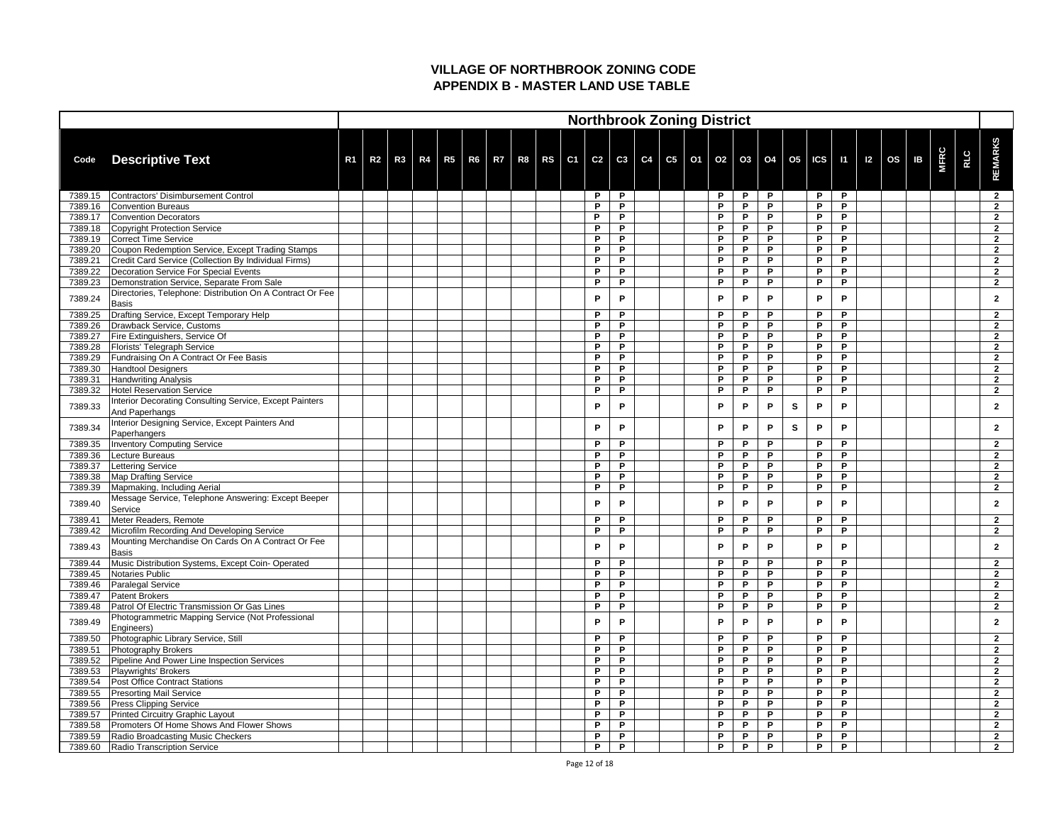|         |                                                                                  |                |                |  |  |  |  |    |    |  | <b>Northbrook Zoning District</b>                                                                       |   |   |   |   |              |   |  |                |             |            |                |
|---------|----------------------------------------------------------------------------------|----------------|----------------|--|--|--|--|----|----|--|---------------------------------------------------------------------------------------------------------|---|---|---|---|--------------|---|--|----------------|-------------|------------|----------------|
|         |                                                                                  |                |                |  |  |  |  |    |    |  |                                                                                                         |   |   |   |   |              |   |  |                |             |            |                |
| Code    | <b>Descriptive Text</b>                                                          | R <sub>1</sub> | R <sub>2</sub> |  |  |  |  |    |    |  | R3   R4   R5   R6   R7   R8   RS   C1   C2   C3   C4   C5   O1   O2   O3   O4   O5   ICS   I1   I2   OS |   |   |   |   |              |   |  | $\overline{B}$ | <b>MFRC</b> | <b>RLC</b> | <b>REMARKS</b> |
|         |                                                                                  |                |                |  |  |  |  |    |    |  |                                                                                                         |   |   |   |   |              |   |  |                |             |            |                |
| 7389.15 | Contractors' Disimbursement Control                                              |                |                |  |  |  |  | P  | P  |  |                                                                                                         | P | P | P |   | P            | P |  |                |             |            | $\overline{2}$ |
| 7389.16 | <b>Convention Bureaus</b>                                                        |                |                |  |  |  |  | P. | P  |  |                                                                                                         | P | P | P |   | P            | P |  |                |             |            | $\mathbf{2}$   |
| 7389.17 | Convention Decorators                                                            |                |                |  |  |  |  | P  | P  |  |                                                                                                         | P | P | P |   | P            | P |  |                |             |            | $\overline{2}$ |
| 7389.18 | Copyright Protection Service                                                     |                |                |  |  |  |  | P  | P. |  |                                                                                                         | D | D | D |   | P            | P |  |                |             |            | 2              |
| 7389.19 | Correct Time Service                                                             |                |                |  |  |  |  | P  | P  |  |                                                                                                         | P | P | P |   | P            | P |  |                |             |            | $\overline{2}$ |
| 7389.20 | Coupon Redemption Service, Except Trading Stamps                                 |                |                |  |  |  |  | P  | P  |  |                                                                                                         | D | P | P |   | P            | P |  |                |             |            | $\overline{2}$ |
| 7389.21 | Credit Card Service (Collection By Individual Firms)                             |                |                |  |  |  |  | P  | P  |  |                                                                                                         | P | P | P |   | P            | P |  |                |             |            | $\overline{2}$ |
| 7389.22 | <b>Decoration Service For Special Events</b>                                     |                |                |  |  |  |  | P  | P  |  |                                                                                                         | D | P | D |   | $\mathsf{P}$ | P |  |                |             |            | $\overline{2}$ |
| 7389.23 | Demonstration Service, Separate From Sale                                        |                |                |  |  |  |  | P  | P  |  |                                                                                                         | P | P | P |   | P            | P |  |                |             |            | $\overline{2}$ |
| 7389.24 | Directories, Telephone: Distribution On A Contract Or Fee<br>Basis               |                |                |  |  |  |  | P  | P  |  |                                                                                                         | P | P | P |   | P            | P |  |                |             |            | $\mathbf{2}$   |
| 7389.25 | Drafting Service, Except Temporary Help                                          |                |                |  |  |  |  | P  | P  |  |                                                                                                         | P | P | P |   | P            | P |  |                |             |            | $\overline{2}$ |
| 7389.26 | Drawback Service, Customs                                                        |                |                |  |  |  |  | P. | P  |  |                                                                                                         | P | P | P |   | P            | P |  |                |             |            | $\mathbf{2}$   |
| 7389.27 | Fire Extinguishers, Service Of                                                   |                |                |  |  |  |  | P  | P  |  |                                                                                                         | P | P | P |   | P            | P |  |                |             |            | $\overline{2}$ |
| 7389.28 | <b>Florists' Telegraph Service</b>                                               |                |                |  |  |  |  | P  | P  |  |                                                                                                         | D | D | D |   | P            | P |  |                |             |            | 2              |
| 7389.29 | Fundraising On A Contract Or Fee Basis                                           |                |                |  |  |  |  | P  | P  |  |                                                                                                         | P | P | P |   | P            | P |  |                |             |            | $\overline{2}$ |
| 7389.30 | Handtool Designers                                                               |                |                |  |  |  |  | P  | P  |  |                                                                                                         | D | P | P |   | P            | P |  |                |             |            | $\overline{2}$ |
| 7389.31 | <b>Handwriting Analysis</b>                                                      |                |                |  |  |  |  | P  | P  |  |                                                                                                         | P | P | P |   | P            | P |  |                |             |            | $\overline{2}$ |
| 7389.32 | Hotel Reservation Service                                                        |                |                |  |  |  |  | P  | P  |  |                                                                                                         | D | P | D |   | P            | P |  |                |             |            | $\overline{2}$ |
| 7389.33 | Interior Decorating Consulting Service, Except Painters<br><b>And Paperhangs</b> |                |                |  |  |  |  | P  | P  |  |                                                                                                         | P | P | P | S | P            | P |  |                |             |            | $\mathbf{2}$   |
| 7389.34 | Interior Designing Service, Except Painters And<br>Paperhangers                  |                |                |  |  |  |  | P  | P  |  |                                                                                                         | Þ | P | P | S | P            | P |  |                |             |            | 2              |
| 7389.35 | <b>Inventory Computing Service</b>                                               |                |                |  |  |  |  | P  | P  |  |                                                                                                         | P | P | P |   | P            | P |  |                |             |            | $\mathbf{2}$   |
| 7389.36 | Lecture Bureaus                                                                  |                |                |  |  |  |  | P  | P  |  |                                                                                                         | P | P | P |   | P            | P |  |                |             |            | $\overline{2}$ |
| 7389.37 | Lettering Service                                                                |                |                |  |  |  |  |    | Р  |  |                                                                                                         |   |   |   |   |              | Р |  |                |             |            |                |
| 7389.38 | Map Drafting Service                                                             |                |                |  |  |  |  | P  | P  |  |                                                                                                         | P | P | P |   | P            | P |  |                |             |            | $\overline{2}$ |
| 7389.39 | Mapmaking, Including Aerial                                                      |                |                |  |  |  |  | P  | P. |  |                                                                                                         | P | P | P |   | P            | P |  |                |             |            | $\mathbf{2}$   |
| 7389.40 | Message Service, Telephone Answering: Except Beeper<br>Service                   |                |                |  |  |  |  | P  | P  |  |                                                                                                         | P | P | P |   | P            | P |  |                |             |            | $\overline{2}$ |
| 7389.41 | Meter Readers, Remote                                                            |                |                |  |  |  |  | P  | P  |  |                                                                                                         | P | P | P |   | P            | P |  |                |             |            | $\mathbf{2}$   |
| 7389.42 | Microfilm Recording And Developing Service                                       |                |                |  |  |  |  | P  | P  |  |                                                                                                         | P | P | P |   | P            | P |  |                |             |            | $\mathbf{2}$   |
| 7389.43 | Mounting Merchandise On Cards On A Contract Or Fee                               |                |                |  |  |  |  | P  | P  |  |                                                                                                         | P | P | P |   | P            | P |  |                |             |            | $\overline{2}$ |
| 7389.44 | Basis<br>Music Distribution Systems, Except Coin-Operated                        |                |                |  |  |  |  | P  | P  |  |                                                                                                         | P | P | P |   | P            | P |  |                |             |            | $\mathbf{2}$   |
| 7389.45 | Notaries Public                                                                  |                |                |  |  |  |  | P  | P  |  |                                                                                                         | P | P | P |   | P            | P |  |                |             |            | $\mathbf{2}$   |
| 7389.46 | Paralegal Service                                                                |                |                |  |  |  |  | P  | P  |  |                                                                                                         | D | D | P |   | P            | P |  |                |             |            | $\mathbf{2}$   |
| 7389.47 | <b>Patent Brokers</b>                                                            |                |                |  |  |  |  | P  | P  |  |                                                                                                         | P | P | P |   | P            | P |  |                |             |            | $\mathbf{2}$   |
| 7389.48 | Patrol Of Electric Transmission Or Gas Lines                                     |                |                |  |  |  |  | P  | P. |  |                                                                                                         | D | P | P |   | P            | P |  |                |             |            | $\mathbf{2}$   |
| 7389.49 | Photogrammetric Mapping Service (Not Professional<br>Engineers)                  |                |                |  |  |  |  | P  | P  |  |                                                                                                         | P | P | P |   | P            | P |  |                |             |            | $\overline{2}$ |
| 7389.50 | Photographic Library Service, Still                                              |                |                |  |  |  |  | P  | P  |  |                                                                                                         | P | P | P |   | P            | P |  |                |             |            | $\mathbf{2}$   |
| 7389.51 | <b>Photography Brokers</b>                                                       |                |                |  |  |  |  | P  | P  |  |                                                                                                         | P | P | P |   | P            | P |  |                |             |            | $\mathbf{2}$   |
| 7389.52 | Pipeline And Power Line Inspection Services                                      |                |                |  |  |  |  | P  | P  |  |                                                                                                         | P | P | P |   | P            | P |  |                |             |            | $\overline{2}$ |
| 7389.53 | Playwrights' Brokers                                                             |                |                |  |  |  |  | P  | P  |  |                                                                                                         | P | P | P |   | P            | P |  |                |             |            | $\overline{2}$ |
| 7389.54 | <b>Post Office Contract Stations</b>                                             |                |                |  |  |  |  | P  | P  |  |                                                                                                         | P | P | P |   | P            | P |  |                |             |            | $\mathbf{2}$   |
| 7389.55 | <b>Presorting Mail Service</b>                                                   |                |                |  |  |  |  | P  | P  |  |                                                                                                         | P | P | P |   | P            | P |  |                |             |            | $\mathbf{2}$   |
| 7389.56 | <b>Press Clipping Service</b>                                                    |                |                |  |  |  |  | P. | P  |  |                                                                                                         | P | P | P |   | P            | P |  |                |             |            | $\mathbf{2}$   |
| 7389.57 | <b>Printed Circuitry Graphic Layout</b>                                          |                |                |  |  |  |  | P  | P  |  |                                                                                                         | P | P | P |   | P            | P |  |                |             |            | $\overline{2}$ |
| 7389.58 | <b>Promoters Of Home Shows And Flower Shows</b>                                  |                |                |  |  |  |  | P  | P  |  |                                                                                                         | D | P | P |   | P            | P |  |                |             |            | $\overline{2}$ |
| 7389.59 | Radio Broadcasting Music Checkers                                                |                |                |  |  |  |  | P  | P  |  |                                                                                                         | P | P | P |   | P            | P |  |                |             |            | $\overline{2}$ |
| 7389.60 | Radio Transcription Service                                                      |                |                |  |  |  |  | P  | P  |  |                                                                                                         | P | P | P |   | P            | P |  |                |             |            | 2 <sub>2</sub> |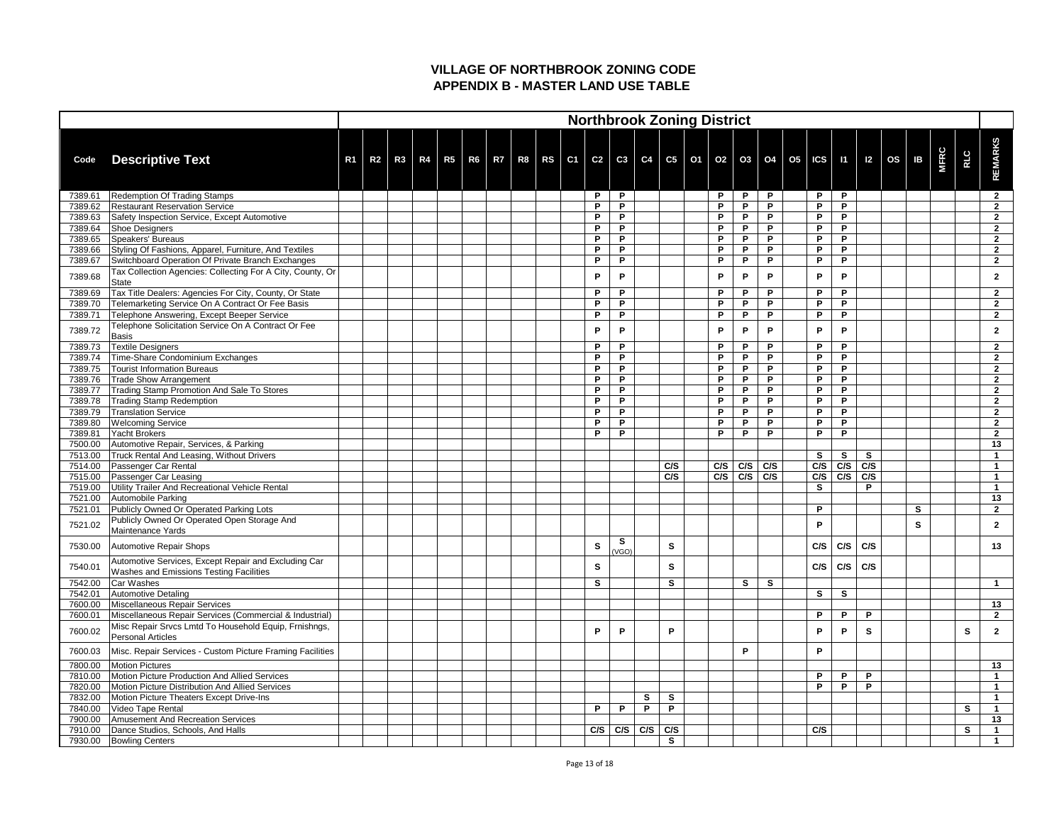|                    |                                                                                                        |                |                |    |  |  |  |     |            |     |              | <b>Northbrook Zoning District</b> |                   |              |                                                                                                    |                   |     |          |             |            |                            |
|--------------------|--------------------------------------------------------------------------------------------------------|----------------|----------------|----|--|--|--|-----|------------|-----|--------------|-----------------------------------|-------------------|--------------|----------------------------------------------------------------------------------------------------|-------------------|-----|----------|-------------|------------|----------------------------|
| Code               | <b>Descriptive Text</b>                                                                                | R <sub>1</sub> | R <sub>2</sub> | R3 |  |  |  |     |            |     |              |                                   |                   |              | R4   R5   R6   R7   R8   RS   C1   C2   C3   C4   C5   O1   O2   O3   O4   O5   ICS   I1   I2   OS |                   |     | IB       | <b>MFRC</b> | <b>RLC</b> | <b>REMARKS</b>             |
| 7389.61            | Redemption Of Trading Stamps                                                                           |                |                |    |  |  |  | P   | P          |     |              | P                                 | P                 | P            | P                                                                                                  | P                 |     |          |             |            | $\mathbf{2}$               |
| 7389.62            | <b>Restaurant Reservation Service</b>                                                                  |                |                |    |  |  |  | P   | P.         |     |              | D                                 | P                 | P            | P                                                                                                  | P                 |     |          |             |            | $\boldsymbol{2}$           |
| 7389.63            | Safety Inspection Service, Except Automotive                                                           |                |                |    |  |  |  | P   | P.         |     |              | D                                 | P                 | P            | P                                                                                                  | P                 |     |          |             |            | $\boldsymbol{\mathcal{P}}$ |
| 7389.64            | Shoe Designers                                                                                         |                |                |    |  |  |  | P   | P.         |     |              | P                                 | P                 | P            | P                                                                                                  | P                 |     |          |             |            | $\mathbf{2}$               |
| 7389.65            | Speakers' Bureaus                                                                                      |                |                |    |  |  |  | P.  | P          |     |              | P                                 | P                 | P            | P                                                                                                  | P                 |     |          |             |            | $\mathbf{2}$               |
| 7389.66            | Styling Of Fashions, Apparel, Furniture, And Textiles                                                  |                |                |    |  |  |  | P   | P          |     |              | D                                 | P                 | P            | P                                                                                                  | P                 |     |          |             |            | $\overline{2}$             |
| 7389.67            | Switchboard Operation Of Private Branch Exchanges                                                      |                |                |    |  |  |  | P   | P          |     |              | P                                 | P                 | P            | P                                                                                                  | P                 |     |          |             |            | $\overline{2}$             |
| 7389.68            | Tax Collection Agencies: Collecting For A City, County, Or<br>State                                    |                |                |    |  |  |  | P   | P          |     |              | P                                 | P                 | P            | P                                                                                                  | P                 |     |          |             |            | $\mathbf{2}$               |
| 7389.69            | Tax Title Dealers: Agencies For City, County, Or State                                                 |                |                |    |  |  |  | P   | P          |     |              | P                                 | P                 | P            | P                                                                                                  | P                 |     |          |             |            | $\mathbf{2}$               |
| 7389.70            | Telemarketing Service On A Contract Or Fee Basis                                                       |                |                |    |  |  |  | P   | P          |     |              | D                                 | P                 | P            | P                                                                                                  | P                 |     |          |             |            | $\overline{2}$             |
| 7389.71            | Telephone Answering, Except Beeper Service                                                             |                |                |    |  |  |  | P   | P.         |     |              | P                                 | P                 | P            | P                                                                                                  | P                 |     |          |             |            | $\overline{2}$             |
|                    | Telephone Solicitation Service On A Contract Or Fee                                                    |                |                |    |  |  |  |     |            |     |              |                                   |                   |              |                                                                                                    |                   |     |          |             |            |                            |
| 7389.72            | Basis                                                                                                  |                |                |    |  |  |  | P   | P          |     |              | P                                 | P                 | P            | P                                                                                                  | P                 |     |          |             |            |                            |
| 7389.73            | Textile Designers                                                                                      |                |                |    |  |  |  | P   | P          |     |              | P                                 | P                 | P            | P                                                                                                  | P                 |     |          |             |            | $\overline{2}$             |
| 7389.74            | Time-Share Condominium Exchanges                                                                       |                |                |    |  |  |  | P.  | P          |     |              | P                                 | P                 | P            | P                                                                                                  | P                 |     |          |             |            | $\mathbf{2}$               |
| 7389.75            | <b>Tourist Information Bureaus</b>                                                                     |                |                |    |  |  |  | P   | P          |     |              | P                                 | P                 | P            | P                                                                                                  | P                 |     |          |             |            | $\mathbf{2}$               |
| 7389.76            | <b>Trade Show Arrangement</b>                                                                          |                |                |    |  |  |  | P   | P          |     |              | D                                 | D                 | D            | P                                                                                                  | P                 |     |          |             |            | $\overline{2}$             |
| 7389.77            | Trading Stamp Promotion And Sale To Stores                                                             |                |                |    |  |  |  | P   | P.         |     |              | D                                 | P                 | P            | P                                                                                                  | P                 |     |          |             |            | $\overline{2}$             |
| 7389.78            | <b>Trading Stamp Redemption</b>                                                                        |                |                |    |  |  |  | P   | P          |     |              | D                                 | P                 | P            | P                                                                                                  | P                 |     |          |             |            | $\overline{2}$             |
| 7389.79            | <b>Translation Service</b>                                                                             |                |                |    |  |  |  | P   | P          |     |              | P                                 | P                 | P            | P                                                                                                  | P                 |     |          |             |            | $\mathbf{\Omega}$          |
| 7389.80            | <b>Welcoming Service</b>                                                                               |                |                |    |  |  |  | P   | P.         |     |              | D                                 | P                 | P            | P                                                                                                  | P                 |     |          |             |            | $\overline{2}$             |
| 7389.81            | Yacht Brokers                                                                                          |                |                |    |  |  |  | P   | P.         |     |              | P                                 | P                 | P            | P                                                                                                  | P                 |     |          |             |            | $\overline{2}$             |
| 7500.00<br>7513.00 | Automotive Repair, Services, & Parking<br>Truck Rental And Leasing, Without Drivers                    |                |                |    |  |  |  |     |            |     |              |                                   |                   |              | <b>S</b>                                                                                           | S                 | S   |          |             |            | 13                         |
| 7514.00            | Passenger Car Rental                                                                                   |                |                |    |  |  |  |     |            |     | C/S          |                                   | $C/S$ $C/S$ $C/S$ |              |                                                                                                    | $C/S$ $C/S$ $C/S$ |     |          |             |            |                            |
| 7515.00            | Passenger Car Leasing                                                                                  |                |                |    |  |  |  |     |            |     | C/S          |                                   | $C/S$ $C/S$ $C/S$ |              |                                                                                                    | $C/S$ $C/S$       | C/S |          |             |            |                            |
| 7519.00            | Utility Trailer And Recreational Vehicle Rental                                                        |                |                |    |  |  |  |     |            |     |              |                                   |                   |              | S                                                                                                  |                   | P   |          |             |            |                            |
| 7521.00            | Automobile Parking                                                                                     |                |                |    |  |  |  |     |            |     |              |                                   |                   |              |                                                                                                    |                   |     |          |             |            | 13                         |
| 7521.01            | Publicly Owned Or Operated Parking Lots                                                                |                |                |    |  |  |  |     |            |     |              |                                   |                   |              | P                                                                                                  |                   |     | S        |             |            | $\mathbf{2}$               |
|                    | Publicly Owned Or Operated Open Storage And                                                            |                |                |    |  |  |  |     |            |     |              |                                   |                   |              |                                                                                                    |                   |     |          |             |            |                            |
| 7521.02            | Maintenance Yards                                                                                      |                |                |    |  |  |  |     |            |     |              |                                   |                   |              | P                                                                                                  |                   |     | <b>S</b> |             |            | $\overline{2}$             |
| 7530.00            | Automotive Repair Shops                                                                                |                |                |    |  |  |  | S   | S<br>(VGO) |     | $\mathbf{s}$ |                                   |                   |              | C/S                                                                                                | C/S               | C/S |          |             |            | 13                         |
| 7540.01            | Automotive Services, Except Repair and Excluding Car<br><b>Washes and Emissions Testing Facilities</b> |                |                |    |  |  |  | S   |            |     | <b>S</b>     |                                   |                   |              | C/S                                                                                                | C/S               | C/S |          |             |            |                            |
| 7542.00            | Car Washes                                                                                             |                |                |    |  |  |  | S   |            |     | $\mathbf{s}$ |                                   | S                 | $\mathbf{s}$ |                                                                                                    |                   |     |          |             |            | -1                         |
| 7542.01            | <b>Automotive Detaling</b>                                                                             |                |                |    |  |  |  |     |            |     |              |                                   |                   |              | $\mathbf{s}$                                                                                       | $\mathbf{s}$      |     |          |             |            |                            |
| 7600.00            | Miscellaneous Repair Services                                                                          |                |                |    |  |  |  |     |            |     |              |                                   |                   |              |                                                                                                    |                   |     |          |             |            | 13                         |
| 7600.01            | Miscellaneous Repair Services (Commercial & Industrial)                                                |                |                |    |  |  |  |     |            |     |              |                                   |                   |              | P                                                                                                  | P                 | P   |          |             |            | $\mathbf{2}$               |
| 7600.02            | Misc Repair Srvcs Lmtd To Household Equip, Frnishngs,<br><b>Personal Articles</b>                      |                |                |    |  |  |  | P   | P          |     | P            |                                   |                   |              | P                                                                                                  | P                 | S   |          |             | S          | $\mathbf{2}$               |
| 7600.03            | Misc. Repair Services - Custom Picture Framing Facilities                                              |                |                |    |  |  |  |     |            |     |              |                                   | P                 |              | P                                                                                                  |                   |     |          |             |            |                            |
| 7800.00            | <b>Motion Pictures</b>                                                                                 |                |                |    |  |  |  |     |            |     |              |                                   |                   |              |                                                                                                    |                   |     |          |             |            | 13                         |
| 7810.00            | Motion Picture Production And Allied Services                                                          |                |                |    |  |  |  |     |            |     |              |                                   |                   |              | P                                                                                                  | P                 | P   |          |             |            |                            |
| 7820.00            | Motion Picture Distribution And Allied Services                                                        |                |                |    |  |  |  |     |            |     |              |                                   |                   |              | P                                                                                                  | P                 | P   |          |             |            |                            |
| 7832.00            | Motion Picture Theaters Except Drive-Ins                                                               |                |                |    |  |  |  |     |            | S   | S            |                                   |                   |              |                                                                                                    |                   |     |          |             |            |                            |
| 7840.00            | Video Tape Rental                                                                                      |                |                |    |  |  |  | P   | P          | P   | P            |                                   |                   |              |                                                                                                    |                   |     |          |             | S          |                            |
| 7900.00            | Amusement And Recreation Services                                                                      |                |                |    |  |  |  |     |            |     |              |                                   |                   |              |                                                                                                    |                   |     |          |             |            | 13                         |
| 7910.00            | Dance Studios, Schools, And Halls                                                                      |                |                |    |  |  |  | C/S | C/S        | C/S | C/S          |                                   |                   |              | C/S                                                                                                |                   |     |          |             | S          | $\blacktriangleleft$       |
| 7930.00            | <b>Bowling Centers</b>                                                                                 |                |                |    |  |  |  |     |            |     | S            |                                   |                   |              |                                                                                                    |                   |     |          |             |            |                            |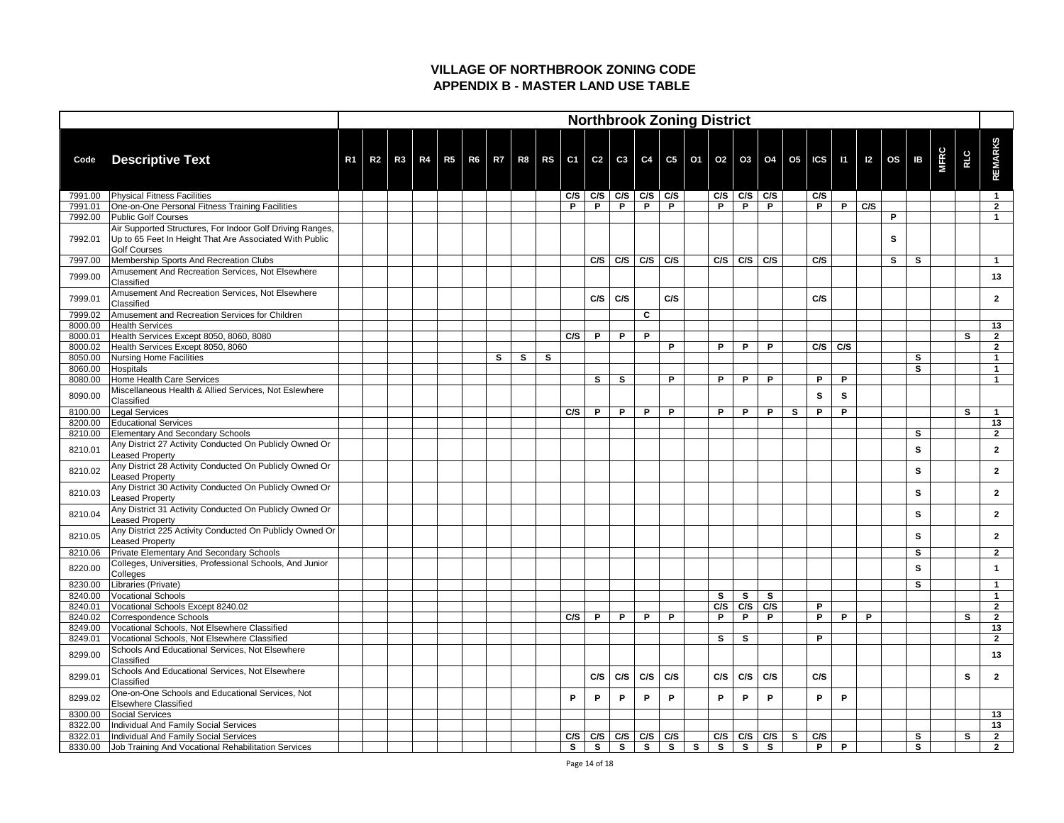|                    |                                                                                                                                             |                |    |    |  |   |   |              |     |     |     |                   | <b>Northbrook Zoning District</b>                                                   |              |              |                   |              |              |     |              |                     |   |              |             |              |                      |
|--------------------|---------------------------------------------------------------------------------------------------------------------------------------------|----------------|----|----|--|---|---|--------------|-----|-----|-----|-------------------|-------------------------------------------------------------------------------------|--------------|--------------|-------------------|--------------|--------------|-----|--------------|---------------------|---|--------------|-------------|--------------|----------------------|
| Code               | <b>Descriptive Text</b>                                                                                                                     | R <sub>1</sub> | R2 | R3 |  |   |   |              |     |     |     |                   | R4   R5   R6   R7   R8   RS   C1   C2   C3   C4   C5   O1   O2   O3   O4   O5   ICS |              |              |                   |              |              |     |              | $11$   I2   OS   IB |   |              | <b>MFRC</b> | <b>RLC</b>   | <b>REMARKS</b>       |
| 7991.00            | <b>Physical Fitness Facilities</b>                                                                                                          |                |    |    |  |   |   |              | C/S |     |     |                   | C/S   C/S   C/S   C/S                                                               |              |              | $C/S$ $C/S$ $C/S$ |              |              | C/S |              |                     |   |              |             |              |                      |
| 7991.01            | One-on-One Personal Fitness Training Facilities                                                                                             |                |    |    |  |   |   |              | P.  | P   | P   | P                 | P                                                                                   |              | P            | P.                | P            |              | P   | P            | C/S                 |   |              |             |              | $\mathbf{2}$         |
| 7992.00            | <b>Public Golf Courses</b>                                                                                                                  |                |    |    |  |   |   |              |     |     |     |                   |                                                                                     |              |              |                   |              |              |     |              |                     | P |              |             |              |                      |
| 7992.01            | Air Supported Structures, For Indoor Golf Driving Ranges,<br>Up to 65 Feet In Height That Are Associated With Public<br><b>Golf Courses</b> |                |    |    |  |   |   |              |     |     |     |                   |                                                                                     |              |              |                   |              |              |     |              |                     | S |              |             |              |                      |
| 7997.00            | Membership Sports And Recreation Clubs                                                                                                      |                |    |    |  |   |   |              |     | C/S |     | $C/S$ $C/S$ $C/S$ |                                                                                     |              | $C/S$ $C/S$  |                   | C/S          |              | C/S |              |                     | S | <b>S</b>     |             |              |                      |
| 7999.00            | Amusement And Recreation Services, Not Elsewhere<br>Classified                                                                              |                |    |    |  |   |   |              |     |     |     |                   |                                                                                     |              |              |                   |              |              |     |              |                     |   |              |             |              | 13                   |
| 7999.01            | Amusement And Recreation Services, Not Elsewhere<br>Classified                                                                              |                |    |    |  |   |   |              |     | C/S | C/S |                   | C/S                                                                                 |              |              |                   |              |              | C/S |              |                     |   |              |             |              | $\mathbf{2}$         |
| 7999.02            | Amusement and Recreation Services for Children                                                                                              |                |    |    |  |   |   |              |     |     |     | C                 |                                                                                     |              |              |                   |              |              |     |              |                     |   |              |             |              |                      |
| 8000.00            | <b>Health Services</b>                                                                                                                      |                |    |    |  |   |   |              | C/S |     |     |                   |                                                                                     |              |              |                   |              |              |     |              |                     |   |              |             |              | 13                   |
| 8000.01            | Health Services Except 8050, 8060, 8080                                                                                                     |                |    |    |  |   |   |              |     | P   | P   | P                 | P                                                                                   |              | P.           | D.                | D            |              | C/S | C/S          |                     |   |              |             | S.           | $\mathbf{2}$<br>າ    |
| 8000.02<br>8050.00 | Health Services Except 8050, 8060<br>Nursing Home Facilities                                                                                |                |    |    |  | S | S | $\mathbf{s}$ |     |     |     |                   |                                                                                     |              |              |                   |              |              |     |              |                     |   | $\mathbf{s}$ |             |              |                      |
| 8060.00            | Hospitals                                                                                                                                   |                |    |    |  |   |   |              |     |     |     |                   |                                                                                     |              |              |                   |              |              |     |              |                     |   | <b>S</b>     |             |              |                      |
| 8080.00            | Home Health Care Services                                                                                                                   |                |    |    |  |   |   |              |     | S   | S   |                   | P                                                                                   |              | P            | P                 | Þ            |              | P   | P            |                     |   |              |             |              |                      |
| 8090.00            | Miscellaneous Health & Allied Services, Not Eslewhere<br>Classified                                                                         |                |    |    |  |   |   |              |     |     |     |                   |                                                                                     |              |              |                   |              |              | S   | $\mathbf{s}$ |                     |   |              |             |              |                      |
| 8100.00            | Legal Services                                                                                                                              |                |    |    |  |   |   |              | C/S | P   | P   | P                 | P                                                                                   |              | P            | P                 | P            | $\mathbf{s}$ | P   | P            |                     |   |              |             | $\mathbf{s}$ |                      |
| 8200.00            | <b>Educational Services</b>                                                                                                                 |                |    |    |  |   |   |              |     |     |     |                   |                                                                                     |              |              |                   |              |              |     |              |                     |   |              |             |              | 13                   |
| 8210.00            | <b>Elementary And Secondary Schools</b>                                                                                                     |                |    |    |  |   |   |              |     |     |     |                   |                                                                                     |              |              |                   |              |              |     |              |                     |   | $\mathbf{s}$ |             |              | $\mathbf{2}$         |
| 8210.01            | Any District 27 Activity Conducted On Publicly Owned Or<br>Leased Property                                                                  |                |    |    |  |   |   |              |     |     |     |                   |                                                                                     |              |              |                   |              |              |     |              |                     |   | S            |             |              | $\overline{2}$       |
| 8210.02            | Any District 28 Activity Conducted On Publicly Owned Or<br><b>Leased Property</b>                                                           |                |    |    |  |   |   |              |     |     |     |                   |                                                                                     |              |              |                   |              |              |     |              |                     |   | S            |             |              | $\mathbf{2}$         |
| 8210.03            | Any District 30 Activity Conducted On Publicly Owned Or<br>Leased Property                                                                  |                |    |    |  |   |   |              |     |     |     |                   |                                                                                     |              |              |                   |              |              |     |              |                     |   | $\mathbf{s}$ |             |              | $\mathbf{2}$         |
| 8210.04            | Any District 31 Activity Conducted On Publicly Owned Or<br><b>Leased Property</b>                                                           |                |    |    |  |   |   |              |     |     |     |                   |                                                                                     |              |              |                   |              |              |     |              |                     |   | $\mathbf{s}$ |             |              | $\mathbf{2}$         |
| 8210.05            | Any District 225 Activity Conducted On Publicly Owned Or<br>Leased Property                                                                 |                |    |    |  |   |   |              |     |     |     |                   |                                                                                     |              |              |                   |              |              |     |              |                     |   | $\mathbf{s}$ |             |              | $\mathbf{2}$         |
| 8210.06            | <b>Private Elementary And Secondary Schools</b>                                                                                             |                |    |    |  |   |   |              |     |     |     |                   |                                                                                     |              |              |                   |              |              |     |              |                     |   | $\mathbf{s}$ |             |              | $\overline{2}$       |
| 8220.00            | Colleges, Universities, Professional Schools, And Junior<br>Colleges                                                                        |                |    |    |  |   |   |              |     |     |     |                   |                                                                                     |              |              |                   |              |              |     |              |                     |   | S            |             |              |                      |
| 8230.00            | Libraries (Private)                                                                                                                         |                |    |    |  |   |   |              |     |     |     |                   |                                                                                     |              |              |                   |              |              |     |              |                     |   | $\mathbf{s}$ |             |              |                      |
| 8240.00            | <b>Vocational Schools</b>                                                                                                                   |                |    |    |  |   |   |              |     |     |     |                   |                                                                                     |              | S            | $\mathbf{s}$      | $\mathbf{s}$ |              |     |              |                     |   |              |             |              |                      |
| 8240.01            | Vocational Schools Except 8240.02                                                                                                           |                |    |    |  |   |   |              |     |     |     |                   |                                                                                     |              | C/S          | C/S               | C/S          |              | P   |              |                     |   |              |             |              | $\overline{2}$       |
| 8240.02            | Correspondence Schools                                                                                                                      |                |    |    |  |   |   |              | C/S | P   | P   | P                 | P                                                                                   |              | P            | P                 | P            |              | P   | P            | P                   |   |              |             | S            | $\overline{2}$       |
| 8249.00            | Vocational Schools, Not Elsewhere Classified                                                                                                |                |    |    |  |   |   |              |     |     |     |                   |                                                                                     |              |              |                   |              |              | P   |              |                     |   |              |             |              | 13<br>$\overline{2}$ |
| 8249.01            | Vocational Schools, Not Elsewhere Classified                                                                                                |                |    |    |  |   |   |              |     |     |     |                   |                                                                                     |              | S            | S                 |              |              |     |              |                     |   |              |             |              |                      |
| 8299.00            | Schools And Educational Services, Not Elsewhere<br>Classified                                                                               |                |    |    |  |   |   |              |     |     |     |                   |                                                                                     |              |              |                   |              |              |     |              |                     |   |              |             |              | 13                   |
| 8299.01            | Schools And Educational Services, Not Elsewhere<br>Classified                                                                               |                |    |    |  |   |   |              |     | C/S | C/S | C/S               | C/S                                                                                 |              | C/S          | C/S               | C/S          |              | C/S |              |                     |   |              |             | S            | $\mathbf{2}$         |
| 8299.02            | One-on-One Schools and Educational Services, Not<br><b>Elsewhere Classified</b>                                                             |                |    |    |  |   |   |              | P   | P.  | P   | P                 | P.                                                                                  |              | P.           | P                 | P            |              | P   | P            |                     |   |              |             |              |                      |
| 8300.00            | Social Services                                                                                                                             |                |    |    |  |   |   |              |     |     |     |                   |                                                                                     |              |              |                   |              |              |     |              |                     |   |              |             |              | 13                   |
| 8322.00            | Individual And Family Social Services                                                                                                       |                |    |    |  |   |   |              |     |     |     |                   |                                                                                     |              |              |                   |              |              |     |              |                     |   |              |             |              | 13                   |
| 8322.01            | Individual And Family Social Services                                                                                                       |                |    |    |  |   |   |              | C/S | C/S |     |                   | $C/S$ $C/S$ $C/S$                                                                   |              | $C/S$ $C/S$  |                   | C/S          | $\mathbf{s}$ | C/S |              |                     |   | $\mathbf{s}$ |             | S            | $2^{\circ}$          |
| 8330.00            | Job Training And Vocational Rehabilitation Services                                                                                         |                |    |    |  |   |   |              | S   | S   | S   | S                 | $\mathsf{S}$                                                                        | $\mathbf{s}$ | $\mathbf{s}$ | $\mathbf{s}$      | $\mathbf{s}$ |              | P   | P            |                     |   | $\mathbf{s}$ |             |              | 2 <sub>2</sub>       |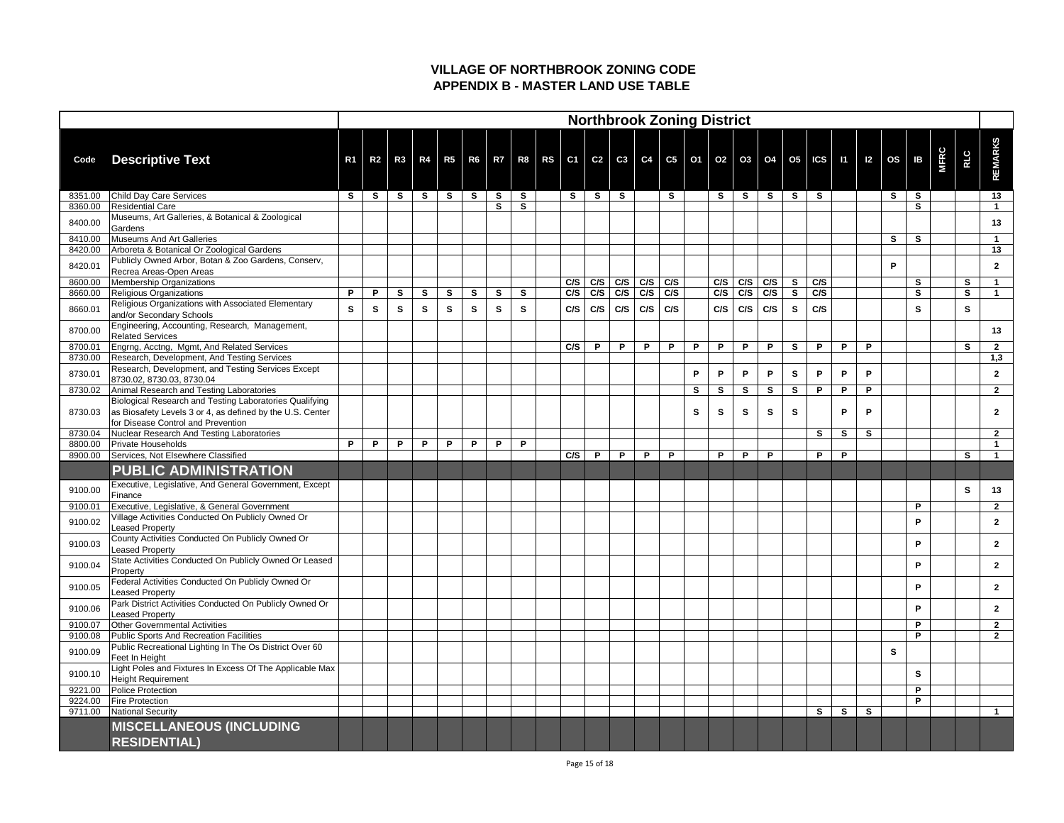|         |                                                                                                                      |                |                |              |              |              |              |              |              |          |              |     |             |     | <b>Northbrook Zoning District</b> |             |              |                                                                                     |              |              |              |              |                           |              |             |              |                  |
|---------|----------------------------------------------------------------------------------------------------------------------|----------------|----------------|--------------|--------------|--------------|--------------|--------------|--------------|----------|--------------|-----|-------------|-----|-----------------------------------|-------------|--------------|-------------------------------------------------------------------------------------|--------------|--------------|--------------|--------------|---------------------------|--------------|-------------|--------------|------------------|
| Code    | <b>Descriptive Text</b>                                                                                              | R <sub>1</sub> | R <sub>2</sub> | R3           |              |              |              |              |              |          |              |     |             |     |                                   |             |              | R4   R5   R6   R7   R8   RS   C1   C2   C3   C4   C5   O1   O2   O3   O4   O5   ICS |              |              |              |              | $11 \mid 12 \mid OS \mid$ | IB           | <b>MFRC</b> | RLC          | <b>REMARKS</b>   |
| 8351.00 | Child Day Care Services                                                                                              | <b>S</b>       | <b>S</b>       | $\mathbf{s}$ | S            | $\mathbf{s}$ | $\mathbf{s}$ | <b>S</b>     | $\mathbf{s}$ | <b>S</b> | $\mathbf{s}$ | S.  |             | S   |                                   | S.          | $\mathbf{s}$ | $\mathbf{s}$                                                                        | $\mathbf{s}$ | $\mathbf{s}$ |              |              | <b>S</b>                  | <b>S</b>     |             |              | 13               |
| 8360.00 | Residential Care                                                                                                     |                |                |              |              |              |              | S            | S            |          |              |     |             |     |                                   |             |              |                                                                                     |              |              |              |              |                           | S            |             |              |                  |
| 8400.00 | Museums, Art Galleries, & Botanical & Zoological<br>Gardens                                                          |                |                |              |              |              |              |              |              |          |              |     |             |     |                                   |             |              |                                                                                     |              |              |              |              |                           |              |             |              | 13               |
| 8410.00 | Museums And Art Galleries                                                                                            |                |                |              |              |              |              |              |              |          |              |     |             |     |                                   |             |              |                                                                                     |              |              |              |              | S                         | <b>S</b>     |             |              |                  |
| 8420.00 | Arboreta & Botanical Or Zoological Gardens                                                                           |                |                |              |              |              |              |              |              |          |              |     |             |     |                                   |             |              |                                                                                     |              |              |              |              |                           |              |             |              | 13               |
| 8420.01 | Publicly Owned Arbor, Botan & Zoo Gardens, Conserv,<br>Recrea Areas-Open Areas                                       |                |                |              |              |              |              |              |              |          |              |     |             |     |                                   |             |              |                                                                                     |              |              |              |              | P                         |              |             |              | $\mathbf{2}$     |
| 8600.00 | Membership Organizations                                                                                             |                |                |              |              |              |              |              |              | C/S      | C/S          |     | $C/S$ $C/S$ | C/S |                                   | C/S         | C/S          | C/S                                                                                 | $\mathbf{s}$ | C/S          |              |              |                           | $\mathbf{s}$ |             | S            |                  |
| 8660.00 | Religious Organizations                                                                                              | P              | P              | $\mathbf{s}$ | $\mathbf{s}$ | $\mathbf{s}$ | S            | $\mathbf{s}$ | S            | C/S      | C/S          |     | $C/S$ $C/S$ | C/S |                                   | $C/S$ $C/S$ |              | C/S                                                                                 | S            | C/S          |              |              |                           | S            |             | S            |                  |
| 8660.01 | Religious Organizations with Associated Elementary<br>and/or Secondary Schools                                       | $\mathbf{s}$   | S              | S            | S            | <b>S</b>     | $\mathbf{s}$ | S            | S            | C/S      | C/S          | C/S | C/S         | C/S |                                   | C/S         | C/S          | C/S                                                                                 | S            | C/S          |              |              |                           | <b>S</b>     |             | S.           |                  |
| 8700.00 | Engineering, Accounting, Research, Management,<br><b>Related Services</b>                                            |                |                |              |              |              |              |              |              |          |              |     |             |     |                                   |             |              |                                                                                     |              |              |              |              |                           |              |             |              | 13               |
| 8700.01 | Engrng, Acctng, Mgmt, And Related Services                                                                           |                |                |              |              |              |              |              |              | C/S      | P            | P   | P           | P   | P                                 | P           | P            | P                                                                                   | $\mathbf{s}$ | P            | P            | P            |                           |              |             | S.           | $\mathbf{2}$     |
| 8730.00 | Research, Development, And Testing Services                                                                          |                |                |              |              |              |              |              |              |          |              |     |             |     |                                   |             |              |                                                                                     |              |              |              |              |                           |              |             |              | 1,3              |
| 8730.01 | Research, Development, and Testing Services Except<br>8730.02, 8730.03, 8730.04                                      |                |                |              |              |              |              |              |              |          |              |     |             |     | P                                 | P           | P            | P                                                                                   | S            | P            | P            | P            |                           |              |             |              | $\boldsymbol{2}$ |
| 8730.02 | Animal Research and Testing Laboratories                                                                             |                |                |              |              |              |              |              |              |          |              |     |             |     | S                                 | S           | S            | S                                                                                   | $\mathbf{s}$ | P            | P            | D            |                           |              |             |              | $2^{\circ}$      |
| 8730.03 | Biological Research and Testing Laboratories Qualifying<br>as Biosafety Levels 3 or 4, as defined by the U.S. Center |                |                |              |              |              |              |              |              |          |              |     |             |     | S                                 | S           | S            | S                                                                                   | S            |              | P            | P            |                           |              |             |              | $\mathbf{2}$     |
|         | for Disease Control and Prevention                                                                                   |                |                |              |              |              |              |              |              |          |              |     |             |     |                                   |             |              |                                                                                     |              |              |              |              |                           |              |             |              |                  |
| 8730.04 | Nuclear Research And Testing Laboratories                                                                            |                |                |              |              |              |              |              |              |          |              |     |             |     |                                   |             |              |                                                                                     |              | S            | $\mathbf{s}$ | $\mathbf{s}$ |                           |              |             |              | $\overline{2}$   |
| 8800.00 | <b>Private Households</b><br>Services, Not Elsewhere Classified                                                      | P              | P              | P            | $\mathsf{P}$ | P            | P            | P            | P            | C/S      |              |     |             | P   |                                   | P.          | P            | P                                                                                   |              | P            | P            |              |                           |              |             | $\mathbf{s}$ |                  |
| 8900.00 |                                                                                                                      |                |                |              |              |              |              |              |              |          | P            | P   | P           |     |                                   |             |              |                                                                                     |              |              |              |              |                           |              |             |              |                  |
|         | <b>PUBLIC ADMINISTRATION</b>                                                                                         |                |                |              |              |              |              |              |              |          |              |     |             |     |                                   |             |              |                                                                                     |              |              |              |              |                           |              |             |              |                  |
| 9100.00 | Executive, Legislative, And General Government, Except<br>Finance                                                    |                |                |              |              |              |              |              |              |          |              |     |             |     |                                   |             |              |                                                                                     |              |              |              |              |                           |              |             | S            | 13               |
| 9100.01 | Executive, Legislative, & General Government                                                                         |                |                |              |              |              |              |              |              |          |              |     |             |     |                                   |             |              |                                                                                     |              |              |              |              |                           | P            |             |              | $\mathbf{2}$     |
| 9100.02 | Village Activities Conducted On Publicly Owned Or<br><b>Leased Property</b>                                          |                |                |              |              |              |              |              |              |          |              |     |             |     |                                   |             |              |                                                                                     |              |              |              |              |                           | P            |             |              | $\boldsymbol{2}$ |
| 9100.03 | County Activities Conducted On Publicly Owned Or<br>Leased Property                                                  |                |                |              |              |              |              |              |              |          |              |     |             |     |                                   |             |              |                                                                                     |              |              |              |              |                           | P            |             |              | $\overline{2}$   |
| 9100.04 | State Activities Conducted On Publicly Owned Or Leased<br>Property                                                   |                |                |              |              |              |              |              |              |          |              |     |             |     |                                   |             |              |                                                                                     |              |              |              |              |                           | P            |             |              | $\overline{2}$   |
| 9100.05 | Federal Activities Conducted On Publicly Owned Or<br>Leased Property                                                 |                |                |              |              |              |              |              |              |          |              |     |             |     |                                   |             |              |                                                                                     |              |              |              |              |                           | P            |             |              | $\overline{2}$   |
| 9100.06 | Park District Activities Conducted On Publicly Owned Or<br><b>Leased Property</b>                                    |                |                |              |              |              |              |              |              |          |              |     |             |     |                                   |             |              |                                                                                     |              |              |              |              |                           | P            |             |              | $\mathbf{2}$     |
| 9100.07 | <b>Other Governmental Activities</b>                                                                                 |                |                |              |              |              |              |              |              |          |              |     |             |     |                                   |             |              |                                                                                     |              |              |              |              |                           | P            |             |              | $\mathbf{2}$     |
| 9100.08 | <b>Public Sports And Recreation Facilities</b>                                                                       |                |                |              |              |              |              |              |              |          |              |     |             |     |                                   |             |              |                                                                                     |              |              |              |              |                           | P            |             |              | $\mathbf{2}$     |
| 9100.09 | Public Recreational Lighting In The Os District Over 60<br>Feet In Height                                            |                |                |              |              |              |              |              |              |          |              |     |             |     |                                   |             |              |                                                                                     |              |              |              |              | S                         |              |             |              |                  |
| 9100.10 | Light Poles and Fixtures In Excess Of The Applicable Max                                                             |                |                |              |              |              |              |              |              |          |              |     |             |     |                                   |             |              |                                                                                     |              |              |              |              |                           | $\mathbf{s}$ |             |              |                  |
| 9221.00 | <b>Height Requirement</b><br><b>Police Protection</b>                                                                |                |                |              |              |              |              |              |              |          |              |     |             |     |                                   |             |              |                                                                                     |              |              |              |              |                           | P            |             |              |                  |
| 9224.00 | <b>Fire Protection</b>                                                                                               |                |                |              |              |              |              |              |              |          |              |     |             |     |                                   |             |              |                                                                                     |              |              |              |              |                           | P            |             |              |                  |
| 9711.00 | National Security                                                                                                    |                |                |              |              |              |              |              |              |          |              |     |             |     |                                   |             |              |                                                                                     |              | $\mathbf{s}$ | $\mathbf{s}$ | $\mathbf{s}$ |                           |              |             |              |                  |
|         | <b>MISCELLANEOUS (INCLUDING</b>                                                                                      |                |                |              |              |              |              |              |              |          |              |     |             |     |                                   |             |              |                                                                                     |              |              |              |              |                           |              |             |              |                  |
|         | <b>RESIDENTIAL)</b>                                                                                                  |                |                |              |              |              |              |              |              |          |              |     |             |     |                                   |             |              |                                                                                     |              |              |              |              |                           |              |             |              |                  |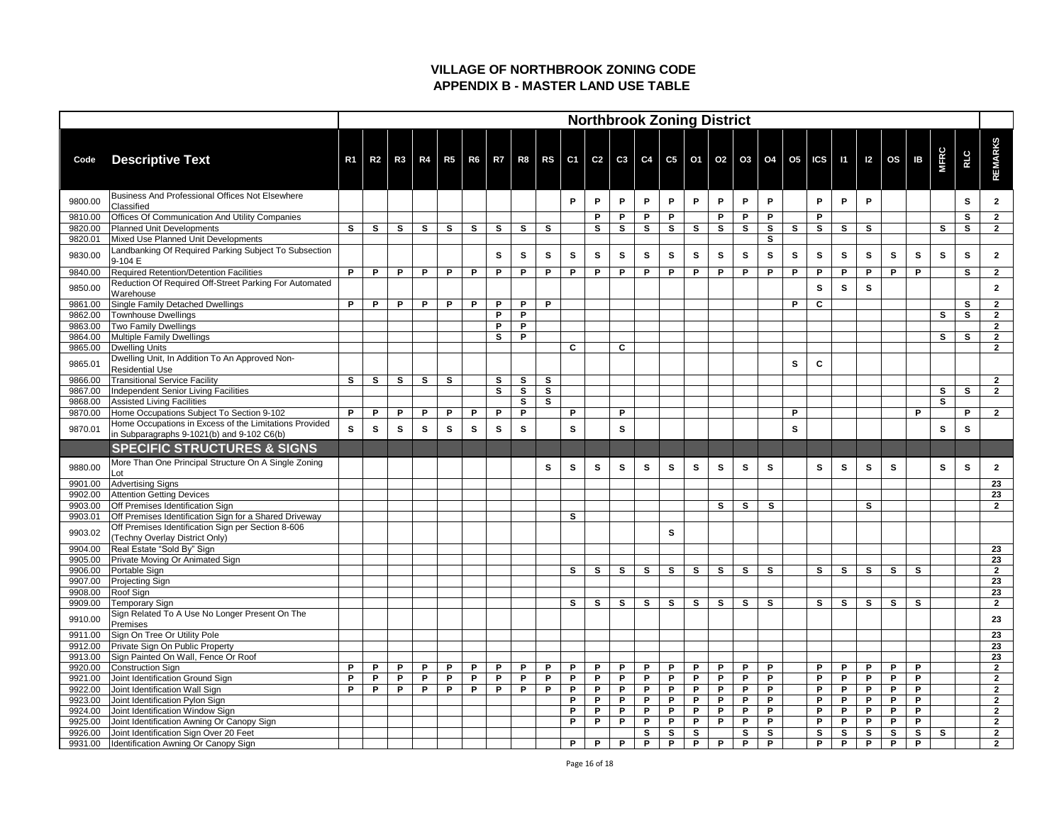|                    |                                                                                                      |                |                |              |              |              |              |              |              |              |                             |              |          |              | <b>Northbrook Zoning District</b> |              |              |              |              |              |                                                  |              |              |                           |              |              |              |                                |
|--------------------|------------------------------------------------------------------------------------------------------|----------------|----------------|--------------|--------------|--------------|--------------|--------------|--------------|--------------|-----------------------------|--------------|----------|--------------|-----------------------------------|--------------|--------------|--------------|--------------|--------------|--------------------------------------------------|--------------|--------------|---------------------------|--------------|--------------|--------------|--------------------------------|
| Code               | <b>Descriptive Text</b>                                                                              | R <sub>1</sub> | R <sub>2</sub> | R3           | R4           |              |              |              |              |              | R5   R6   R7   R8   RS   C1 |              |          |              |                                   |              |              |              |              |              | C2   C3   C4   C5   O1   O2   O3   O4   O5   ICS |              |              | $11 \mid 12 \mid OS \mid$ | IB           | <b>MFRC</b>  | <b>RLC</b>   | <b>REMARKS</b>                 |
| 9800.00            | Business And Professional Offices Not Elsewhere<br>Classified                                        |                |                |              |              |              |              |              |              |              | P                           | P            | P        | P            | P                                 | P            | P            | P            | P            |              | P                                                | P            | P            |                           |              |              | S            |                                |
| 9810.00            | Offices Of Communication And Utility Companies                                                       |                |                |              |              |              |              |              |              |              |                             | P            | P        | P.           | P                                 |              | P            | P            | P            |              | P                                                |              |              |                           |              |              | S            | $\mathbf{2}$                   |
| 9820.00            | <b>Planned Unit Developments</b>                                                                     | $\mathbf{s}$   | S              | $\mathbf{s}$ | $\mathbf{s}$ | $\mathbf{s}$ | $\mathbf{s}$ | $\mathbf{s}$ | $\mathbf{s}$ | $\mathbf{s}$ |                             | $\mathbf{s}$ | S        | $\mathbf{s}$ | S                                 | $\mathbf{s}$ | $\mathbf{s}$ | $\mathbf{s}$ | $\mathbf{s}$ | $\mathbf{s}$ | $\mathbf{s}$                                     | $\mathbf{s}$ | $\mathbf{s}$ |                           |              | $\mathbf{s}$ | $\mathbf{s}$ | $\overline{2}$                 |
| 9820.01            | Mixed Use Planned Unit Developments                                                                  |                |                |              |              |              |              |              |              |              |                             |              |          |              |                                   |              |              |              | $\mathbf{s}$ |              |                                                  |              |              |                           |              |              |              |                                |
| 9830.00            | Landbanking Of Required Parking Subject To Subsection<br>9-104 E                                     |                |                |              |              |              |              | S            | S            | $\mathbf{s}$ | S                           | S.           | S        | <b>S</b>     | S                                 | S            | S            | S            | S            | S            | S                                                | $\mathbf{s}$ | S            | S                         | $\mathbf{s}$ | $\mathbf{s}$ | S            | $\mathbf 2$                    |
| 9840.00            | Required Retention/Detention Facilities                                                              | P              | P              | P            | P            | P            | P            | P            | P            | P            | P                           | P            | P        | P            | P.                                | $\mathsf{P}$ | P            | P            | P            | P            | P                                                | P            | P            | P                         | P            |              | S            | $\overline{2}$                 |
| 9850.00            | Reduction Of Required Off-Street Parking For Automated<br>Warehouse                                  |                |                |              |              |              |              |              |              |              |                             |              |          |              |                                   |              |              |              |              |              | S                                                | <b>S</b>     | S            |                           |              |              |              | $\mathbf{2}$                   |
| 9861.00            | Single Family Detached Dwellings                                                                     | P              | P              | P            | P            | P            | P            | P            | P            | P            |                             |              |          |              |                                   |              |              |              |              | P            | $\mathbf c$                                      |              |              |                           |              |              | S            | $\overline{2}$                 |
| 9862.00            | Townhouse Dwellings                                                                                  |                |                |              |              |              |              | P            | P            |              |                             |              |          |              |                                   |              |              |              |              |              |                                                  |              |              |                           |              | $\mathbf{s}$ | $\mathbf{s}$ | $\mathbf{2}$                   |
| 9863.00            | <b>Two Family Dwellings</b>                                                                          |                |                |              |              |              |              | P            | P            |              |                             |              |          |              |                                   |              |              |              |              |              |                                                  |              |              |                           |              |              |              | $\mathbf{2}$                   |
| 9864.00            | Multiple Family Dwellings                                                                            |                |                |              |              |              |              | S            | P            |              |                             |              |          |              |                                   |              |              |              |              |              |                                                  |              |              |                           |              | <b>S</b>     | S            | $\mathbf{2}$                   |
| 9865.00            | Dwelling Units                                                                                       |                |                |              |              |              |              |              |              |              | $\mathbf{C}$                |              | C        |              |                                   |              |              |              |              |              |                                                  |              |              |                           |              |              |              | $2^{\circ}$                    |
| 9865.01            | Dwelling Unit, In Addition To An Approved Non-<br><b>Residential Use</b>                             |                |                |              |              |              |              |              |              |              |                             |              |          |              |                                   |              |              |              |              | S            | $\mathbf c$                                      |              |              |                           |              |              |              |                                |
| 9866.00            | <b>Transitional Service Facility</b>                                                                 | $\mathbf{s}$   | $\mathbf{s}$   | $\mathbf{s}$ | $\mathbf{s}$ | $\mathbf{s}$ |              | $\mathbf{s}$ | S            | $\mathbf{s}$ |                             |              |          |              |                                   |              |              |              |              |              |                                                  |              |              |                           |              |              |              | $2^{\circ}$                    |
| 9867.00            | Independent Senior Living Facilities                                                                 |                |                |              |              |              |              | S            | $\mathbf{s}$ | $\mathbf{s}$ |                             |              |          |              |                                   |              |              |              |              |              |                                                  |              |              |                           |              | $\mathbf{s}$ | $\mathbf{s}$ | $\overline{2}$                 |
| 9868.00            | Assisted Living Facilities                                                                           |                |                |              |              |              |              |              | S            | $\mathbf{s}$ |                             |              |          |              |                                   |              |              |              |              |              |                                                  |              |              |                           |              | $\mathbf{s}$ |              |                                |
| 9870.00            | Home Occupations Subject To Section 9-102                                                            | P              | P              | P            | P            | P            | P            | P            | P            |              | P                           |              | P        |              |                                   |              |              |              |              | P            |                                                  |              |              |                           | P            |              | P.           | $\overline{2}$                 |
| 9870.01            | Home Occupations in Excess of the Limitations Provided<br>in Subparagraphs 9-1021(b) and 9-102 C6(b) | $\mathbf{s}$   | <b>S</b>       | S.           | S            | <b>S</b>     | S            | S            | S            |              | S                           |              | S        |              |                                   |              |              |              |              | S            |                                                  |              |              |                           |              | $\mathbf{s}$ | S            |                                |
|                    | <b>SPECIFIC STRUCTURES &amp; SIGNS</b>                                                               |                |                |              |              |              |              |              |              |              |                             |              |          |              |                                   |              |              |              |              |              |                                                  |              |              |                           |              |              |              |                                |
| 9880.00            | More Than One Principal Structure On A Single Zoning<br>Lot                                          |                |                |              |              |              |              |              |              | S            | $\mathbf{s}$                | S            | S        | $\mathbf{s}$ | S                                 | S            | S            | S            | S            |              | S                                                | S            | S            | S                         |              | $\mathbf{s}$ | S            | $\mathbf 2$                    |
| 9901.00            | <b>Advertising Signs</b>                                                                             |                |                |              |              |              |              |              |              |              |                             |              |          |              |                                   |              |              |              |              |              |                                                  |              |              |                           |              |              |              | 23                             |
| 9902.00            | <b>Attention Getting Devices</b>                                                                     |                |                |              |              |              |              |              |              |              |                             |              |          |              |                                   |              |              |              |              |              |                                                  |              |              |                           |              |              |              | 23                             |
| 9903.00            | <b>Off Premises Identification Sign</b>                                                              |                |                |              |              |              |              |              |              |              |                             |              |          |              |                                   |              | S            | $\mathbf{s}$ | $\mathbf{s}$ |              |                                                  |              | S            |                           |              |              |              | $\mathbf{2}$                   |
| 9903.01            | Off Premises Identification Sign for a Shared Driveway                                               |                |                |              |              |              |              |              |              |              | $\mathbf{s}$                |              |          |              |                                   |              |              |              |              |              |                                                  |              |              |                           |              |              |              |                                |
| 9903.02            | Off Premises Identification Sign per Section 8-606<br>(Techny Overlay District Only)                 |                |                |              |              |              |              |              |              |              |                             |              |          |              | S                                 |              |              |              |              |              |                                                  |              |              |                           |              |              |              |                                |
| 9904.00            | Real Estate "Sold By" Sign                                                                           |                |                |              |              |              |              |              |              |              |                             |              |          |              |                                   |              |              |              |              |              |                                                  |              |              |                           |              |              |              | 23                             |
| 9905.00            | <b>Private Moving Or Animated Sign</b>                                                               |                |                |              |              |              |              |              |              |              |                             |              |          |              |                                   |              |              |              |              |              |                                                  |              |              |                           |              |              |              | 23                             |
| 9906.00            | Portable Sign                                                                                        |                |                |              |              |              |              |              |              |              | $\mathbf{s}$                | $\mathbf{s}$ | <b>S</b> | $\mathbf{s}$ | S                                 | $\mathbf{s}$ | $\mathbf{s}$ | $\mathbf{s}$ | $\mathbf{s}$ |              | $\mathbf{s}$                                     | $\mathbf{s}$ | $\mathbf{s}$ | $\mathbf{s}$              | <b>S</b>     |              |              | $\overline{2}$                 |
| 9907.00            | <b>Projecting Sign</b>                                                                               |                |                |              |              |              |              |              |              |              |                             |              |          |              |                                   |              |              |              |              |              |                                                  |              |              |                           |              |              |              | 23                             |
| 9908.00            | Roof Sign                                                                                            |                |                |              |              |              |              |              |              |              |                             |              |          |              |                                   |              |              |              |              |              |                                                  |              |              |                           |              |              |              | 23                             |
| 9909.00            | Temporary Sign                                                                                       |                |                |              |              |              |              |              |              |              | S                           | <b>S</b>     | S        | <b>S</b>     | S                                 | S            | S            | <b>S</b>     | S            |              | $\mathbf{s}$                                     | $\mathbf{s}$ | S            | $\mathbf{s}$              | $\mathbf{s}$ |              |              | $\mathbf{2}$                   |
| 9910.00            | Sign Related To A Use No Longer Present On The<br>Premises                                           |                |                |              |              |              |              |              |              |              |                             |              |          |              |                                   |              |              |              |              |              |                                                  |              |              |                           |              |              |              | 23                             |
| 9911.00            | Sign On Tree Or Utility Pole                                                                         |                |                |              |              |              |              |              |              |              |                             |              |          |              |                                   |              |              |              |              |              |                                                  |              |              |                           |              |              |              | 23                             |
| 9912.00            | <b>Private Sign On Public Property</b>                                                               |                |                |              |              |              |              |              |              |              |                             |              |          |              |                                   |              |              |              |              |              |                                                  |              |              |                           |              |              |              | 23                             |
| 9913.00            | Sign Painted On Wall, Fence Or Roof                                                                  | D              |                |              |              |              |              |              |              |              |                             |              |          |              |                                   |              |              |              |              |              |                                                  |              |              |                           |              |              |              | 23                             |
| 9920.00            | Construction Sign                                                                                    | P              | P<br>P         | P            | P            | P            | P            | P            | P            | P            | P                           | P            | P        | P            | P                                 | P            | P            | P<br>P       | P<br>P       |              | P                                                | P            | P            | P<br>P                    | P<br>P       |              |              | $\overline{2}$                 |
| 9921.00            | Joint Identification Ground Sign                                                                     | P              | P              | P<br>D       | P<br>P       | P<br>P       | P<br>P       | P<br>P       | P<br>P       | P<br>P       | P<br>P                      | P<br>P       | P.<br>P  | P<br>P       | P<br>P                            | P<br>P       | P.<br>P      | P            | P            |              | P<br>P                                           | P<br>P       | P<br>P       | P                         | P            |              |              | $\mathbf{2}$<br>$\overline{2}$ |
| 9922.00<br>9923.00 | Joint Identification Wall Sign<br>Joint Identification Pylon Sign                                    |                |                |              |              |              |              |              |              |              | P                           | P            | P        | P            | P                                 | P            | P            | P            | P            |              | P                                                | P            | P            | P                         | P            |              |              | $\mathbf{2}$                   |
| 9924.00            | Joint Identification Window Sign                                                                     |                |                |              |              |              |              |              |              |              | P                           | P            | P        | P            | P                                 | P            | P            | P            | P            |              | P                                                | P            | P            | P                         | P            |              |              | $\mathbf{2}$                   |
| 9925.00            | Joint Identification Awning Or Canopy Sign                                                           |                |                |              |              |              |              |              |              |              | P                           | P.           | P        | P            | P                                 | P            | P            | P            | P            |              | P                                                | P            | P            | P                         | P            |              |              | $\mathbf{2}$                   |
| 9926.00            | Joint Identification Sign Over 20 Feet                                                               |                |                |              |              |              |              |              |              |              |                             |              |          | S            | $\mathbf{s}$                      | $\mathbf{s}$ |              | S            | $\mathbf{s}$ |              | $\mathbf{s}$                                     | S            | $\mathbf{s}$ | S                         | $\mathbf{s}$ | $\mathbf{s}$ |              | $2^{\circ}$                    |
| 9931.00            | Identification Awning Or Canopy Sign                                                                 |                |                |              |              |              |              |              |              |              | P                           | P            | P        | P            | P                                 | P            | P            | P            | P            |              | P                                                | P            | P            | P                         | P            |              |              | $2^{\circ}$                    |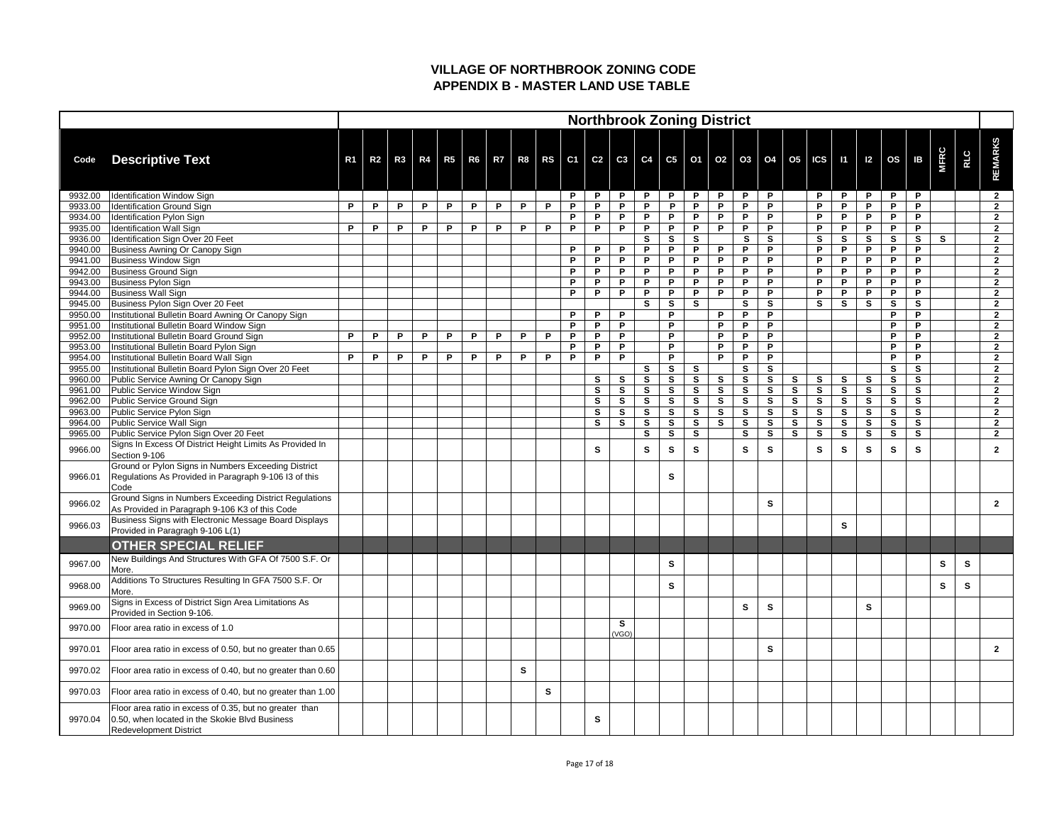|                    |                                                                                                                                            |                |                |    |   |   |   |   |   |              |                                  |               |                   |                   |                   |                          | <b>Northbrook Zoning District</b> |              |                   |              |                          |                   |                    |              |                              |              |     |                                  |
|--------------------|--------------------------------------------------------------------------------------------------------------------------------------------|----------------|----------------|----|---|---|---|---|---|--------------|----------------------------------|---------------|-------------------|-------------------|-------------------|--------------------------|-----------------------------------|--------------|-------------------|--------------|--------------------------|-------------------|--------------------|--------------|------------------------------|--------------|-----|----------------------------------|
| Code               | <b>Descriptive Text</b>                                                                                                                    | R <sub>1</sub> | R <sub>2</sub> | R3 |   |   |   |   |   |              | R4   R5   R6   R7   R8   RS   C1 |               |                   |                   |                   |                          | C2   C3   C4   C5   O1   O2   O3  |              | O4                |              | $O5$ $  \text{ICS}  $ 11 |                   | $\vert$ 12 $\vert$ | OS           | <b>IB</b>                    | <b>MFRC</b>  | RLC | <b>REMARKS</b>                   |
| 9932.00            | Identification Window Sign                                                                                                                 |                |                |    |   |   |   |   |   |              | P                                | P             | P                 | P                 | P.                | <b>P</b>                 | P                                 | P            | P                 |              | P                        | P                 | P                  | P            | P                            |              |     | $\overline{2}$                   |
| 9933.00            | Identification Ground Sign                                                                                                                 | D              | P              | P  | P | P | P | P | P | P            | P                                | P             | P.                | P                 | P                 | P                        | P                                 | P            | P                 |              | $\mathsf{P}$             | P                 | P                  | P            | P                            |              |     | $\overline{2}$                   |
| 9934.00            | Identification Pylon Sign                                                                                                                  | P              | P              |    |   |   |   |   |   |              | P                                | P             | P                 | P                 | P<br>P            | P                        | P<br>P                            | P<br>P       | P                 |              | P                        | P                 | P                  | P            | P                            |              |     | $\overline{2}$                   |
| 9935.00<br>9936.00 | Identification Wall Sign<br>Identification Sign Over 20 Feet                                                                               |                |                | P  | P | P | P | P | P | P            | P                                | P.            | P                 | P<br>$\mathbf{s}$ | S                 | P<br><b>S</b>            |                                   | <b>S</b>     | P<br>$\mathbf{s}$ |              | P<br><b>S</b>            | P<br>S            | P<br>S             | P<br>S       | P<br><b>S</b>                | $\mathbf{s}$ |     | $\overline{2}$<br>$\overline{2}$ |
| 9940.00            | Business Awning Or Canopy Sign                                                                                                             |                |                |    |   |   |   |   |   |              | P                                | P             | P.                | P                 | P                 | P                        | D                                 | P            | P                 |              | P                        | P                 | P                  | P            | P                            |              |     | $\overline{2}$                   |
| 9941.00            | <b>Business Window Sign</b>                                                                                                                |                |                |    |   |   |   |   |   |              | P                                | P             | P                 | P.                | P                 | P                        | P                                 | P            | P                 |              | P                        | P                 | P                  | P            | P                            |              |     | $\mathbf{2}$                     |
| 9942.00            | Business Ground Sign                                                                                                                       |                |                |    |   |   |   |   |   |              | P                                | P.            | P.                | P                 | P                 | P                        | P                                 | P            | P                 |              | P                        | P                 | P                  | P            | P                            |              |     | $\overline{2}$                   |
| 9943.00            | <b>Business Pylon Sign</b>                                                                                                                 |                |                |    |   |   |   |   |   |              | P                                | P.            | P                 | P                 | P                 | P                        | P                                 | P            | P                 |              | P                        | P                 | P                  | P            | P                            |              |     | $\mathbf{2}$                     |
| 9944.00            | <b>Business Wall Sign</b>                                                                                                                  |                |                |    |   |   |   |   |   |              | P                                | P             | P                 | P                 | P                 | P                        | P                                 | P            | P                 |              | P                        | P                 | P                  | P            | P                            |              |     | $\overline{2}$                   |
| 9945.00            | Business Pylon Sign Over 20 Feet                                                                                                           |                |                |    |   |   |   |   |   |              |                                  |               |                   | $\mathbf{s}$      | S                 | <b>S</b>                 |                                   | S            | S                 |              | <b>S</b>                 | S                 | S                  | S            | $\mathbf{s}$                 |              |     | $\overline{2}$                   |
| 9950.00            | Institutional Bulletin Board Awning Or Canopy Sign                                                                                         |                |                |    |   |   |   |   |   |              | P                                | P             | P                 |                   | P                 |                          | P                                 | P            | P                 |              |                          |                   |                    | P            | P                            |              |     | $\overline{2}$                   |
| 9951.00            | Institutional Bulletin Board Window Sign                                                                                                   |                |                |    |   |   |   |   |   |              | P                                | P             | P                 |                   | P                 |                          | D                                 | P            | P                 |              |                          |                   |                    | P            | P                            |              |     | $\overline{2}$                   |
| 9952.00            | Institutional Bulletin Board Ground Sign                                                                                                   | P              | P              | P. | P | P | P | P | P | P            | P                                | P             | P.                |                   | P                 |                          | P                                 | P            | P                 |              |                          |                   |                    | P            | P                            |              |     | $\overline{2}$                   |
| 9953.00            | Institutional Bulletin Board Pylon Sign                                                                                                    |                |                |    |   |   |   |   |   |              | P                                | P             | P.                |                   | P                 |                          | D                                 | P            | P                 |              |                          |                   |                    | P            | P                            |              |     | $\overline{2}$                   |
| 9954.00            | <b>Institutional Bulletin Board Wall Sign</b>                                                                                              | P              | P              | P  | P | P | P | P | P | P            | P                                | P             | P.                |                   | P                 |                          | P                                 | P            | P                 |              |                          |                   |                    | P            | P                            |              |     | $\overline{2}$                   |
| 9955.00            | Institutional Bulletin Board Pylon Sign Over 20 Feet                                                                                       |                |                |    |   |   |   |   |   |              |                                  |               |                   | $\mathbf{s}$      | $\mathbf{s}$      | <b>S</b>                 |                                   | S            | $\mathbf{s}$      |              |                          |                   |                    | S            | $\mathbf{s}$                 |              |     | $\overline{2}$<br>ົ              |
| 9960.00<br>9961.00 | Public Service Awning Or Canopy Sign<br>Public Service Window Sign                                                                         |                |                |    |   |   |   |   |   |              |                                  | <b>S</b><br>S | S<br>S            | S<br>$\mathbf{s}$ | S<br>$\mathbf{s}$ | <b>S</b><br>$\mathbf{s}$ | <b>S</b><br>$\mathbf{s}$          | S<br>S       | S<br><b>S</b>     | S<br>S       | <b>S</b><br>$\mathbf{s}$ | S<br>$\mathbf{s}$ | S<br>S             | S<br>S       | $\mathbf{s}$<br>$\mathbf{s}$ |              |     | $\overline{2}$                   |
| 9962.00            | Public Service Ground Sign                                                                                                                 |                |                |    |   |   |   |   |   |              |                                  | $\mathbf{s}$  | $\mathbf{s}$      | $\mathbf{s}$      | S                 | S                        | $\mathbf{s}$                      | S            | S                 | S            | <b>S</b>                 | $\mathbf{s}$      | $\mathbf{s}$       | $\mathbf{s}$ | $\mathbf{s}$                 |              |     | $\mathbf{2}$                     |
| 9963.00            | Public Service Pylon Sign                                                                                                                  |                |                |    |   |   |   |   |   |              |                                  | S.            | S.                | $\mathbf{s}$      | $\mathbf{s}$      | <b>S</b>                 | <b>S</b>                          | <b>S</b>     | <b>S</b>          | S            | <b>S</b>                 | S                 | S                  | S            | S                            |              |     | $\overline{2}$                   |
| 9964.00            | Public Service Wall Sign                                                                                                                   |                |                |    |   |   |   |   |   |              |                                  | S             | $\mathbf{s}$      | $\mathbf{s}$      | $\mathbf{s}$      | $\mathbf{s}$             | <b>S</b>                          | $\mathbf{s}$ | $\mathbf{s}$      | S            | $\mathbf{s}$             | $\mathbf{s}$      | $\mathbf{s}$       | $\mathbf{s}$ | $\mathbf{s}$                 |              |     | $\overline{2}$                   |
| 9965.00            | Public Service Pylon Sign Over 20 Feet                                                                                                     |                |                |    |   |   |   |   |   |              |                                  |               |                   | $\mathbf{s}$      | $\mathbf{s}$      | $\mathbf{s}$             |                                   | $\mathbf{s}$ | $\mathbf{s}$      | $\mathbf{s}$ | $\mathbf{s}$             | $\mathbf{s}$      | $\mathbf{s}$       | S            | S                            |              |     | $\overline{2}$                   |
| 9966.00            | Signs In Excess Of District Height Limits As Provided In<br>Section 9-106                                                                  |                |                |    |   |   |   |   |   |              |                                  | S             |                   | S                 | S                 | S                        |                                   | S            | S                 |              | S                        | S                 | S                  | S            | S.                           |              |     | $\mathbf{2}$                     |
| 9966.01            | Ground or Pylon Signs in Numbers Exceeding District<br>Regulations As Provided in Paragraph 9-106 I3 of this<br>Code                       |                |                |    |   |   |   |   |   |              |                                  |               |                   |                   | S                 |                          |                                   |              |                   |              |                          |                   |                    |              |                              |              |     |                                  |
| 9966.02            | Ground Signs in Numbers Exceeding District Regulations<br>As Provided in Paragraph 9-106 K3 of this Code                                   |                |                |    |   |   |   |   |   |              |                                  |               |                   |                   |                   |                          |                                   |              | S                 |              |                          |                   |                    |              |                              |              |     | $\mathbf{2}$                     |
| 9966.03            | Business Signs with Electronic Message Board Displays<br>Provided in Paragragh 9-106 L(1)                                                  |                |                |    |   |   |   |   |   |              |                                  |               |                   |                   |                   |                          |                                   |              |                   |              |                          | S                 |                    |              |                              |              |     |                                  |
|                    | <b>OTHER SPECIAL RELIEF</b>                                                                                                                |                |                |    |   |   |   |   |   |              |                                  |               |                   |                   |                   |                          |                                   |              |                   |              |                          |                   |                    |              |                              |              |     |                                  |
| 9967.00            | New Buildings And Structures With GFA Of 7500 S.F. Or<br>More.                                                                             |                |                |    |   |   |   |   |   |              |                                  |               |                   |                   | S                 |                          |                                   |              |                   |              |                          |                   |                    |              |                              | $\mathbf{s}$ | S   |                                  |
| 9968.00            | Additions To Structures Resulting In GFA 7500 S.F. Or<br>More.                                                                             |                |                |    |   |   |   |   |   |              |                                  |               |                   |                   | $\mathbf{s}$      |                          |                                   |              |                   |              |                          |                   |                    |              |                              | $\mathbf{s}$ | S   |                                  |
| 9969.00            | Signs in Excess of District Sign Area Limitations As<br>Provided in Section 9-106.                                                         |                |                |    |   |   |   |   |   |              |                                  |               |                   |                   |                   |                          |                                   | $\mathbf{s}$ | S                 |              |                          |                   | S                  |              |                              |              |     |                                  |
| 9970.00            | Floor area ratio in excess of 1.0                                                                                                          |                |                |    |   |   |   |   |   |              |                                  |               | <b>S</b><br>(VGO) |                   |                   |                          |                                   |              |                   |              |                          |                   |                    |              |                              |              |     |                                  |
| 9970.01            | Floor area ratio in excess of 0.50, but no greater than 0.65                                                                               |                |                |    |   |   |   |   |   |              |                                  |               |                   |                   |                   |                          |                                   |              | S                 |              |                          |                   |                    |              |                              |              |     | $\mathbf{2}$                     |
| 9970.02            | Floor area ratio in excess of 0.40, but no greater than 0.60                                                                               |                |                |    |   |   |   |   | S |              |                                  |               |                   |                   |                   |                          |                                   |              |                   |              |                          |                   |                    |              |                              |              |     |                                  |
| 9970.03            | Floor area ratio in excess of 0.40, but no greater than 1.00                                                                               |                |                |    |   |   |   |   |   | $\mathbf{s}$ |                                  |               |                   |                   |                   |                          |                                   |              |                   |              |                          |                   |                    |              |                              |              |     |                                  |
| 9970.04            | Floor area ratio in excess of 0.35, but no greater than<br>0.50, when located in the Skokie Blvd Business<br><b>Redevelopment District</b> |                |                |    |   |   |   |   |   |              |                                  | S             |                   |                   |                   |                          |                                   |              |                   |              |                          |                   |                    |              |                              |              |     |                                  |